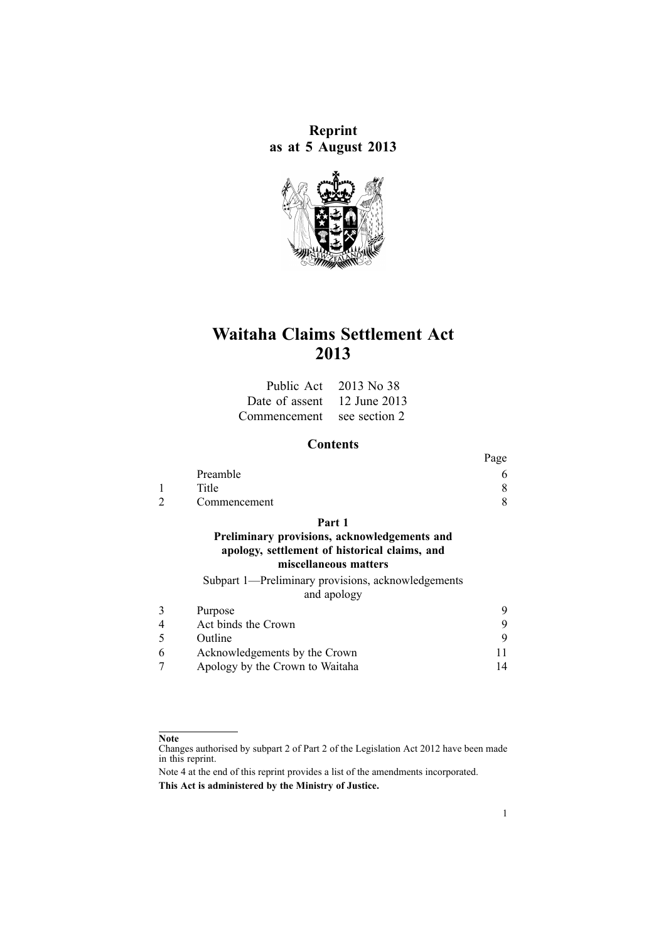**Reprint as at 5 August 2013**



# **Waitaha Claims Settlement Act 2013**

|                             | Public Act $2013$ No 38 |
|-----------------------------|-------------------------|
| Date of assent 12 June 2013 |                         |
| Commencement see section 2  |                         |

# **Contents**

|              | $\ldots$ |
|--------------|----------|
| Preamble     |          |
| Title        |          |
| Commencement |          |
|              |          |

**[Part](#page-7-0) 1**

## **Preliminary provisions, [acknowledgements](#page-7-0) and apology, [settlement](#page-7-0) of historical claims, and [miscellaneous](#page-7-0) matters**

[Subpart](#page-8-0) 1—Preliminary provisions, [acknowledgements](#page-8-0) and apo[logy](#page-8-0)

| Purpose                         |  |
|---------------------------------|--|
| Act binds the Crown             |  |
| Outline                         |  |
| Acknowledgements by the Crown   |  |
| Apology by the Crown to Waitaha |  |

#### **Note**

Changes authorised by [subpart](http://www.legislation.govt.nz/pdflink.aspx?id=DLM2998524) 2 of Part 2 of the Legislation Act 2012 have been made in this reprint.

Note 4 at the end of this reprint provides <sup>a</sup> list of the amendments incorporated. **This Act is administered by the Ministry of Justice.**

 $p_{a\alpha}$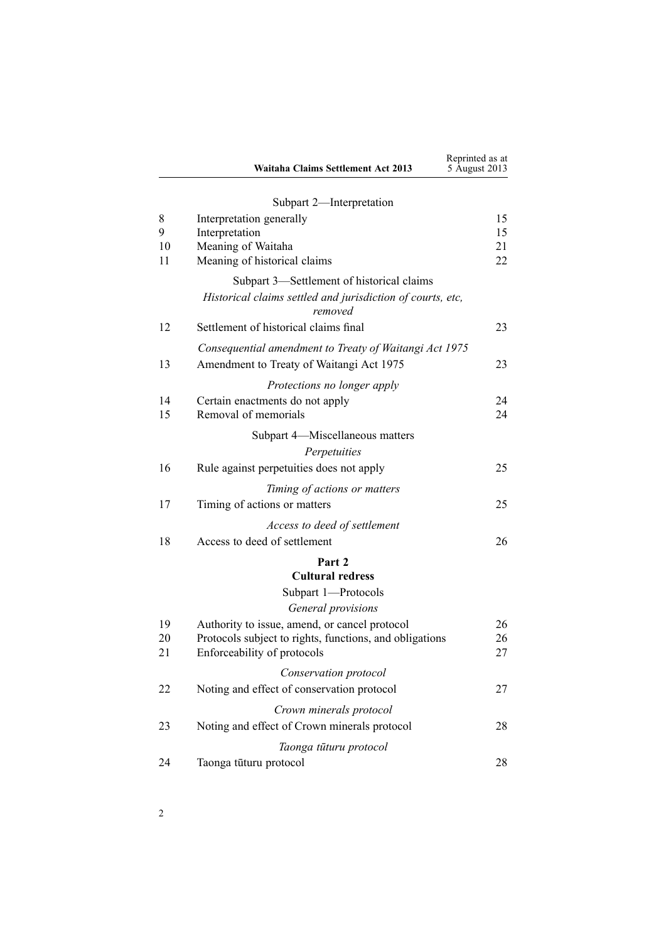|          | Waitaha Claims Settlement Act 2013                                                     | Reprinted as at<br>5 August 2013 |
|----------|----------------------------------------------------------------------------------------|----------------------------------|
|          | Subpart 2-Interpretation                                                               |                                  |
| 8        | Interpretation generally                                                               | 15                               |
| 9        | Interpretation                                                                         | 15                               |
| 10       | Meaning of Waitaha                                                                     | 21                               |
| 11       | Meaning of historical claims                                                           | 22                               |
|          | Subpart 3—Settlement of historical claims                                              |                                  |
|          | Historical claims settled and jurisdiction of courts, etc,<br>removed                  |                                  |
| 12       | Settlement of historical claims final                                                  | 23                               |
|          | Consequential amendment to Treaty of Waitangi Act 1975                                 |                                  |
| 13       | Amendment to Treaty of Waitangi Act 1975                                               | 23                               |
|          | Protections no longer apply                                                            |                                  |
| 14       | Certain enactments do not apply                                                        | 24                               |
| 15       | Removal of memorials                                                                   | 24                               |
|          | Subpart 4-Miscellaneous matters                                                        |                                  |
|          | Perpetuities                                                                           |                                  |
| 16       | Rule against perpetuities does not apply                                               | 25                               |
|          | Timing of actions or matters                                                           |                                  |
| 17       | Timing of actions or matters                                                           | 25                               |
|          | Access to deed of settlement                                                           |                                  |
| 18       | Access to deed of settlement                                                           | 26                               |
|          | Part 2                                                                                 |                                  |
|          | <b>Cultural redress</b>                                                                |                                  |
|          | Subpart 1-Protocols                                                                    |                                  |
|          | General provisions                                                                     |                                  |
| 19       | Authority to issue, amend, or cancel protocol                                          | 26                               |
| 20<br>21 | Protocols subject to rights, functions, and obligations<br>Enforceability of protocols | 26<br>27                         |
|          |                                                                                        |                                  |
|          | Conservation protocol                                                                  |                                  |
| 22       | Noting and effect of conservation protocol                                             | 27                               |
|          | Crown minerals protocol                                                                |                                  |
| 23       | Noting and effect of Crown minerals protocol                                           | 28                               |
|          | Taonga tūturu protocol                                                                 |                                  |
| 24       | Taonga tūturu protocol                                                                 | 28                               |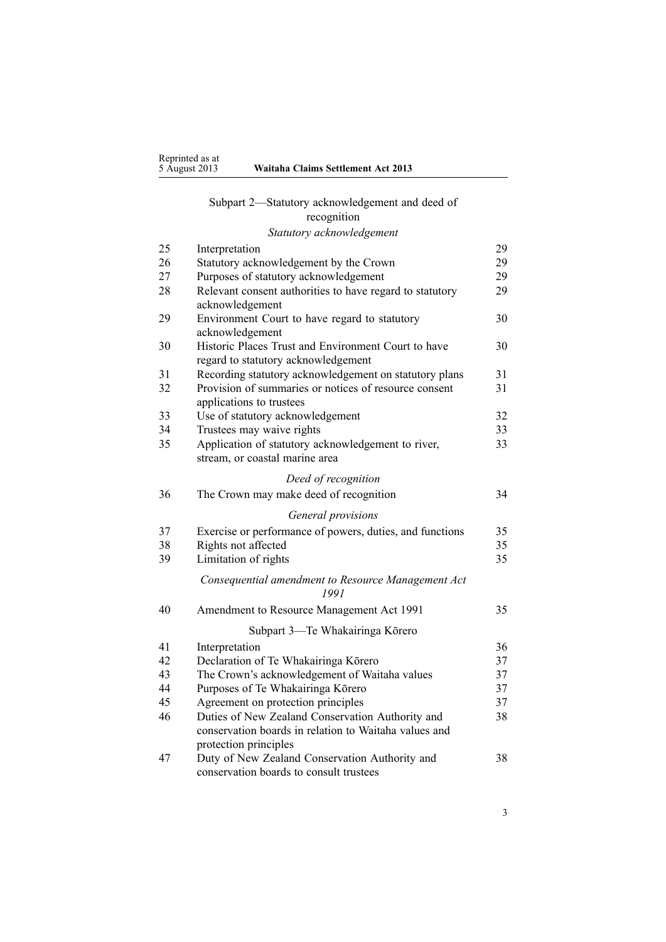#### [Subpart](#page-28-0) 2—Statutory [acknowledgement](#page-28-0) and deed of [recogn](#page-28-0)ition

#### *Statutory [acknowledgement](#page-28-0)* 25 [Interpretation](#page-28-0) [29](#page-28-0) 26 Statutory [acknowledgement](#page-28-0) by the Crown [29](#page-28-0) 27 Purposes of statutory [acknowledgement](#page-28-0) [29](#page-28-0) 28 Relevant consent [authorities](#page-28-0) to have regard to statutory [acknowledgement](#page-28-0) [29](#page-28-0) 29 [Environment](#page-29-0) Court to have regard to statutory [acknowledgement](#page-29-0) [30](#page-29-0) 30 Historic Places Trust and [Environment](#page-29-0) Court to have regard to statutory [acknowledgement](#page-29-0) [30](#page-29-0) 31 Recording statutory [acknowledgement](#page-30-0) on statutory plans [31](#page-30-0) 32 Provision of [summaries](#page-30-0) or notices of resource consent app[lications](#page-30-0) to trustees [31](#page-30-0) 33 Use of statutory [acknowledgement](#page-31-0) [32](#page-31-0) 34 [Trustees](#page-32-0) may waive rights [33](#page-32-0) 35 Application of statutory [acknowledgement](#page-32-0) to river, [stream,](#page-32-0) or coastal marine area [33](#page-32-0) *Deed of [recogn](#page-33-0)ition* 36 The [Crown](#page-33-0) may make deed of recognition [34](#page-33-0) *[General](#page-34-0) provisions* 37 Exercise or per[formance](#page-34-0) of powers, duties, and functions [35](#page-34-0) 38 [Rights](#page-34-0) not affected [35](#page-34-0) 39 [Limitation](#page-34-0) of rights [35](#page-34-0) *[Consequential](#page-34-0) amendment to Resource Management Act [1991](#page-34-0)* 40 Amendment to Resource [Management](#page-34-0) Act 1991 [35](#page-34-0) [Subpart](#page-35-0) 3—Te [Whakairinga](#page-35-0) Kōrero 41 [Interpretation](#page-35-0) [36](#page-35-0) 42 Declaration of Te [Whakairinga](#page-36-0) Kōrero [37](#page-36-0) 43 The Crown's [acknowledgement](#page-36-0) of Waitaha values [37](#page-36-0) 44 Purposes of Te [Whakairinga](#page-36-0) Kōrero [37](#page-36-0) 45 [Agreement](#page-36-0) on protection principles [37](#page-36-0) 46 Duties of New Zealand [Conservation](#page-37-0) Authority and [conservation](#page-37-0) boards in relation to Waitaha values and protection pr[inciples](#page-37-0) [38](#page-37-0) 47 Duty of New Zealand [Conservation](#page-37-0) Authority and [conservation](#page-37-0) boards to consult trustees [38](#page-37-0)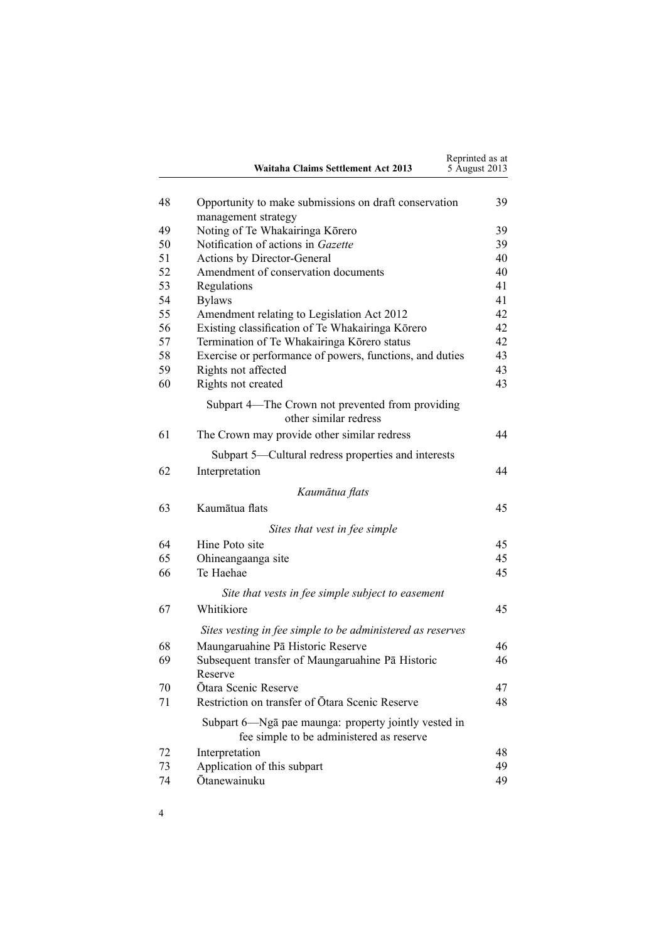|    | <b>Waitaha Claims Settlement Act 2013</b>                  | Reprinted as at<br>5 August 2013 |
|----|------------------------------------------------------------|----------------------------------|
| 48 | Opportunity to make submissions on draft conservation      | 39                               |
|    | management strategy                                        |                                  |
| 49 | Noting of Te Whakairinga Kōrero                            | 39                               |
| 50 | Notification of actions in Gazette                         | 39                               |
| 51 | Actions by Director-General                                | 40                               |
| 52 | Amendment of conservation documents                        | 40                               |
| 53 | Regulations                                                | 41                               |
| 54 | <b>Bylaws</b>                                              | 41                               |
| 55 | Amendment relating to Legislation Act 2012                 | 42                               |
| 56 | Existing classification of Te Whakairinga Kōrero           | 42                               |
| 57 | Termination of Te Whakairinga Kōrero status                | 42                               |
| 58 | Exercise or performance of powers, functions, and duties   | 43                               |
| 59 | Rights not affected                                        | 43                               |
| 60 | Rights not created                                         | 43                               |
|    | Subpart 4—The Crown not prevented from providing           |                                  |
|    | other similar redress                                      |                                  |
| 61 | The Crown may provide other similar redress                | 44                               |
|    |                                                            |                                  |
|    | Subpart 5—Cultural redress properties and interests        |                                  |
| 62 | Interpretation                                             | 44                               |
|    | Kaumātua flats                                             |                                  |
| 63 | Kaumātua flats                                             | 45                               |
|    | Sites that vest in fee simple                              |                                  |
| 64 | Hine Poto site                                             | 45                               |
| 65 | Ohineangaanga site                                         | 45                               |
| 66 | Te Haehae                                                  | 45                               |
|    | Site that vests in fee simple subject to easement          |                                  |
| 67 | Whitikiore                                                 | 45                               |
|    |                                                            |                                  |
|    | Sites vesting in fee simple to be administered as reserves |                                  |
| 68 | Maungaruahine Pā Historic Reserve                          | 46                               |
| 69 | Subsequent transfer of Maungaruahine Pa Historic           | 46                               |
|    | Reserve                                                    |                                  |
| 70 | Ōtara Scenic Reserve                                       | 47                               |
| 71 | Restriction on transfer of Ōtara Scenic Reserve            | 48                               |
|    | Subpart 6—Ngā pae maunga: property jointly vested in       |                                  |
|    | fee simple to be administered as reserve                   |                                  |
| 72 | Interpretation                                             | 48                               |
| 73 | Application of this subpart                                | 49                               |
| 74 | Ōtanewainuku                                               | 49                               |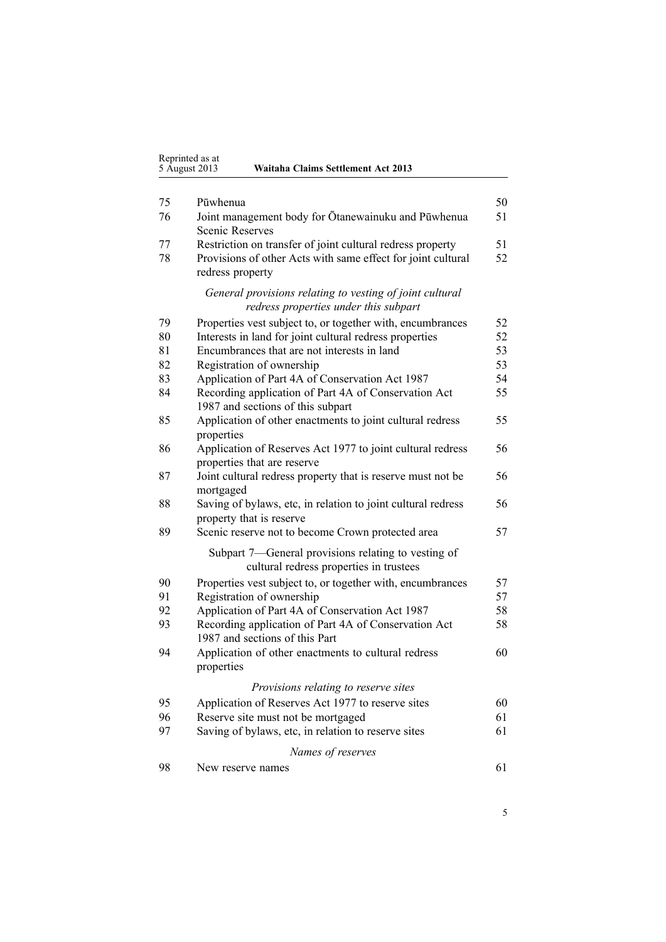| Reprinted as at |                                    |
|-----------------|------------------------------------|
| 5 August 2013   | Waitaha Claims Settlement Act 2013 |

| 75 | Pūwhenua                                                                                          | 50 |
|----|---------------------------------------------------------------------------------------------------|----|
| 76 | Joint management body for Ōtanewainuku and Pūwhenua<br><b>Scenic Reserves</b>                     | 51 |
| 77 | Restriction on transfer of joint cultural redress property                                        | 51 |
| 78 | Provisions of other Acts with same effect for joint cultural<br>redress property                  | 52 |
|    | General provisions relating to vesting of joint cultural<br>redress properties under this subpart |    |
| 79 | Properties vest subject to, or together with, encumbrances                                        | 52 |
| 80 | Interests in land for joint cultural redress properties                                           | 52 |
| 81 | Encumbrances that are not interests in land                                                       | 53 |
| 82 | Registration of ownership                                                                         | 53 |
| 83 | Application of Part 4A of Conservation Act 1987                                                   | 54 |
| 84 | Recording application of Part 4A of Conservation Act<br>1987 and sections of this subpart         | 55 |
| 85 | Application of other enactments to joint cultural redress<br>properties                           | 55 |
| 86 | Application of Reserves Act 1977 to joint cultural redress<br>properties that are reserve         | 56 |
| 87 | Joint cultural redress property that is reserve must not be<br>mortgaged                          | 56 |
| 88 | Saving of bylaws, etc, in relation to joint cultural redress<br>property that is reserve          | 56 |
| 89 | Scenic reserve not to become Crown protected area                                                 | 57 |
|    | Subpart 7—General provisions relating to vesting of<br>cultural redress properties in trustees    |    |
| 90 | Properties vest subject to, or together with, encumbrances                                        | 57 |
| 91 | Registration of ownership                                                                         | 57 |
| 92 | Application of Part 4A of Conservation Act 1987                                                   | 58 |
| 93 | Recording application of Part 4A of Conservation Act<br>1987 and sections of this Part            | 58 |
| 94 | Application of other enactments to cultural redress<br>properties                                 | 60 |
|    | Provisions relating to reserve sites                                                              |    |
| 95 | Application of Reserves Act 1977 to reserve sites                                                 | 60 |
| 96 | Reserve site must not be mortgaged                                                                | 61 |
| 97 | Saving of bylaws, etc, in relation to reserve sites                                               | 61 |
|    | Names of reserves                                                                                 |    |
| 98 | New reserve names                                                                                 | 61 |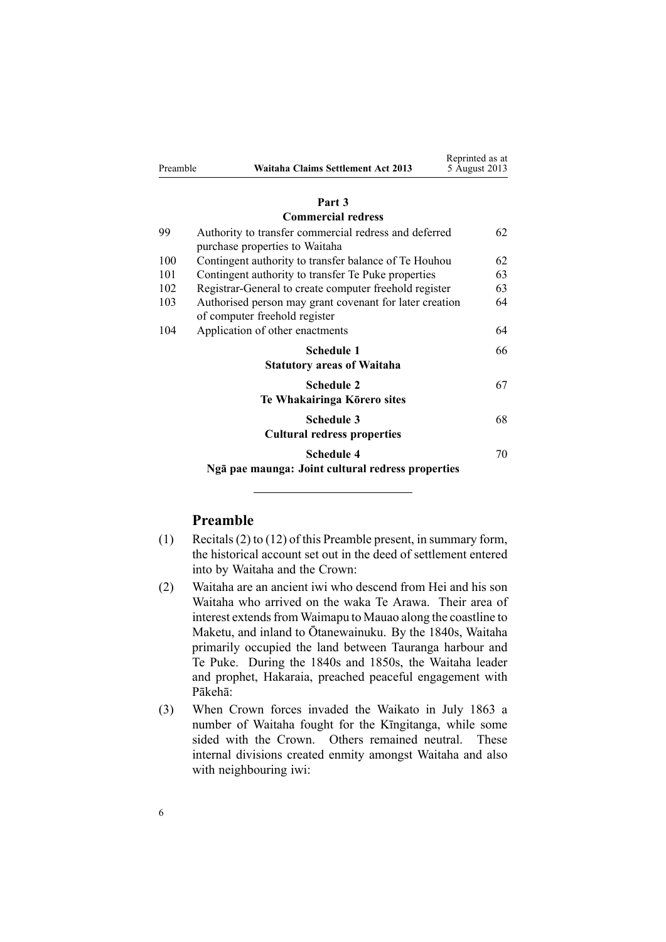|     | Part 3                                                                                   |    |
|-----|------------------------------------------------------------------------------------------|----|
|     | <b>Commercial redress</b>                                                                |    |
| 99  | Authority to transfer commercial redress and deferred<br>purchase properties to Waitaha  | 62 |
| 100 | Contingent authority to transfer balance of Te Houhou                                    | 62 |
| 101 | Contingent authority to transfer Te Puke properties                                      | 63 |
| 102 | Registrar-General to create computer freehold register                                   | 63 |
| 103 | Authorised person may grant covenant for later creation<br>of computer freehold register | 64 |
| 104 | Application of other enactments                                                          | 64 |
|     | Schedule 1                                                                               | 66 |
|     | <b>Statutory areas of Waitaha</b>                                                        |    |
|     | <b>Schedule 2</b><br>Te Whakairinga Kōrero sites                                         | 67 |
|     | <b>Schedule 3</b>                                                                        | 68 |
|     | <b>Cultural redress properties</b>                                                       |    |
|     | Schedule 4                                                                               | 70 |
|     | Ngā pae maunga: Joint cultural redress properties                                        |    |

Reprinted as at 5 August 2013

<span id="page-5-0"></span>Preamble **Waitaha Claims Settlement Act 2013**

# **Preamble**

- (1) Recitals(2) to (12) of this Preamble present, in summary form, the historical account set out in the deed of settlement entered into by Waitaha and the Crown:
- (2) Waitaha are an ancient iwi who descend from Hei and his son Waitaha who arrived on the waka Te Arawa. Their area of interest extends from Waimapu to Mauao along the coastline to Maketu, and inland to Ōtanewainuku. By the 1840s, Waitaha primarily occupied the land between Tauranga harbour and Te Puke. During the 1840s and 1850s, the Waitaha leader and prophet, Hakaraia, preached peaceful engagemen<sup>t</sup> with Pākehā:
- (3) When Crown forces invaded the Waikato in July 1863 <sup>a</sup> number of Waitaha fought for the Kīngitanga, while some sided with the Crown. Others remained neutral. These internal divisions created enmity amongs<sup>t</sup> Waitaha and also with neighbouring iwi: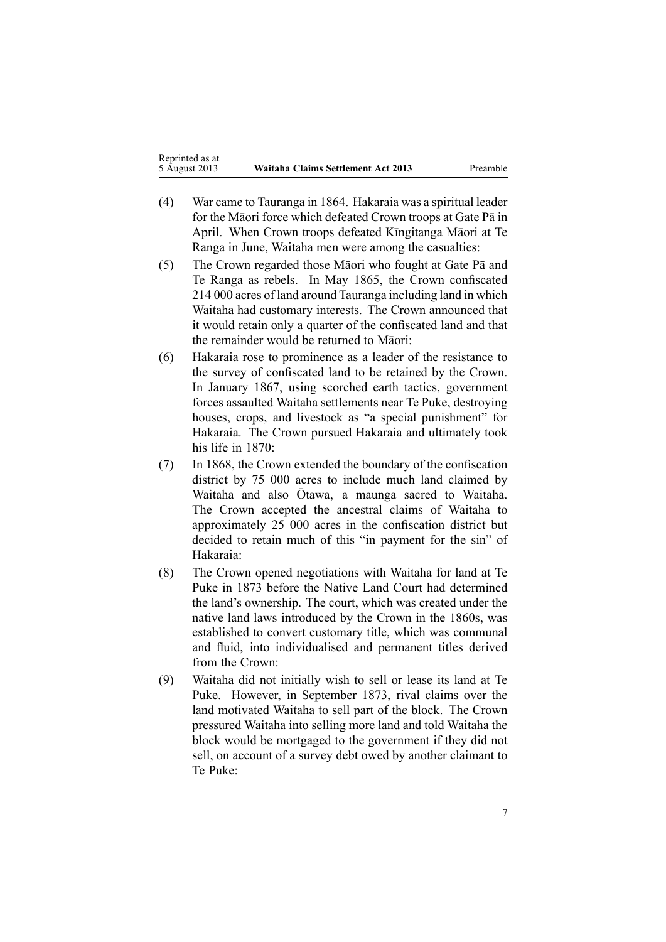- (4) War came to Tauranga in 1864. Hakaraia was <sup>a</sup> spiritual leader for the Māori force which defeated Crown troops at Gate Pā in April. When Crown troops defeated Kīngitanga Māori at Te Ranga in June, Waitaha men were among the casualties:
- (5) The Crown regarded those Māori who fought at Gate Pā and Te Ranga as rebels. In May 1865, the Crown confiscated 214 000 acres of land around Tauranga including land in which Waitaha had customary interests. The Crown announced that it would retain only <sup>a</sup> quarter of the confiscated land and that the remainder would be returned to Māori:
- (6) Hakaraia rose to prominence as <sup>a</sup> leader of the resistance to the survey of confiscated land to be retained by the Crown. In January 1867, using scorched earth tactics, governmen<sup>t</sup> forces assaulted Waitaha settlements near Te Puke, destroying houses, crops, and livestock as "a special punishment" for Hakaraia. The Crown pursued Hakaraia and ultimately took his life in 1870:
- (7) In 1868, the Crown extended the boundary of the confiscation district by 75 000 acres to include much land claimed by Waitaha and also Ōtawa, <sup>a</sup> maunga sacred to Waitaha. The Crown accepted the ancestral claims of Waitaha to approximately 25 000 acres in the confiscation district but decided to retain much of this "in paymen<sup>t</sup> for the sin" of Hakaraia:
- (8) The Crown opened negotiations with Waitaha for land at Te Puke in 1873 before the Native Land Court had determined the land's ownership. The court, which was created under the native land laws introduced by the Crown in the 1860s, was established to convert customary title, which was communal and fluid, into individualised and permanen<sup>t</sup> titles derived from the Crown:
- (9) Waitaha did not initially wish to sell or lease its land at Te Puke. However, in September 1873, rival claims over the land motivated Waitaha to sell par<sup>t</sup> of the block. The Crown pressured Waitaha into selling more land and told Waitaha the block would be mortgaged to the governmen<sup>t</sup> if they did not sell, on account of <sup>a</sup> survey debt owed by another claimant to Te Puke: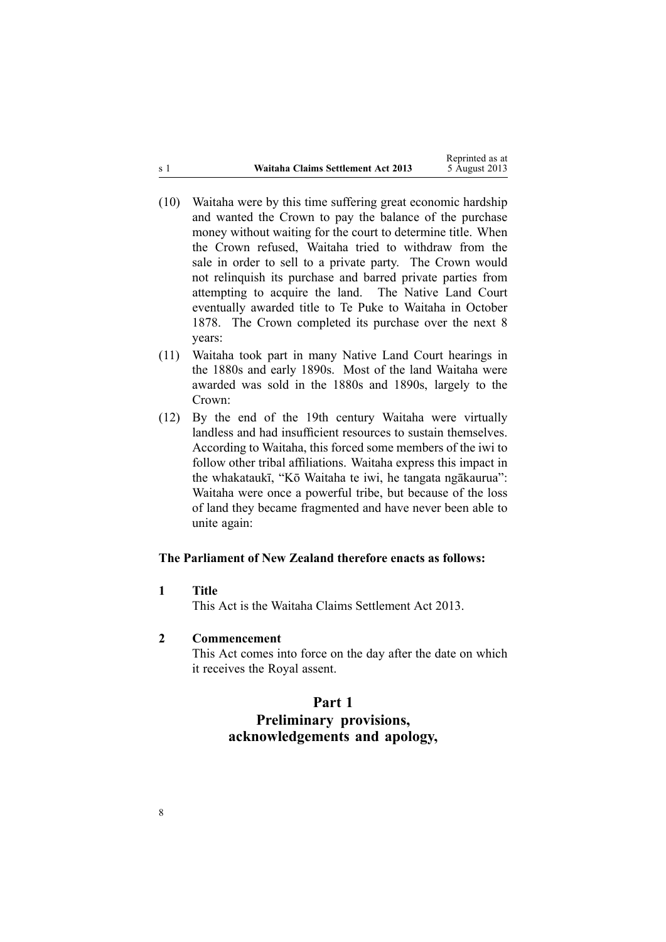<span id="page-7-0"></span>

|       |                                    | Reprinted as at |
|-------|------------------------------------|-----------------|
| .s. 1 | Waitaha Claims Settlement Act 2013 | 5 August 2013   |

- (10) Waitaha were by this time suffering grea<sup>t</sup> economic hardship and wanted the Crown to pay the balance of the purchase money without waiting for the court to determine title. When the Crown refused, Waitaha tried to withdraw from the sale in order to sell to <sup>a</sup> private party. The Crown would not relinquish its purchase and barred private parties from attempting to acquire the land. The Native Land Court eventually awarded title to Te Puke to Waitaha in October 1878. The Crown completed its purchase over the next 8 years:
- (11) Waitaha took par<sup>t</sup> in many Native Land Court hearings in the 1880s and early 1890s. Most of the land Waitaha were awarded was sold in the 1880s and 1890s, largely to the Crown:
- (12) By the end of the 19th century Waitaha were virtually landless and had insufficient resources to sustain themselves. According to Waitaha, this forced some members of the iwi to follow other tribal affiliations. Waitaha express this impact in the whakataukī, "Kō Waitaha te iwi, he tangata ngākaurua": Waitaha were once <sup>a</sup> powerful tribe, but because of the loss of land they became fragmented and have never been able to unite again:

#### **The Parliament of New Zealand therefore enacts as follows:**

**1 Title**

This Act is the Waitaha Claims Settlement Act 2013.

#### **2 Commencement**

This Act comes into force on the day after the date on which it receives the Royal assent.

#### **Part 1**

# **Preliminary provisions, acknowledgements and apology,**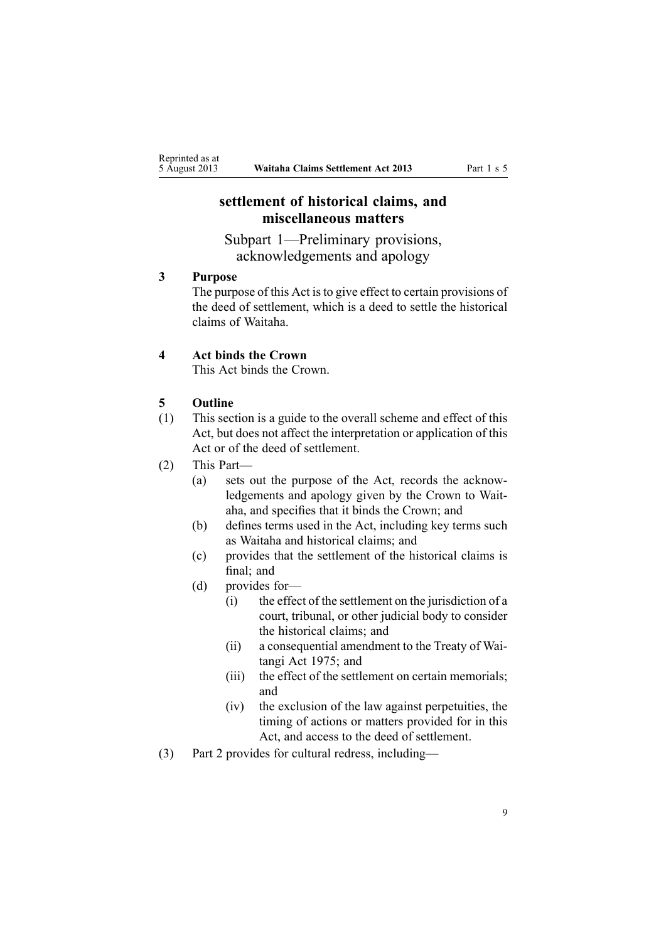# <span id="page-8-0"></span>**settlement of historical claims, and miscellaneous matters**

Subpart 1—Preliminary provisions, acknowledgements and apology

## **3 Purpose**

The purpose of this Act is to give effect to certain provisions of the deed of settlement, which is <sup>a</sup> deed to settle the historical claims of Waitaha.

#### **4 Act binds the Crown**

This Act binds the Crown.

#### **5 Outline**

- (1) This section is <sup>a</sup> guide to the overall scheme and effect of this Act, but does not affect the interpretation or application of this Act or of the deed of settlement.
- (2) This Part—
	- (a) sets out the purpose of the Act, records the acknowledgements and apology given by the Crown to Waitaha, and specifies that it binds the Crown; and
	- (b) defines terms used in the Act, including key terms such as Waitaha and historical claims; and
	- (c) provides that the settlement of the historical claims is final; and
	- (d) provides for—
		- (i) the effect of the settlement on the jurisdiction of <sup>a</sup> court, tribunal, or other judicial body to consider the historical claims; and
		- (ii) <sup>a</sup> consequential amendment to the [Treaty](http://www.legislation.govt.nz/pdflink.aspx?id=DLM435367) of Wai[tangi](http://www.legislation.govt.nz/pdflink.aspx?id=DLM435367) Act 1975; and
		- (iii) the effect of the settlement on certain memorials; and
		- (iv) the exclusion of the law against perpetuities, the timing of actions or matters provided for in this Act, and access to the deed of settlement.
- (3) [Part](#page-25-0) 2 provides for cultural redress, including—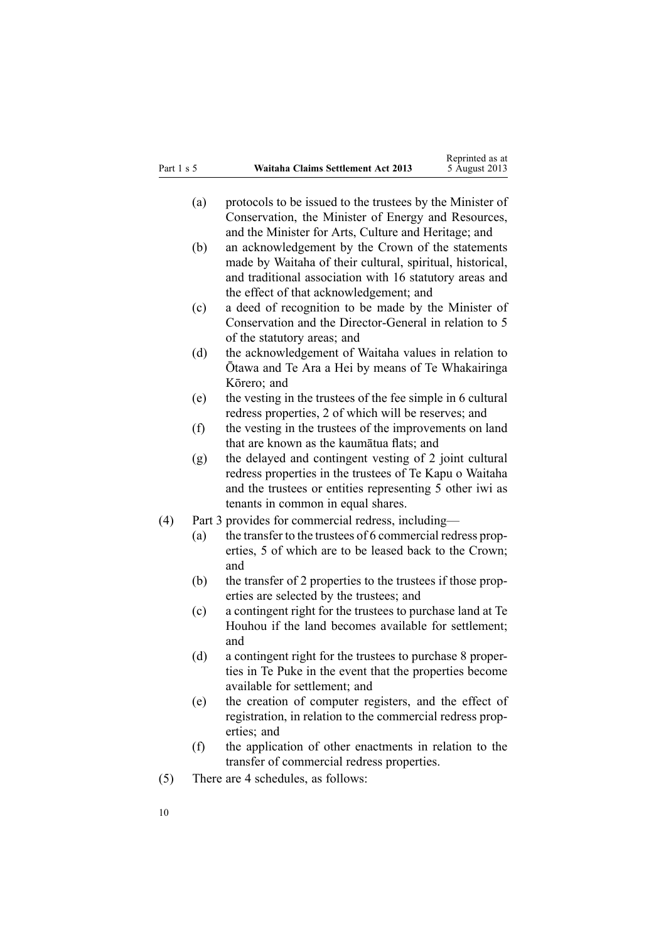- (a) protocols to be issued to the trustees by the Minister of Conservation, the Minister of Energy and Resources, and the Minister for Arts, Culture and Heritage; and
- (b) an acknowledgement by the Crown of the statements made by Waitaha of their cultural, spiritual, historical, and traditional association with 16 statutory areas and the effect of that acknowledgement; and
- (c) <sup>a</sup> deed of recognition to be made by the Minister of Conservation and the Director-General in relation to 5 of the statutory areas; and
- (d) the acknowledgement of Waitaha values in relation to Ōtawa and Te Ara <sup>a</sup> Hei by means of Te Whakairinga Kōrero; and
- (e) the vesting in the trustees of the fee simple in 6 cultural redress properties, 2 of which will be reserves; and
- (f) the vesting in the trustees of the improvements on land that are known as the kaumātua flats; and
- (g) the delayed and contingent vesting of 2 joint cultural redress properties in the trustees of Te Kapu <sup>o</sup> Waitaha and the trustees or entities representing 5 other iwi as tenants in common in equal shares.
- (4) [Part](#page-61-0) 3 provides for commercial redress, including—
	- (a) the transfer to the trustees of 6 commercial redress properties, 5 of which are to be leased back to the Crown; and
	- (b) the transfer of 2 properties to the trustees if those properties are selected by the trustees; and
	- (c) <sup>a</sup> contingent right for the trustees to purchase land at Te Houhou if the land becomes available for settlement; and
	- (d) <sup>a</sup> contingent right for the trustees to purchase 8 properties in Te Puke in the event that the properties become available for settlement; and
	- (e) the creation of computer registers, and the effect of registration, in relation to the commercial redress properties; and
	- (f) the application of other enactments in relation to the transfer of commercial redress properties.
- (5) There are 4 schedules, as follows: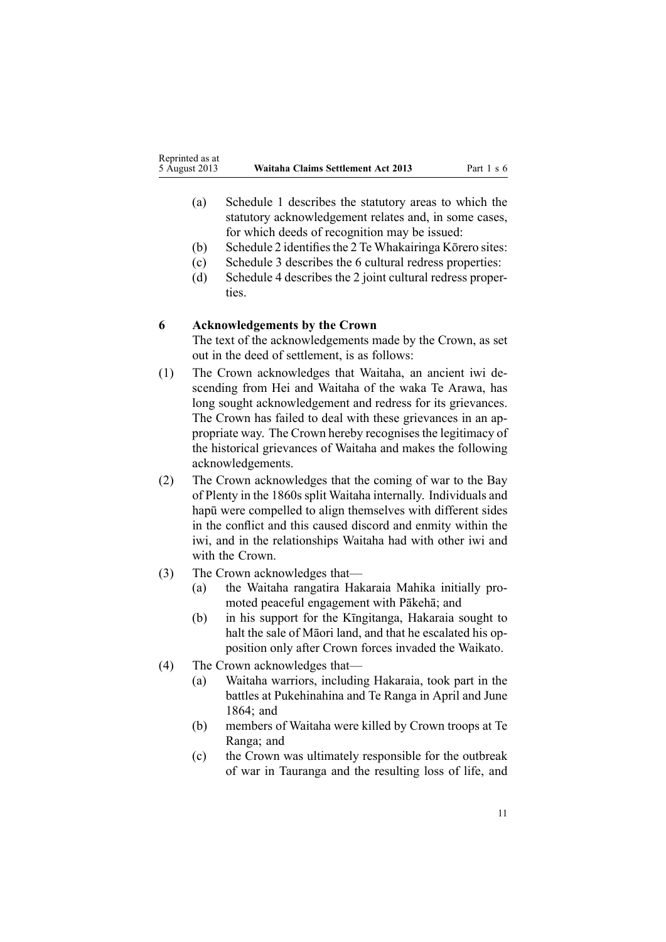- <span id="page-10-0"></span>(a) [Schedule](#page-65-0) 1 describes the statutory areas to which the statutory acknowledgement relates and, in some cases, for which deeds of recognition may be issued:
- (b) [Schedule](#page-66-0) 2 identifies the 2 Te Whakairinga Kōrero sites:
- (c) [Schedule](#page-67-0) 3 describes the 6 cultural redress properties:
- (d) [Schedule](#page-69-0) 4 describes the 2 joint cultural redress properties.

# **6 Acknowledgements by the Crown**

The text of the acknowledgements made by the Crown, as set out in the deed of settlement, is as follows:

- (1) The Crown acknowledges that Waitaha, an ancient iwi descending from Hei and Waitaha of the waka Te Arawa, has long sought acknowledgement and redress for its grievances. The Crown has failed to deal with these grievances in an appropriate way. The Crown hereby recognises the legitimacy of the historical grievances of Waitaha and makes the following acknowledgements.
- (2) The Crown acknowledges that the coming of war to the Bay of Plenty in the 1860s split Waitaha internally. Individuals and hapū were compelled to align themselves with different sides in the conflict and this caused discord and enmity within the iwi, and in the relationships Waitaha had with other iwi and with the Crown.
- (3) The Crown acknowledges that—
	- (a) the Waitaha rangatira Hakaraia Mahika initially promoted peaceful engagemen<sup>t</sup> with Pākehā; and
	- (b) in his suppor<sup>t</sup> for the Kīngitanga, Hakaraia sought to halt the sale of Māori land, and that he escalated his opposition only after Crown forces invaded the Waikato.
- (4) The Crown acknowledges that—
	- (a) Waitaha warriors, including Hakaraia, took par<sup>t</sup> in the battles at Pukehinahina and Te Ranga in April and June 1864; and
	- (b) members of Waitaha were killed by Crown troops at Te Ranga; and
	- (c) the Crown was ultimately responsible for the outbreak of war in Tauranga and the resulting loss of life, and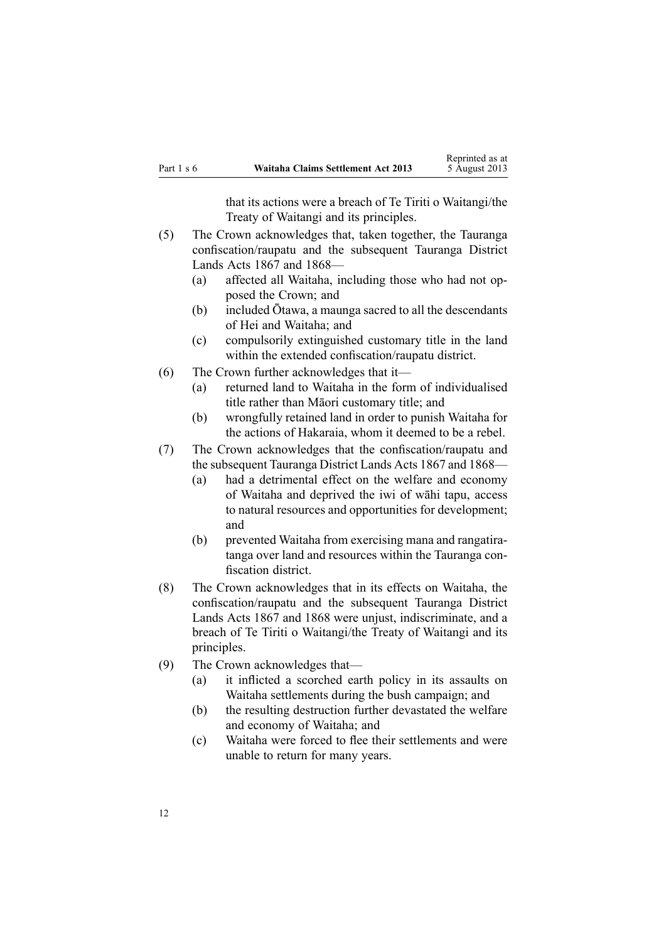that its actions were <sup>a</sup> breach of Te Tiriti <sup>o</sup> Waitangi/the Treaty of Waitangi and its principles.

- (5) The Crown acknowledges that, taken together, the Tauranga confiscation/raupatu and the subsequent Tauranga District Lands Acts 1867 and 1868—
	- (a) affected all Waitaha, including those who had not opposed the Crown; and
	- (b) included Ōtawa, <sup>a</sup> maunga sacred to all the descendants of Hei and Waitaha; and
	- (c) compulsorily extinguished customary title in the land within the extended confiscation/raupatu district.
- (6) The Crown further acknowledges that it—
	- (a) returned land to Waitaha in the form of individualised title rather than Māori customary title; and
	- (b) wrongfully retained land in order to punish Waitaha for the actions of Hakaraia, whom it deemed to be <sup>a</sup> rebel.
- (7) The Crown acknowledges that the confiscation/raupatu and the subsequent Tauranga District Lands Acts 1867 and 1868—
	- (a) had <sup>a</sup> detrimental effect on the welfare and economy of Waitaha and deprived the iwi of wāhi tapu, access to natural resources and opportunities for development; and
	- (b) prevented Waitaha from exercising mana and rangatiratanga over land and resources within the Tauranga confiscation district.
- (8) The Crown acknowledges that in its effects on Waitaha, the confiscation/raupatu and the subsequent Tauranga District Lands Acts 1867 and 1868 were unjust, indiscriminate, and <sup>a</sup> breach of Te Tiriti <sup>o</sup> Waitangi/the Treaty of Waitangi and its principles.
- (9) The Crown acknowledges that—
	- (a) it inflicted <sup>a</sup> scorched earth policy in its assaults on Waitaha settlements during the bush campaign; and
	- (b) the resulting destruction further devastated the welfare and economy of Waitaha; and
	- (c) Waitaha were forced to flee their settlements and were unable to return for many years.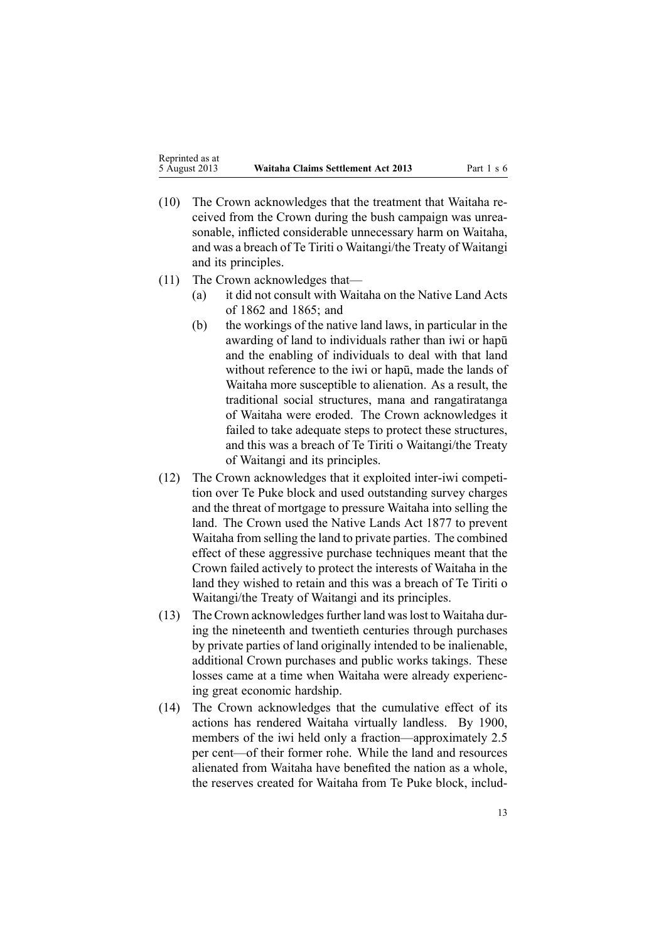- (10) The Crown acknowledges that the treatment that Waitaha received from the Crown during the bush campaign was unreasonable, inflicted considerable unnecessary harm on Waitaha, and was <sup>a</sup> breach of Te Tiriti <sup>o</sup> Waitangi/the Treaty of Waitangi and its principles.
- (11) The Crown acknowledges that—
	- (a) it did not consult with Waitaha on the Native Land Acts of 1862 and 1865; and
	- (b) the workings of the native land laws, in particular in the awarding of land to individuals rather than iwi or hapū and the enabling of individuals to deal with that land without reference to the iwi or hapū, made the lands of Waitaha more susceptible to alienation. As <sup>a</sup> result, the traditional social structures, mana and rangatiratanga of Waitaha were eroded. The Crown acknowledges it failed to take adequate steps to protect these structures, and this was <sup>a</sup> breach of Te Tiriti <sup>o</sup> Waitangi/the Treaty of Waitangi and its principles.
- (12) The Crown acknowledges that it exploited inter-iwi competition over Te Puke block and used outstanding survey charges and the threat of mortgage to pressure Waitaha into selling the land. The Crown used the Native Lands Act 1877 to preven<sup>t</sup> Waitaha from selling the land to private parties. The combined effect of these aggressive purchase techniques meant that the Crown failed actively to protect the interests of Waitaha in the land they wished to retain and this was <sup>a</sup> breach of Te Tiriti <sup>o</sup> Waitangi/the Treaty of Waitangi and its principles.
- (13) The Crown acknowledges further land was lost to Waitaha during the nineteenth and twentieth centuries through purchases by private parties of land originally intended to be inalienable, additional Crown purchases and public works takings. These losses came at <sup>a</sup> time when Waitaha were already experiencing grea<sup>t</sup> economic hardship.
- (14) The Crown acknowledges that the cumulative effect of its actions has rendered Waitaha virtually landless. By 1900, members of the iwi held only <sup>a</sup> fraction—approximately 2.5 per cent—of their former rohe. While the land and resources alienated from Waitaha have benefited the nation as <sup>a</sup> whole, the reserves created for Waitaha from Te Puke block, includ-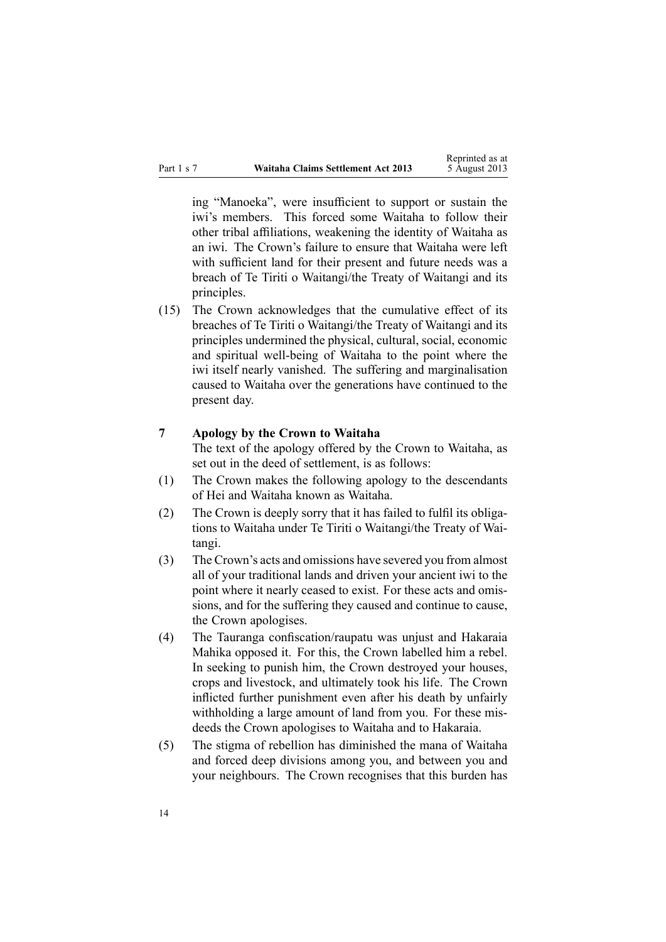<span id="page-13-0"></span>

|            |                                    | Reprinted as at |
|------------|------------------------------------|-----------------|
| Part 1 s 7 | Waitaha Claims Settlement Act 2013 | 5 August 2013   |

ing "Manoeka", were insufficient to suppor<sup>t</sup> or sustain the iwi's members. This forced some Waitaha to follow their other tribal affiliations, weakening the identity of Waitaha as an iwi. The Crown's failure to ensure that Waitaha were left with sufficient land for their presen<sup>t</sup> and future needs was <sup>a</sup> breach of Te Tiriti <sup>o</sup> Waitangi/the Treaty of Waitangi and its principles.

(15) The Crown acknowledges that the cumulative effect of its breaches of Te Tiriti <sup>o</sup> Waitangi/the Treaty of Waitangi and its principles undermined the physical, cultural, social, economic and spiritual well-being of Waitaha to the point where the iwi itself nearly vanished. The suffering and marginalisation caused to Waitaha over the generations have continued to the presen<sup>t</sup> day.

#### **7 Apology by the Crown to Waitaha**

The text of the apology offered by the Crown to Waitaha, as set out in the deed of settlement, is as follows:

- (1) The Crown makes the following apology to the descendants of Hei and Waitaha known as Waitaha.
- (2) The Crown is deeply sorry that it has failed to fulfil its obligations to Waitaha under Te Tiriti <sup>o</sup> Waitangi/the Treaty of Waitangi.
- (3) The Crown's acts and omissions have severed you from almost all of your traditional lands and driven your ancient iwi to the point where it nearly ceased to exist. For these acts and omissions, and for the suffering they caused and continue to cause, the Crown apologises.
- (4) The Tauranga confiscation/raupatu was unjust and Hakaraia Mahika opposed it. For this, the Crown labelled him <sup>a</sup> rebel. In seeking to punish him, the Crown destroyed your houses, crops and livestock, and ultimately took his life. The Crown inflicted further punishment even after his death by unfairly withholding <sup>a</sup> large amount of land from you. For these misdeeds the Crown apologises to Waitaha and to Hakaraia.
- (5) The stigma of rebellion has diminished the mana of Waitaha and forced deep divisions among you, and between you and your neighbours. The Crown recognises that this burden has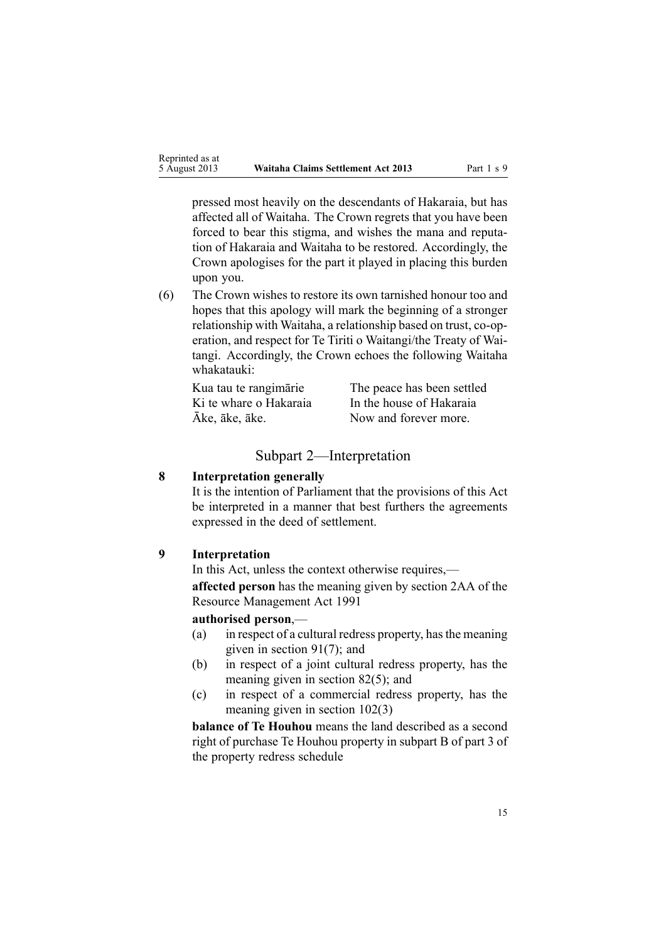<span id="page-14-0"></span>pressed most heavily on the descendants of Hakaraia, but has affected all of Waitaha. The Crown regrets that you have been forced to bear this stigma, and wishes the mana and reputation of Hakaraia and Waitaha to be restored. Accordingly, the Crown apologises for the par<sup>t</sup> it played in placing this burden upon you.

(6) The Crown wishes to restore its own tarnished honour too and hopes that this apology will mark the beginning of <sup>a</sup> stronger relationship with Waitaha, <sup>a</sup> relationship based on trust, co-operation, and respec<sup>t</sup> for Te Tiriti <sup>o</sup> Waitangi/the Treaty of Waitangi. Accordingly, the Crown echoes the following Waitaha whakatauki:

| Kua tau te rangimārie  | The peace has been settled |
|------------------------|----------------------------|
| Ki te whare o Hakaraia | In the house of Hakaraia   |
| Āke, āke, āke.         | Now and forever more.      |

#### Subpart 2—Interpretation

# **8 Interpretation generally**

It is the intention of Parliament that the provisions of this Act be interpreted in <sup>a</sup> manner that best furthers the agreements expressed in the deed of settlement.

#### **9 Interpretation**

In this Act, unless the context otherwise requires,—

**affected person** has the meaning given by [section](http://www.legislation.govt.nz/pdflink.aspx?id=DLM2408220) 2AA of the Resource Management Act 1991

#### **authorised person**,—

- (a) in respec<sup>t</sup> of <sup>a</sup> cultural redress property, hasthe meaning given in [section](#page-56-0) 91(7); and
- (b) in respec<sup>t</sup> of <sup>a</sup> joint cultural redress property, has the meaning given in [section](#page-52-0) 82(5); and
- (c) in respec<sup>t</sup> of <sup>a</sup> commercial redress property, has the meaning given in section [102\(3\)](#page-62-0)

**balance of Te Houhou** means the land described as <sup>a</sup> second right of purchase Te Houhou property in subpart B of par<sup>t</sup> 3 of the property redress schedule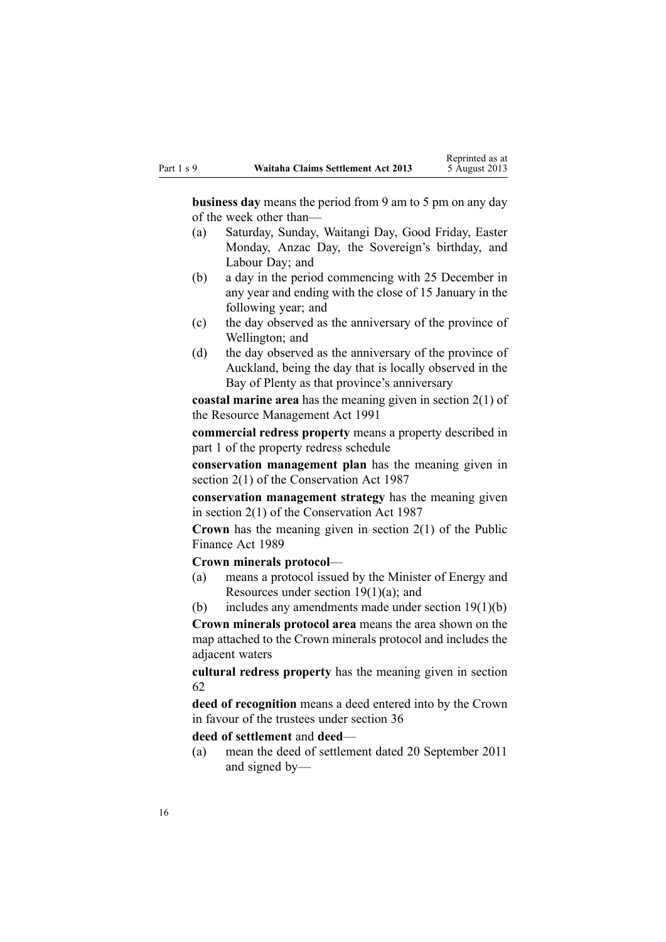**business day** means the period from 9 am to 5 pm on any day of the week other than—

- (a) Saturday, Sunday, Waitangi Day, Good Friday, Easter Monday, Anzac Day, the Sovereign's birthday, and Labour Day; and
- (b) <sup>a</sup> day in the period commencing with 25 December in any year and ending with the close of 15 January in the following year; and
- (c) the day observed as the anniversary of the province of Wellington; and
- (d) the day observed as the anniversary of the province of Auckland, being the day that is locally observed in the Bay of Plenty as that province's anniversary

**coastal marine area** has the meaning given in [section](http://www.legislation.govt.nz/pdflink.aspx?id=DLM230272) 2(1) of the Resource Management Act 1991

**commercial redress property** means <sup>a</sup> property described in par<sup>t</sup> 1 of the property redress schedule

**conservation managemen<sup>t</sup> plan** has the meaning given in [section](http://www.legislation.govt.nz/pdflink.aspx?id=DLM103616) 2(1) of the Conservation Act 1987

**conservation managemen<sup>t</sup> strategy** has the meaning given in [section](http://www.legislation.govt.nz/pdflink.aspx?id=DLM103616) 2(1) of the Conservation Act 1987

**Crown** has the meaning given in [section](http://www.legislation.govt.nz/pdflink.aspx?id=DLM160819) 2(1) of the Public Finance Act 1989

**Crown minerals protocol**—

(a) means <sup>a</sup> protocol issued by the Minister of Energy and Resources under section  $19(1)(a)$ ; and

(b) includes any amendments made under section  $19(1)(b)$ 

**Crown minerals protocol area** means the area shown on the map attached to the Crown minerals protocol and includes the adjacent waters

**cultural redress property** has the meaning given in [section](#page-43-0) [62](#page-43-0)

**deed of recognition** means <sup>a</sup> deed entered into by the Crown in favour of the trustees under [section](#page-33-0) 36

**deed of settlement** and **deed**—

(a) mean the deed of settlement dated 20 September 2011 and signed by—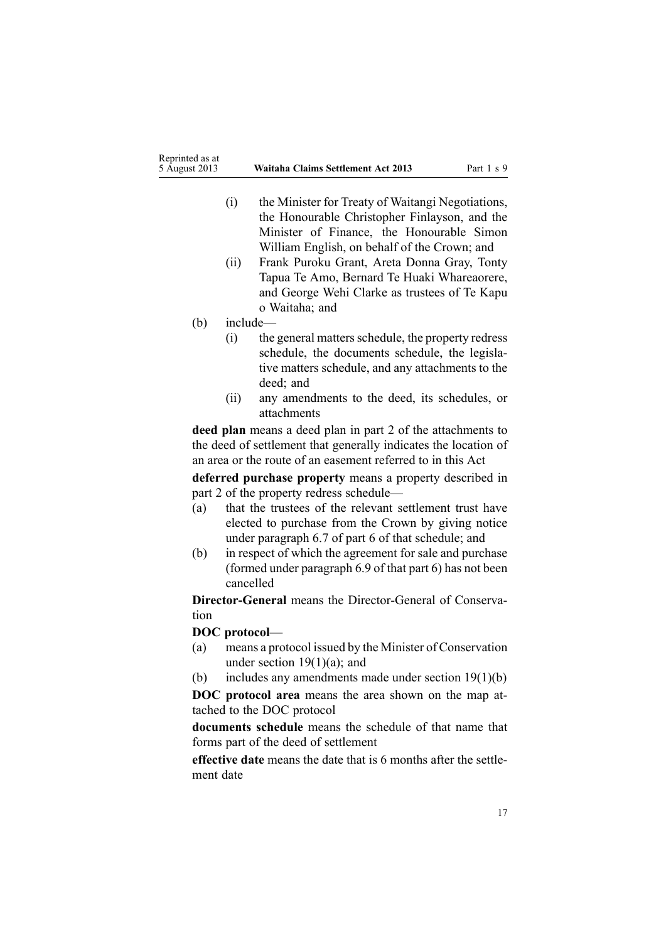- (i) the Minister for Treaty of Waitangi Negotiations, the Honourable Christopher Finlayson, and the Minister of Finance, the Honourable Simon William English, on behalf of the Crown; and
- (ii) Frank Puroku Grant, Areta Donna Gray, Tonty Tapua Te Amo, Bernard Te Huaki Whareaorere, and George Wehi Clarke as trustees of Te Kapu <sup>o</sup> Waitaha; and
- (b) include—
	- (i) the general mattersschedule, the property redress schedule, the documents schedule, the legislative matters schedule, and any attachments to the deed; and
	- (ii) any amendments to the deed, its schedules, or attachments

**deed plan** means <sup>a</sup> deed plan in par<sup>t</sup> 2 of the attachments to the deed of settlement that generally indicates the location of an area or the route of an easement referred to in this Act

**deferred purchase property** means <sup>a</sup> property described in par<sup>t</sup> 2 of the property redress schedule—

- (a) that the trustees of the relevant settlement trust have elected to purchase from the Crown by giving notice under paragraph 6.7 of par<sup>t</sup> 6 of that schedule; and
- (b) in respec<sup>t</sup> of which the agreemen<sup>t</sup> for sale and purchase (formed under paragraph 6.9 of that par<sup>t</sup> 6) has not been cancelled

**Director-General** means the Director-General of Conservation

#### **DOC protocol**—

- (a) means <sup>a</sup> protocol issued by the Minister of Conservation under section  $19(1)(a)$ ; and
- (b) includes any amendments made under section [19\(1\)\(b\)](#page-25-0)

**DOC protocol area** means the area shown on the map attached to the DOC protocol

**documents schedule** means the schedule of that name that forms par<sup>t</sup> of the deed of settlement

**effective date** means the date that is 6 months after the settlement date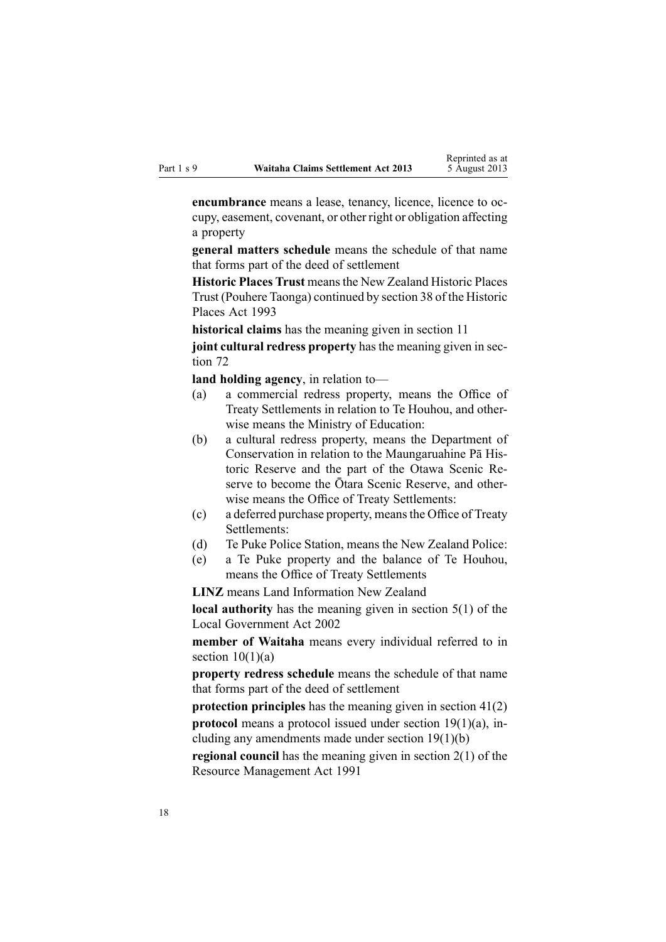**encumbrance** means <sup>a</sup> lease, tenancy, licence, licence to occupy, easement, covenant, or other right or obligation affecting <sup>a</sup> property

**general matters schedule** means the schedule of that name that forms par<sup>t</sup> of the deed of settlement

**Historic Places Trust** meansthe New Zealand Historic Places Trust (Pouhere Taonga) continued by [section](http://www.legislation.govt.nz/pdflink.aspx?id=DLM300681) 38 of the Historic Places Act 1993

**historical claims** has the meaning given in [section](#page-21-0) 11

**joint cultural redress property** has the meaning given in [sec](#page-47-0)[tion](#page-47-0) 72

**land holding agency**, in relation to—

- (a) <sup>a</sup> commercial redress property, means the Office of Treaty Settlements in relation to Te Houhou, and otherwise means the Ministry of Education:
- (b) <sup>a</sup> cultural redress property, means the Department of Conservation in relation to the Maungaruahine Pā Historic Reserve and the par<sup>t</sup> of the Otawa Scenic Reserve to become the Ōtara Scenic Reserve, and otherwise means the Office of Treaty Settlements:
- (c) <sup>a</sup> deferred purchase property, meansthe Office of Treaty Settlements:
- (d) Te Puke Police Station, means the New Zealand Police:
- (e) <sup>a</sup> Te Puke property and the balance of Te Houhou, means the Office of Treaty Settlements

**LINZ** means Land Information New Zealand

**local authority** has the meaning given in [section](http://www.legislation.govt.nz/pdflink.aspx?id=DLM170881) 5(1) of the Local Government Act 2002

**member of Waitaha** means every individual referred to in section  $10(1)(a)$ 

**property redress schedule** means the schedule of that name that forms par<sup>t</sup> of the deed of settlement

**protection principles** has the meaning given in [section](#page-35-0) 41(2) **protocol** means a protocol issued under section [19\(1\)\(a\)](#page-25-0), including any amendments made under section [19\(1\)\(b\)](#page-25-0)

**regional council** has the meaning given in [section](http://www.legislation.govt.nz/pdflink.aspx?id=DLM230272) 2(1) of the Resource Management Act 1991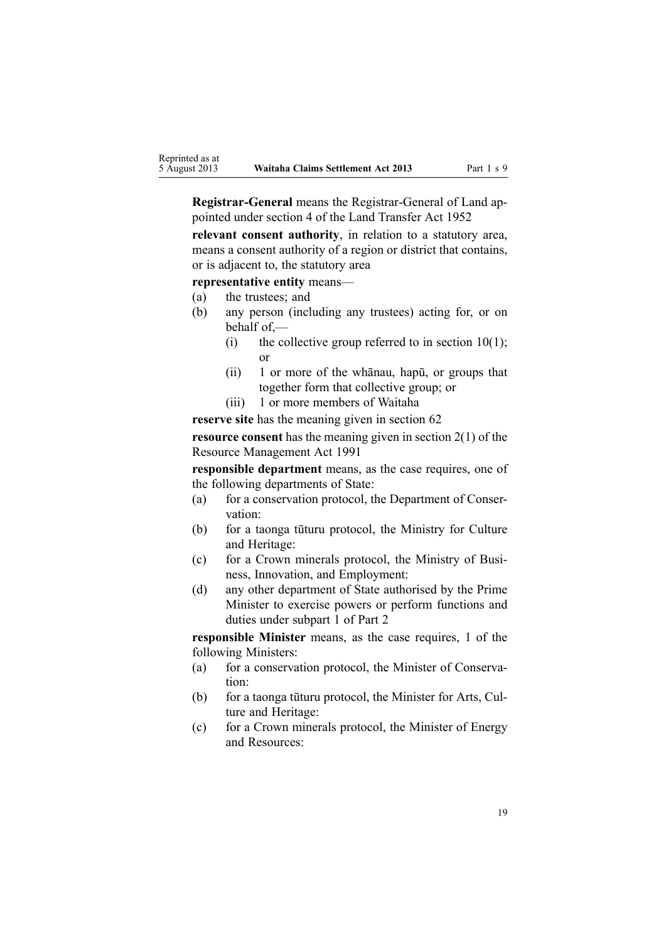**Registrar-General** means the Registrar-General of Land appointed under [section](http://www.legislation.govt.nz/pdflink.aspx?id=DLM270019) 4 of the Land Transfer Act 1952

**relevant consent authority**, in relation to <sup>a</sup> statutory area, means <sup>a</sup> consent authority of <sup>a</sup> region or district that contains, or is adjacent to, the statutory area

**representative entity** means—

- (a) the trustees; and
- (b) any person (including any trustees) acting for, or on behalf of,—
	- (i) the collective group referred to in section 10(1); or
	- (ii) 1 or more of the whānau, hapū, or groups that together form that collective group; or
	- (iii) 1 or more members of Waitaha

**reserve site** has the meaning given in [section](#page-43-0) 62

**resource consent** has the meaning given in [section](http://www.legislation.govt.nz/pdflink.aspx?id=DLM230272) 2(1) of the Resource Management Act 1991

**responsible department** means, as the case requires, one of the following departments of State:

- (a) for <sup>a</sup> conservation protocol, the Department of Conservation:
- (b) for <sup>a</sup> taonga tūturu protocol, the Ministry for Culture and Heritage:
- (c) for <sup>a</sup> Crown minerals protocol, the Ministry of Business, Innovation, and Employment:
- (d) any other department of State authorised by the Prime Minister to exercise powers or perform functions and duties under [subpart](#page-25-0) 1 of Part 2

**responsible Minister** means, as the case requires, 1 of the following Ministers:

- (a) for <sup>a</sup> conservation protocol, the Minister of Conservation:
- (b) for <sup>a</sup> taonga tūturu protocol, the Minister for Arts, Culture and Heritage:
- (c) for <sup>a</sup> Crown minerals protocol, the Minister of Energy and Resources: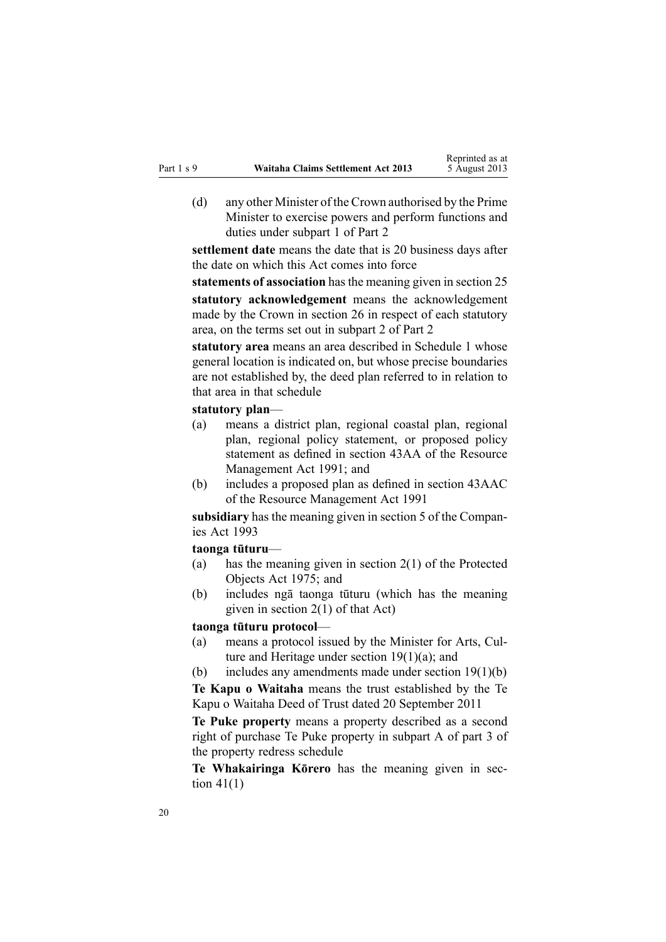(d) any other Minister of the Crown authorised by the Prime Minister to exercise powers and perform functions and duties under [subpart](#page-25-0) 1 of Part 2

**settlement date** means the date that is 20 business days after the date on which this Act comes into force

**statements of association** hasthe meaning given in [section](#page-28-0) 25 **statutory acknowledgement** means the acknowledgement made by the Crown in [section](#page-28-0) 26 in respec<sup>t</sup> of each statutory area, on the terms set out in [subpart](#page-28-0) 2 of Part 2

**statutory area** means an area described in [Schedule](#page-65-0) 1 whose general location is indicated on, but whose precise boundaries are not established by, the deed plan referred to in relation to that area in that schedule

#### **statutory plan**—

- (a) means <sup>a</sup> district plan, regional coastal plan, regional plan, regional policy statement, or proposed policy statement as defined in [section](http://www.legislation.govt.nz/pdflink.aspx?id=DLM2412743) 43AA of the Resource Management Act 1991; and
- (b) includes <sup>a</sup> proposed plan as defined in section [43AAC](http://www.legislation.govt.nz/pdflink.aspx?id=DLM2412769) of the Resource Management Act 1991

**subsidiary** has the meaning given in [section](http://www.legislation.govt.nz/pdflink.aspx?id=DLM319999) 5 of the Companies Act 1993

**taonga tūturu**—

- (a) has the meaning given in [section](http://www.legislation.govt.nz/pdflink.aspx?id=DLM432125) 2(1) of the Protected Objects Act 1975; and
- (b) includes ng<sup>ā</sup> taonga tūturu (which has the meaning given in [section](http://www.legislation.govt.nz/pdflink.aspx?id=DLM432125) 2(1) of that Act)

#### **taonga tūturu protocol**—

- (a) means <sup>a</sup> protocol issued by the Minister for Arts, Culture and Heritage under section [19\(1\)\(a\)](#page-25-0); and
- (b) includes any amendments made under section [19\(1\)\(b\)](#page-25-0)

**Te Kapu <sup>o</sup> Waitaha** means the trust established by the Te Kapu <sup>o</sup> Waitaha Deed of Trust dated 20 September 2011

**Te Puke property** means <sup>a</sup> property described as <sup>a</sup> second right of purchase Te Puke property in subpart A of par<sup>t</sup> 3 of the property redress schedule

**Te Whakairinga Kōrero** has the meaning given in [sec](#page-35-0)tion  $41(1)$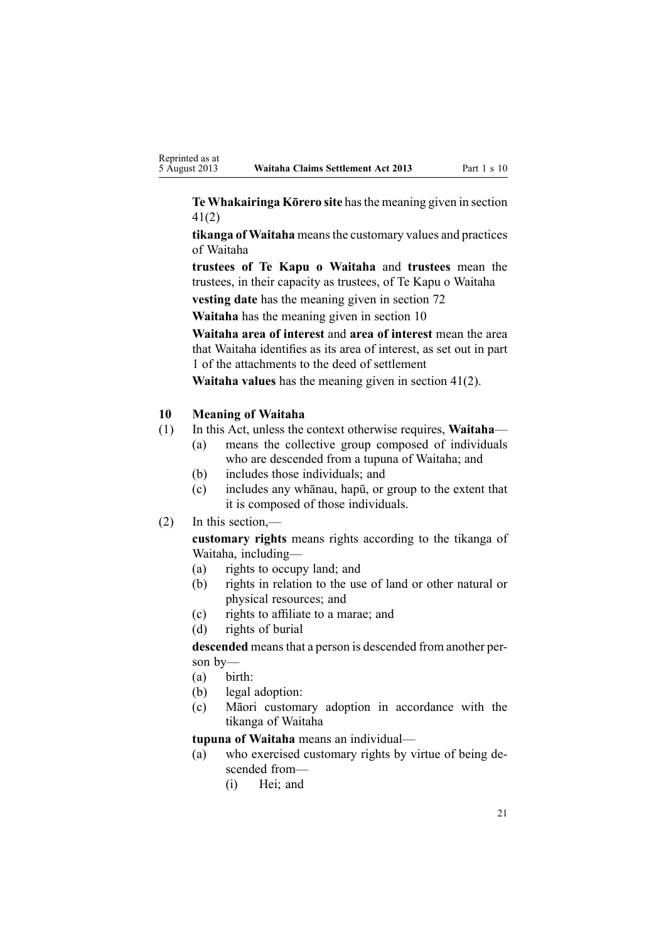<span id="page-20-0"></span>**Te Whakairinga Kōrero site** hasthe meaning given in [section](#page-35-0) [41\(2\)](#page-35-0)

**tikanga of Waitaha** meansthe customary values and practices of Waitaha

**trustees of Te Kapu <sup>o</sup> Waitaha** and **trustees** mean the trustees, in their capacity as trustees, of Te Kapu <sup>o</sup> Waitaha

**vesting date** has the meaning given in [section](#page-47-0) 72

**Waitaha** has the meaning given in section 10

**Waitaha area of interest** and **area of interest** mean the area that Waitaha identifies as its area of interest, as set out in par<sup>t</sup> 1 of the attachments to the deed of settlement

**Waitaha values** has the meaning given in section [41\(2\)](#page-35-0).

# **10 Meaning of Waitaha**

- (1) In this Act, unless the context otherwise requires, **Waitaha**
	- (a) means the collective group composed of individuals who are descended from <sup>a</sup> tupuna of Waitaha; and
	- (b) includes those individuals; and
	- (c) includes any whānau, hapū, or group to the extent that it is composed of those individuals.
- (2) In this section,—

**customary rights** means rights according to the tikanga of Waitaha, including—

- (a) rights to occupy land; and
- (b) rights in relation to the use of land or other natural or physical resources; and
- (c) rights to affiliate to <sup>a</sup> marae; and
- (d) rights of burial

**descended** meansthat <sup>a</sup> person is descended from another person by—

- (a) birth:
- (b) legal adoption:
- (c) Māori customary adoption in accordance with the tikanga of Waitaha

**tupuna of Waitaha** means an individual—

- (a) who exercised customary rights by virtue of being descended from—
	- (i) Hei; and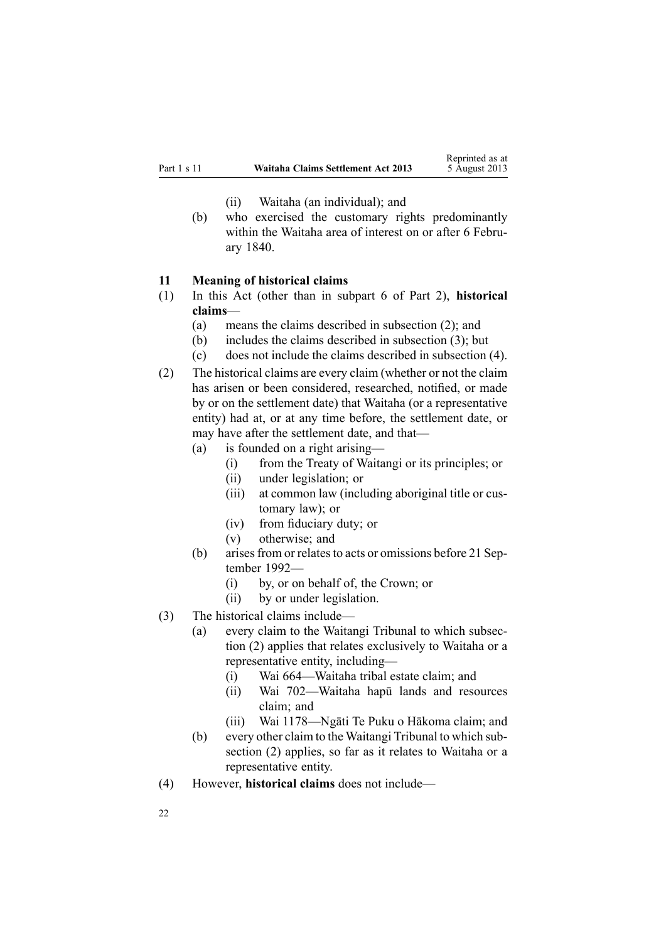- (ii) Waitaha (an individual); and
- <span id="page-21-0"></span>(b) who exercised the customary rights predominantly within the Waitaha area of interest on or after 6 February 1840.

#### **11 Meaning of historical claims**

- (1) In this Act (other than in [subpart](#page-47-0) 6 of Part 2), **historical claims**—
	- (a) means the claims described in subsection (2); and
	- (b) includes the claims described in subsection (3); but
	- (c) does not include the claims described in subsection (4).
- (2) The historical claims are every claim (whether or not the claim has arisen or been considered, researched, notified, or made by or on the settlement date) that Waitaha (or <sup>a</sup> representative entity) had at, or at any time before, the settlement date, or may have after the settlement date, and that—
	- (a) is founded on <sup>a</sup> right arising—
		- (i) from the Treaty of Waitangi or its principles; or
		- (ii) under legislation; or
		- (iii) at common law (including aboriginal title or customary law); or
		- (iv) from fiduciary duty; or
		- (v) otherwise; and
	- (b) arises from or relates to acts or omissions before 21 September 1992—
		- (i) by, or on behalf of, the Crown; or
		- (ii) by or under legislation.
- (3) The historical claims include—
	- (a) every claim to the Waitangi Tribunal to which subsection (2) applies that relates exclusively to Waitaha or <sup>a</sup> representative entity, including—
		- (i) Wai 664—Waitaha tribal estate claim; and
		- (ii) Wai 702—Waitaha hapū lands and resources claim; and
		- (iii) Wai 1178—Ngāti Te Puku <sup>o</sup> Hākoma claim; and
	- (b) every other claim to the Waitangi Tribunal to which subsection (2) applies, so far as it relates to Waitaha or <sup>a</sup> representative entity.
- (4) However, **historical claims** does not include—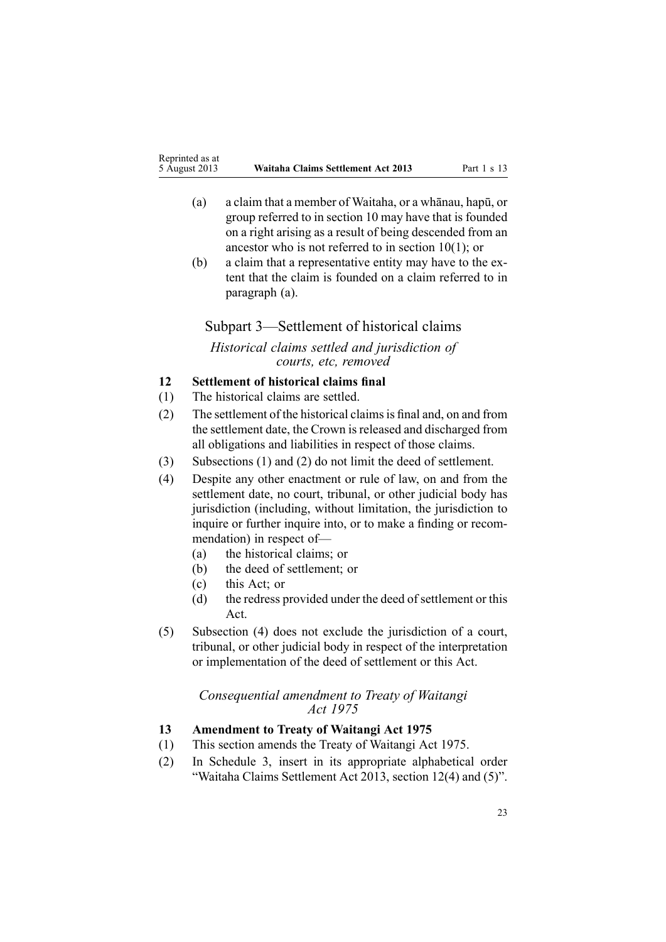- <span id="page-22-0"></span>(a) <sup>a</sup> claim that <sup>a</sup> member of Waitaha, or <sup>a</sup> whānau, hapū, or group referred to in [section](#page-20-0) 10 may have that is founded on <sup>a</sup> right arising as <sup>a</sup> result of being descended from an ancestor who is not referred to in section 10(1); or
- (b) <sup>a</sup> claim that <sup>a</sup> representative entity may have to the extent that the claim is founded on <sup>a</sup> claim referred to in paragraph (a).

# Subpart 3—Settlement of historical claims

*Historical claims settled and jurisdiction of courts, etc, removed*

# **12 Settlement of historical claims final**

- (1) The historical claims are settled.
- (2) The settlement of the historical claimsis final and, on and from the settlement date, the Crown is released and discharged from all obligations and liabilities in respec<sup>t</sup> of those claims.
- (3) Subsections (1) and (2) do not limit the deed of settlement.
- (4) Despite any other enactment or rule of law, on and from the settlement date, no court, tribunal, or other judicial body has jurisdiction (including, without limitation, the jurisdiction to inquire or further inquire into, or to make <sup>a</sup> finding or recommendation) in respec<sup>t</sup> of—
	- (a) the historical claims; or
	- (b) the deed of settlement; or
	- (c) this Act; or
	- (d) the redress provided under the deed of settlement or this Act.
- (5) Subsection (4) does not exclude the jurisdiction of <sup>a</sup> court, tribunal, or other judicial body in respec<sup>t</sup> of the interpretation or implementation of the deed of settlement or this Act.

# *Consequential amendment to Treaty of Waitangi Act 1975*

# **13 Amendment to Treaty of Waitangi Act 1975**

- (1) This section amends the Treaty of [Waitangi](http://www.legislation.govt.nz/pdflink.aspx?id=DLM435367) Act 1975.
- (2) In [Schedule](http://www.legislation.govt.nz/pdflink.aspx?id=DLM1347539) 3, insert in its appropriate alphabetical order "Waitaha Claims Settlement Act 2013, section 12(4) and (5)".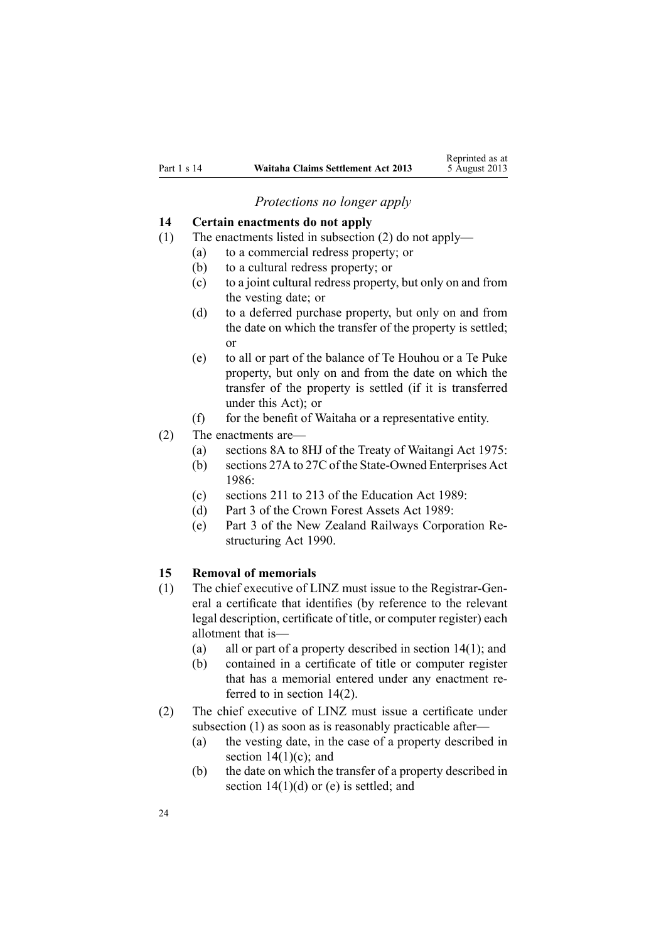*Protections no longer apply*

#### <span id="page-23-0"></span>**14 Certain enactments do not apply**

- (1) The enactments listed in subsection (2) do not apply—
	- (a) to <sup>a</sup> commercial redress property; or
	- (b) to <sup>a</sup> cultural redress property; or
	- (c) to <sup>a</sup> joint cultural redress property, but only on and from the vesting date; or
	- (d) to <sup>a</sup> deferred purchase property, but only on and from the date on which the transfer of the property is settled; or
	- (e) to all or par<sup>t</sup> of the balance of Te Houhou or <sup>a</sup> Te Puke property, but only on and from the date on which the transfer of the property is settled (if it is transferred under this Act); or
	- (f) for the benefit of Waitaha or <sup>a</sup> representative entity.
- (2) The enactments are—
	- (a) [sections](http://www.legislation.govt.nz/pdflink.aspx?id=DLM435544) 8A to 8HJ of the Treaty of Waitangi Act 1975:
	- (b) [sections](http://www.legislation.govt.nz/pdflink.aspx?id=DLM98097) 27A to 27C of the State-Owned Enterprises Act 1986:
	- (c) [sections](http://www.legislation.govt.nz/pdflink.aspx?id=DLM184658) 211 to 213 of the Education Act 1989:
	- (d) [Part](http://www.legislation.govt.nz/pdflink.aspx?id=DLM192356) 3 of the Crown Forest Assets Act 1989:
	- (e) [Part](http://www.legislation.govt.nz/pdflink.aspx?id=DLM223144) 3 of the New Zealand Railways Corporation Restructuring Act 1990.

#### **15 Removal of memorials**

- (1) The chief executive of LINZ must issue to the Registrar-General <sup>a</sup> certificate that identifies (by reference to the relevant legal description, certificate of title, or computer register) each allotment that is—
	- (a) all or par<sup>t</sup> of <sup>a</sup> property described in section 14(1); and
	- (b) contained in <sup>a</sup> certificate of title or computer register that has <sup>a</sup> memorial entered under any enactment referred to in section 14(2).
- (2) The chief executive of LINZ must issue <sup>a</sup> certificate under subsection (1) as soon as is reasonably practicable after—
	- (a) the vesting date, in the case of <sup>a</sup> property described in section  $14(1)(c)$ ; and
	- (b) the date on which the transfer of <sup>a</sup> property described in section  $14(1)(d)$  or (e) is settled; and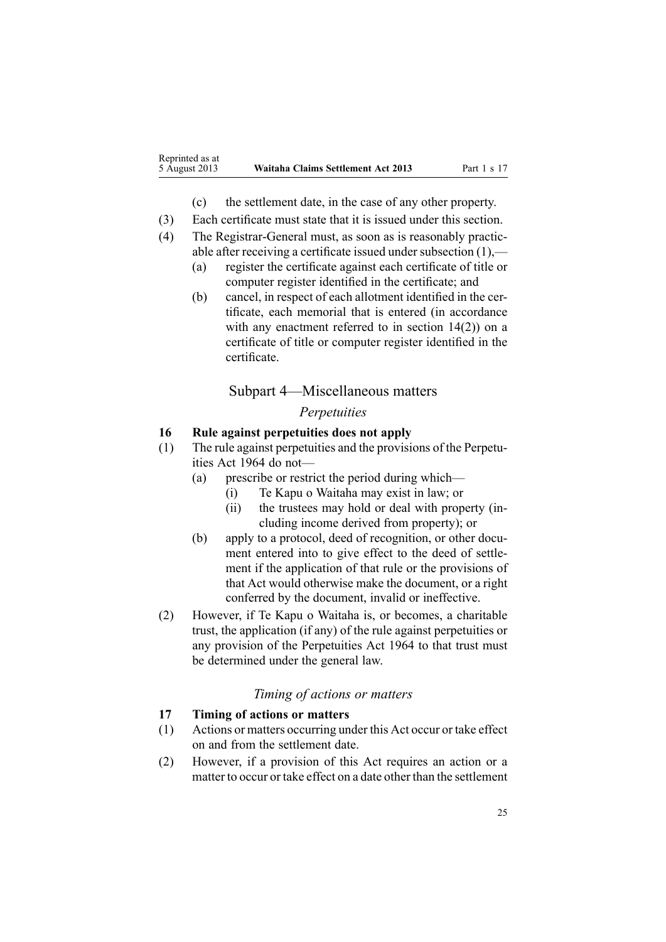- (c) the settlement date, in the case of any other property.
- <span id="page-24-0"></span>(3) Each certificate must state that it is issued under this section.
- (4) The Registrar-General must, as soon as is reasonably practicable after receiving <sup>a</sup> certificate issued under subsection (1),—
	- (a) register the certificate against each certificate of title or computer register identified in the certificate; and
	- (b) cancel, in respec<sup>t</sup> of each allotment identified in the certificate, each memorial that is entered (in accordance with any enactment referred to in [section](#page-23-0) 14(2)) on a certificate of title or computer register identified in the certificate.

# Subpart 4—Miscellaneous matters

# *Perpetuities*

#### **16 Rule against perpetuities does not apply**

- (1) The rule against perpetuities and the provisions of the [Perpetu](http://www.legislation.govt.nz/pdflink.aspx?id=DLM353436)ities Act [1964](http://www.legislation.govt.nz/pdflink.aspx?id=DLM353436) do not—
	- (a) prescribe or restrict the period during which—
		- (i) Te Kapu <sup>o</sup> Waitaha may exist in law; or
		- (ii) the trustees may hold or deal with property (including income derived from property); or
	- (b) apply to <sup>a</sup> protocol, deed of recognition, or other document entered into to give effect to the deed of settlement if the application of that rule or the provisions of that [Act](http://www.legislation.govt.nz/pdflink.aspx?id=DLM353436) would otherwise make the document, or <sup>a</sup> right conferred by the document, invalid or ineffective.
- (2) However, if Te Kapu <sup>o</sup> Waitaha is, or becomes, <sup>a</sup> charitable trust, the application (if any) of the rule against perpetuities or any provision of the [Perpetuities](http://www.legislation.govt.nz/pdflink.aspx?id=DLM353436) Act 1964 to that trust must be determined under the general law.

# *Timing of actions or matters*

# **17 Timing of actions or matters**

- (1) Actions or matters occurring under this Act occur or take effect on and from the settlement date.
- (2) However, if <sup>a</sup> provision of this Act requires an action or <sup>a</sup> matter to occur or take effect on <sup>a</sup> date other than the settlement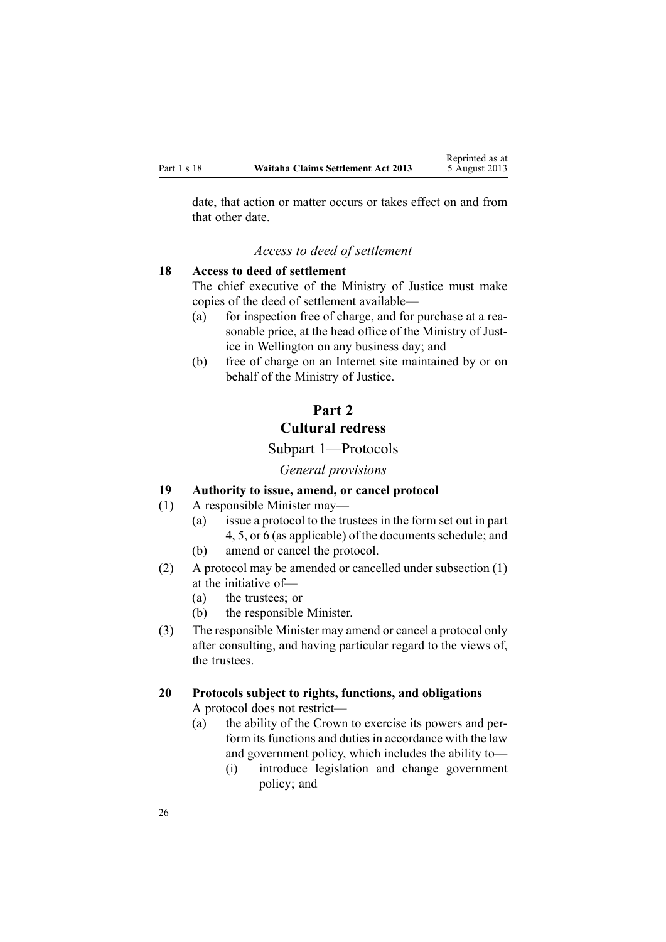<span id="page-25-0"></span>date, that action or matter occurs or takes effect on and from that other date.

Reprinted as at

#### *Access to deed of settlement*

#### **18 Access to deed of settlement**

The chief executive of the Ministry of Justice must make copies of the deed of settlement available—

- (a) for inspection free of charge, and for purchase at <sup>a</sup> reasonable price, at the head office of the Ministry of Justice in Wellington on any business day; and
- (b) free of charge on an Internet site maintained by or on behalf of the Ministry of Justice.

# **Part 2**

# **Cultural redress**

# Subpart 1—Protocols

#### *General provisions*

# **19 Authority to issue, amend, or cancel protocol**

- (1) A responsible Minister may—
	- (a) issue <sup>a</sup> protocol to the trustees in the form set out in par<sup>t</sup> 4, 5, or 6 (as applicable) of the documents schedule; and
		- (b) amend or cancel the protocol.
- (2) A protocol may be amended or cancelled under subsection (1) at the initiative of—
	- (a) the trustees; or
	- (b) the responsible Minister.
- (3) The responsible Minister may amend or cancel <sup>a</sup> protocol only after consulting, and having particular regard to the views of, the trustees.

# **20 Protocols subject to rights, functions, and obligations**

A protocol does not restrict—

- (a) the ability of the Crown to exercise its powers and perform its functions and duties in accordance with the law and governmen<sup>t</sup> policy, which includes the ability to—
	- (i) introduce legislation and change governmen<sup>t</sup> policy; and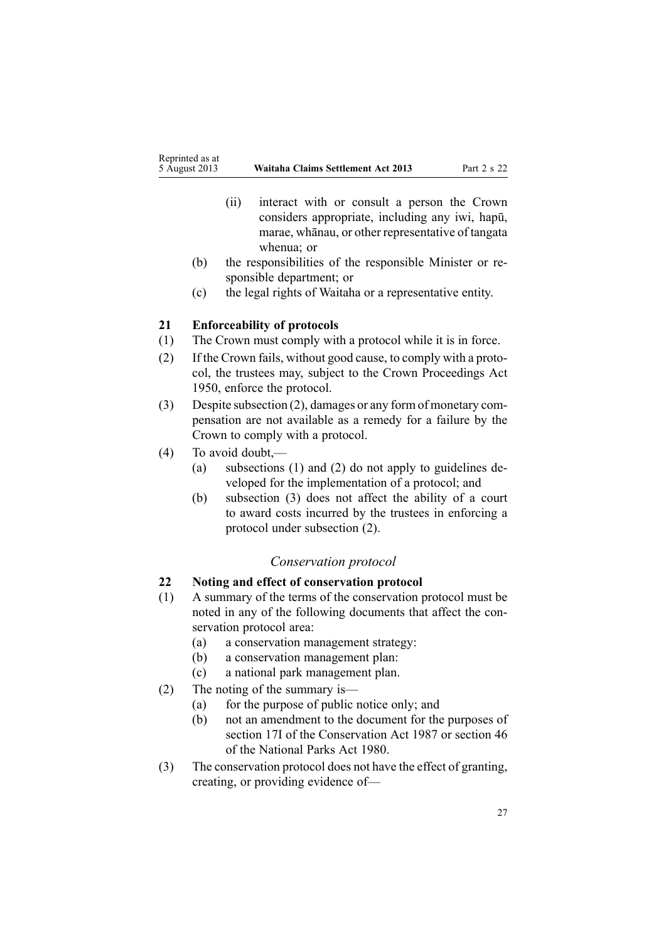- <span id="page-26-0"></span>(ii) interact with or consult <sup>a</sup> person the Crown considers appropriate, including any iwi, hapū, marae, whānau, or other representative of tangata whenua; or
- (b) the responsibilities of the responsible Minister or responsible department; or
- (c) the legal rights of Waitaha or <sup>a</sup> representative entity.

# **21 Enforceability of protocols**

- (1) The Crown must comply with <sup>a</sup> protocol while it is in force.
- (2) If the Crown fails, without good cause, to comply with <sup>a</sup> protocol, the trustees may, subject to the Crown [Proceedings](http://www.legislation.govt.nz/pdflink.aspx?id=DLM261466) Act [1950](http://www.legislation.govt.nz/pdflink.aspx?id=DLM261466), enforce the protocol.
- (3) Despite subsection (2), damages or any form of monetary compensation are not available as <sup>a</sup> remedy for <sup>a</sup> failure by the Crown to comply with <sup>a</sup> protocol.
- (4) To avoid doubt,—
	- (a) subsections (1) and (2) do not apply to guidelines developed for the implementation of <sup>a</sup> protocol; and
	- (b) subsection (3) does not affect the ability of <sup>a</sup> court to award costs incurred by the trustees in enforcing <sup>a</sup> protocol under subsection (2).

#### *Conservation protocol*

## **22 Noting and effect of conservation protocol**

- (1) A summary of the terms of the conservation protocol must be noted in any of the following documents that affect the conservation protocol area:
	- (a) <sup>a</sup> conservation managemen<sup>t</sup> strategy:
	- (b) <sup>a</sup> conservation managemen<sup>t</sup> plan:
	- (c) <sup>a</sup> national park managemen<sup>t</sup> plan.
- (2) The noting of the summary is—
	- (a) for the purpose of public notice only; and
	- (b) not an amendment to the document for the purposes of [section](http://www.legislation.govt.nz/pdflink.aspx?id=DLM104615) 17I of the Conservation Act 1987 or [section](http://www.legislation.govt.nz/pdflink.aspx?id=DLM38204) 46 of the National Parks Act 1980.
- (3) The conservation protocol does not have the effect of granting, creating, or providing evidence of—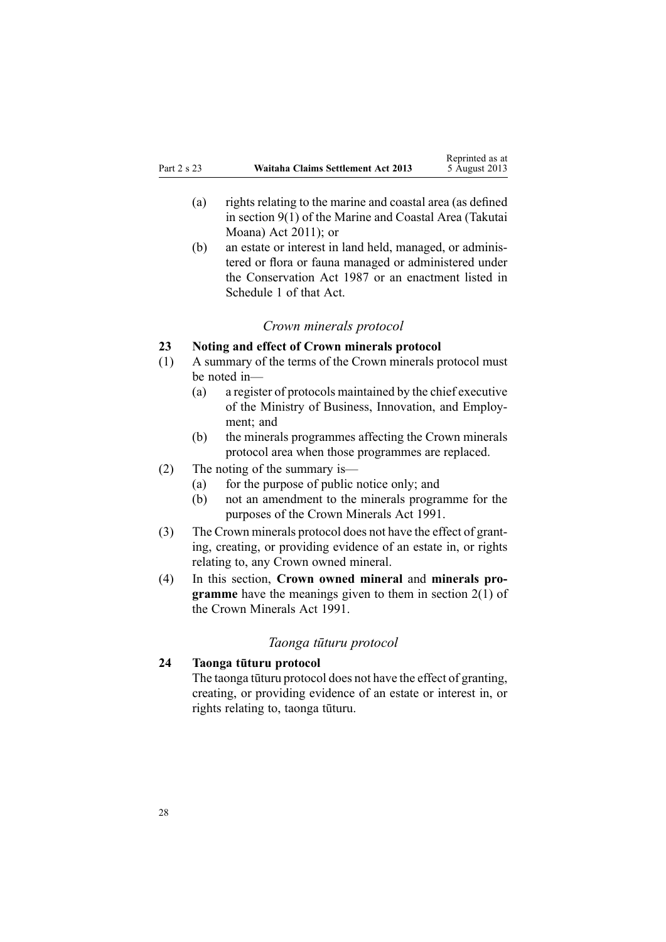- <span id="page-27-0"></span>(a) rights relating to the marine and coastal area (as defined in [section](http://www.legislation.govt.nz/pdflink.aspx?id=DLM3213146) 9(1) of the Marine and Coastal Area (Takutai Moana) Act 2011); or
- (b) an estate or interest in land held, managed, or administered or flora or fauna managed or administered under the [Conservation](http://www.legislation.govt.nz/pdflink.aspx?id=DLM103609) Act 1987 or an enactment listed in [Schedule](http://www.legislation.govt.nz/pdflink.aspx?id=DLM107200) 1 of that Act.

# *Crown minerals protocol*

# **23 Noting and effect of Crown minerals protocol**

- (1) A summary of the terms of the Crown minerals protocol must be noted in—
	- (a) <sup>a</sup> register of protocols maintained by the chief executive of the Ministry of Business, Innovation, and Employment; and
	- (b) the minerals programmes affecting the Crown minerals protocol area when those programmes are replaced.

# (2) The noting of the summary is—

- (a) for the purpose of public notice only; and
- (b) not an amendment to the minerals programme for the purposes of the Crown [Minerals](http://www.legislation.govt.nz/pdflink.aspx?id=DLM242535) Act 1991.
- (3) The Crown minerals protocol does not have the effect of granting, creating, or providing evidence of an estate in, or rights relating to, any Crown owned mineral.
- (4) In this section, **Crown owned mineral** and **minerals programme** have the meanings given to them in [section](http://www.legislation.govt.nz/pdflink.aspx?id=DLM242543) 2(1) of the Crown Minerals Act 1991.

# *Taonga tūturu protocol*

# **24 Taonga tūturu protocol**

The taonga tūturu protocol does not have the effect of granting, creating, or providing evidence of an estate or interest in, or rights relating to, taonga tūturu.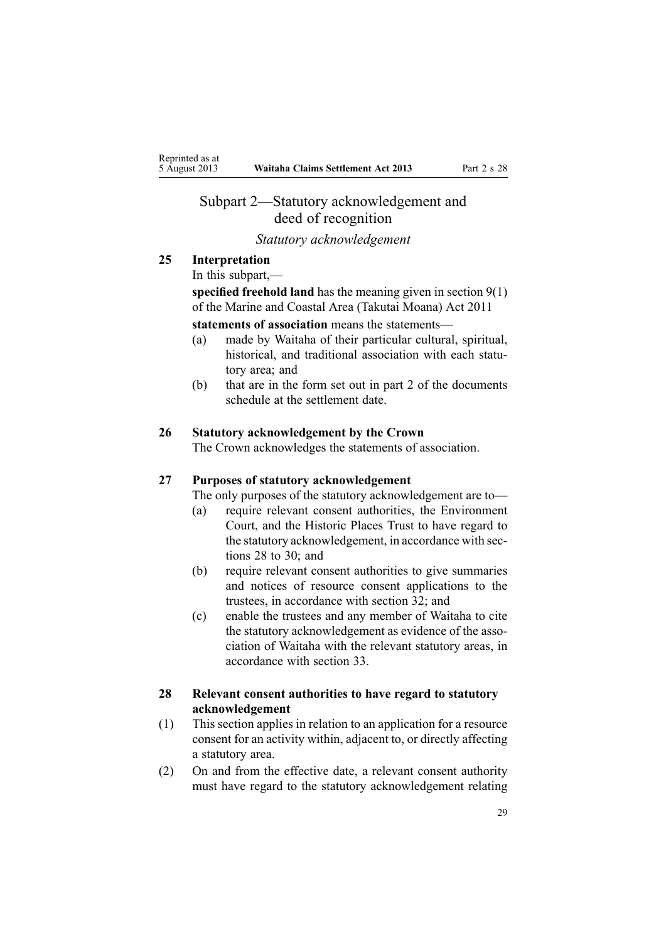# <span id="page-28-0"></span>Subpart 2—Statutory acknowledgement and deed of recognition

# *Statutory acknowledgement*

# **25 Interpretation**

In this subpart,—

**specified freehold land** has the meaning given in [section](http://www.legislation.govt.nz/pdflink.aspx?id=DLM3213146) 9(1) of the Marine and Coastal Area (Takutai Moana) Act 2011

**statements of association** means the statements—

- (a) made by Waitaha of their particular cultural, spiritual, historical, and traditional association with each statutory area; and
- (b) that are in the form set out in par<sup>t</sup> 2 of the documents schedule at the settlement date.

#### **26 Statutory acknowledgement by the Crown**

The Crown acknowledges the statements of association.

#### **27 Purposes of statutory acknowledgement**

The only purposes of the statutory acknowledgement are to—

- (a) require relevant consent authorities, the Environment Court, and the Historic Places Trust to have regard to the statutory acknowledgement, in accordance with sections 28 to 30; and
- (b) require relevant consent authorities to give summaries and notices of resource consent applications to the trustees, in accordance with [section](#page-30-0) 32; and
- (c) enable the trustees and any member of Waitaha to cite the statutory acknowledgement as evidence of the association of Waitaha with the relevant statutory areas, in accordance with [section](#page-31-0) 33.

# **28 Relevant consent authorities to have regard to statutory acknowledgement**

- (1) This section applies in relation to an application for <sup>a</sup> resource consent for an activity within, adjacent to, or directly affecting <sup>a</sup> statutory area.
- (2) On and from the effective date, <sup>a</sup> relevant consent authority must have regard to the statutory acknowledgement relating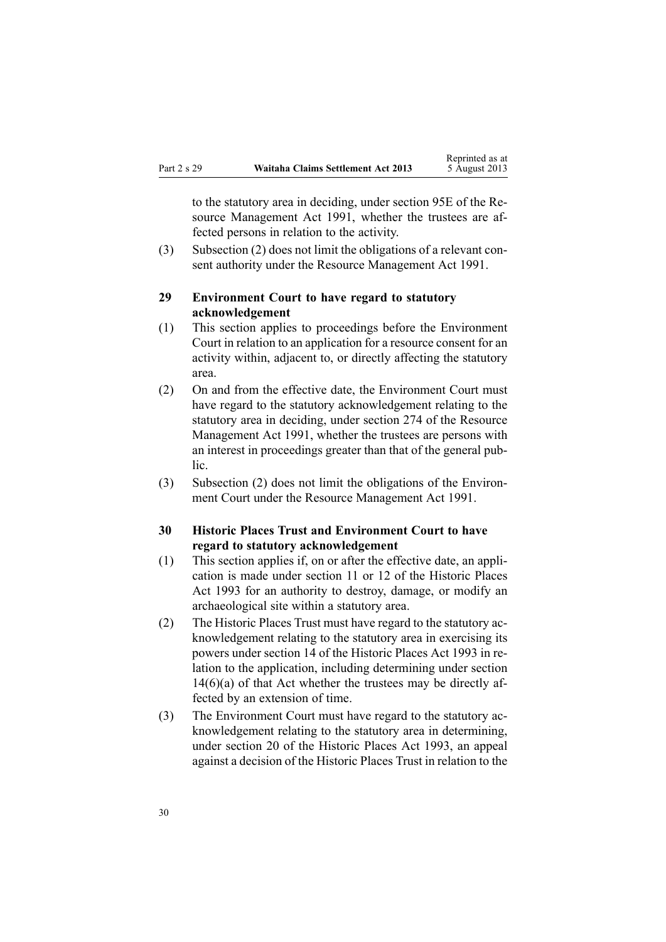<span id="page-29-0"></span>to the statutory area in deciding, under [section](http://www.legislation.govt.nz/pdflink.aspx?id=DLM2416413) 95E of the Resource Management Act 1991, whether the trustees are affected persons in relation to the activity.

Reprinted as at

(3) Subsection (2) does not limit the obligations of <sup>a</sup> relevant consent authority under the Resource [Management](http://www.legislation.govt.nz/pdflink.aspx?id=DLM230264) Act 1991.

#### **29 Environment Court to have regard to statutory acknowledgement**

- (1) This section applies to proceedings before the Environment Court in relation to an application for <sup>a</sup> resource consent for an activity within, adjacent to, or directly affecting the statutory area.
- (2) On and from the effective date, the Environment Court must have regard to the statutory acknowledgement relating to the statutory area in deciding, under [section](http://www.legislation.govt.nz/pdflink.aspx?id=DLM237755) 274 of the Resource Management Act 1991, whether the trustees are persons with an interest in proceedings greater than that of the general public.
- (3) Subsection (2) does not limit the obligations of the Environment Court under the Resource [Management](http://www.legislation.govt.nz/pdflink.aspx?id=DLM230264) Act 1991.

#### **30 Historic Places Trust and Environment Court to have regard to statutory acknowledgement**

- (1) This section applies if, on or after the effective date, an application is made under [section](http://www.legislation.govt.nz/pdflink.aspx?id=DLM300607) 11 or [12](http://www.legislation.govt.nz/pdflink.aspx?id=DLM300608) of the Historic Places Act 1993 for an authority to destroy, damage, or modify an archaeological site within <sup>a</sup> statutory area.
- (2) The Historic Places Trust must have regard to the statutory acknowledgement relating to the statutory area in exercising its powers under [section](http://www.legislation.govt.nz/pdflink.aspx?id=DLM300610) 14 of the Historic Places Act 1993 in relation to the application, including determining under section 14(6)(a) of that Act whether the trustees may be directly affected by an extension of time.
- (3) The Environment Court must have regard to the statutory acknowledgement relating to the statutory area in determining, under [section](http://www.legislation.govt.nz/pdflink.aspx?id=DLM300622) 20 of the Historic Places Act 1993, an appeal against <sup>a</sup> decision of the Historic Places Trust in relation to the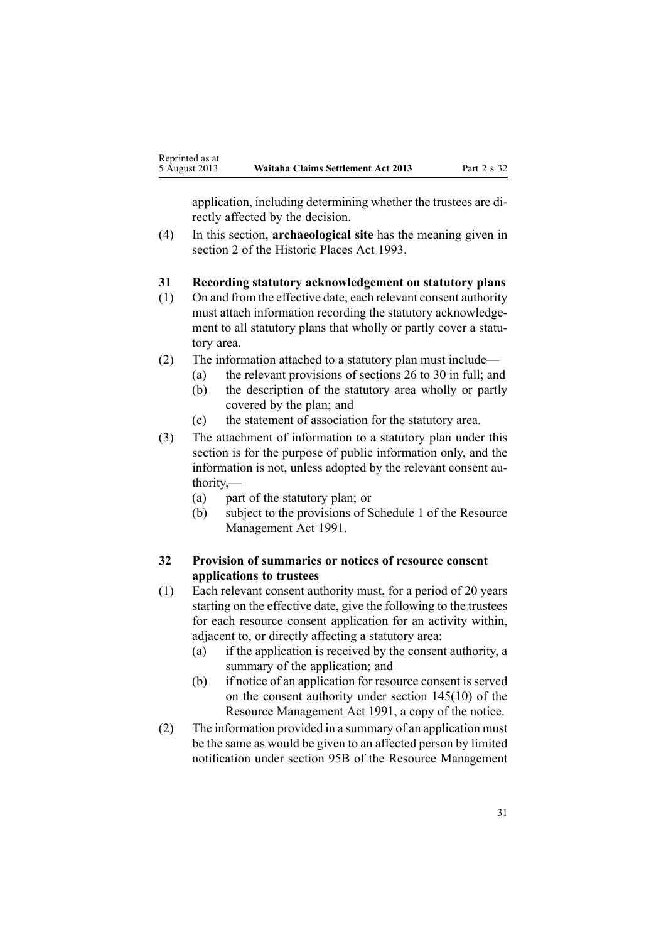<span id="page-30-0"></span>application, including determining whether the trustees are directly affected by the decision.

(4) In this section, **archaeological site** has the meaning given in [section](http://www.legislation.govt.nz/pdflink.aspx?id=DLM300516) 2 of the Historic Places Act 1993.

#### **31 Recording statutory acknowledgement on statutory plans**

- (1) On and from the effective date, each relevant consent authority must attach information recording the statutory acknowledgement to all statutory plans that wholly or partly cover <sup>a</sup> statutory area.
- (2) The information attached to <sup>a</sup> statutory plan must include—
	- (a) the relevant provisions of [sections](#page-28-0) 26 to 30 in full; and
	- (b) the description of the statutory area wholly or partly covered by the plan; and
	- (c) the statement of association for the statutory area.
- (3) The attachment of information to <sup>a</sup> statutory plan under this section is for the purpose of public information only, and the information is not, unless adopted by the relevant consent authority,—
	- (a) par<sup>t</sup> of the statutory plan; or
	- (b) subject to the provisions of [Schedule](http://www.legislation.govt.nz/pdflink.aspx?id=DLM240686) 1 of the Resource Management Act 1991.

# **32 Provision of summaries or notices of resource consent applications to trustees**

- (1) Each relevant consent authority must, for <sup>a</sup> period of 20 years starting on the effective date, give the following to the trustees for each resource consent application for an activity within, adjacent to, or directly affecting <sup>a</sup> statutory area:
	- (a) if the application is received by the consent authority, <sup>a</sup> summary of the application; and
	- (b) if notice of an application for resource consent is served on the consent authority under section [145\(10\)](http://www.legislation.govt.nz/pdflink.aspx?id=DLM235409) of the Resource Management Act 1991, <sup>a</sup> copy of the notice.
- (2) The information provided in <sup>a</sup> summary of an application must be the same as would be given to an affected person by limited notification under [section](http://www.legislation.govt.nz/pdflink.aspx?id=DLM2416410) 95B of the Resource Management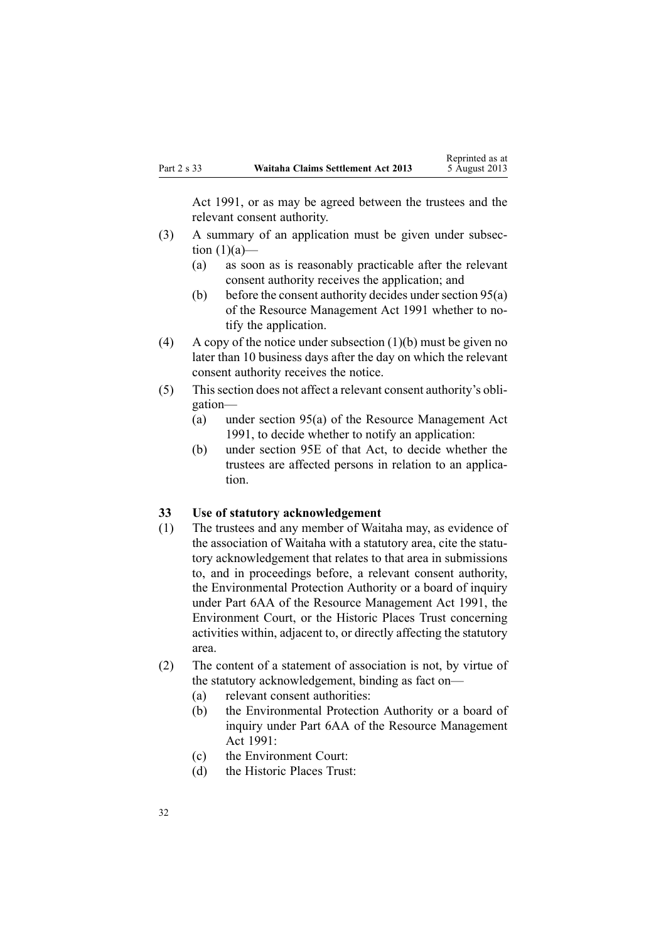<span id="page-31-0"></span>Act 1991, or as may be agreed between the trustees and the relevant consent authority.

- (3) A summary of an application must be given under subsection  $(1)(a)$ —
	- (a) as soon as is reasonably practicable after the relevant consent authority receives the application; and
	- (b) before the consent authority decides under [section](http://www.legislation.govt.nz/pdflink.aspx?id=DLM234326)  $95(a)$ of the Resource Management Act 1991 whether to notify the application.
- (4) A copy of the notice under subsection  $(1)(b)$  must be given no later than 10 business days after the day on which the relevant consent authority receives the notice.
- (5) Thissection does not affect <sup>a</sup> relevant consent authority's obligation—
	- (a) under [section](http://www.legislation.govt.nz/pdflink.aspx?id=DLM234326) 95(a) of the Resource Management Act 1991, to decide whether to notify an application:
	- (b) under [section](http://www.legislation.govt.nz/pdflink.aspx?id=DLM2416413) 95E of that Act, to decide whether the trustees are affected persons in relation to an application.

#### **33 Use of statutory acknowledgement**

- (1) The trustees and any member of Waitaha may, as evidence of the association of Waitaha with <sup>a</sup> statutory area, cite the statutory acknowledgement that relates to that area in submissions to, and in proceedings before, <sup>a</sup> relevant consent authority, the Environmental Protection Authority or <sup>a</sup> board of inquiry under Part [6AA](http://www.legislation.govt.nz/pdflink.aspx?id=DLM2418625) of the Resource Management Act 1991, the Environment Court, or the Historic Places Trust concerning activities within, adjacent to, or directly affecting the statutory area.
- (2) The content of <sup>a</sup> statement of association is not, by virtue of the statutory acknowledgement, binding as fact on—
	- (a) relevant consent authorities:
	- (b) the Environmental Protection Authority or <sup>a</sup> board of inquiry under Part [6AA](http://www.legislation.govt.nz/pdflink.aspx?id=DLM2418625) of the Resource Management Act 1991:
	- (c) the Environment Court:
	- (d) the Historic Places Trust: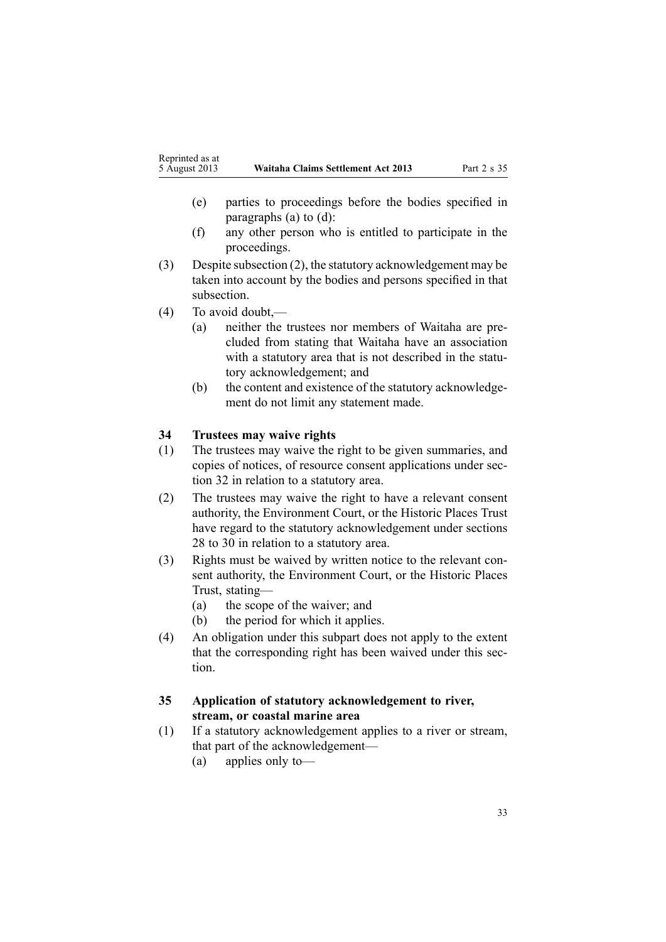- <span id="page-32-0"></span>(e) parties to proceedings before the bodies specified in paragraphs (a) to (d):
- (f) any other person who is entitled to participate in the proceedings.
- (3) Despite subsection (2), the statutory acknowledgement may be taken into account by the bodies and persons specified in that subsection.
- (4) To avoid doubt,—
	- (a) neither the trustees nor members of Waitaha are precluded from stating that Waitaha have an association with <sup>a</sup> statutory area that is not described in the statutory acknowledgement; and
	- (b) the content and existence of the statutory acknowledgement do not limit any statement made.

# **34 Trustees may waive rights**

- (1) The trustees may waive the right to be given summaries, and copies of notices, of resource consent applications under [sec](#page-30-0)[tion](#page-30-0) 32 in relation to <sup>a</sup> statutory area.
- (2) The trustees may waive the right to have <sup>a</sup> relevant consent authority, the Environment Court, or the Historic Places Trust have regard to the statutory acknowledgement under [sections](#page-28-0) 28 to [30](#page-28-0) in relation to <sup>a</sup> statutory area.
- (3) Rights must be waived by written notice to the relevant consent authority, the Environment Court, or the Historic Places Trust, stating—
	- (a) the scope of the waiver; and
	- (b) the period for which it applies.
- (4) An obligation under this subpart does not apply to the extent that the corresponding right has been waived under this section.

# **35 Application of statutory acknowledgement to river, stream, or coastal marine area**

- (1) If <sup>a</sup> statutory acknowledgement applies to <sup>a</sup> river or stream, that par<sup>t</sup> of the acknowledgement—
	- (a) applies only to—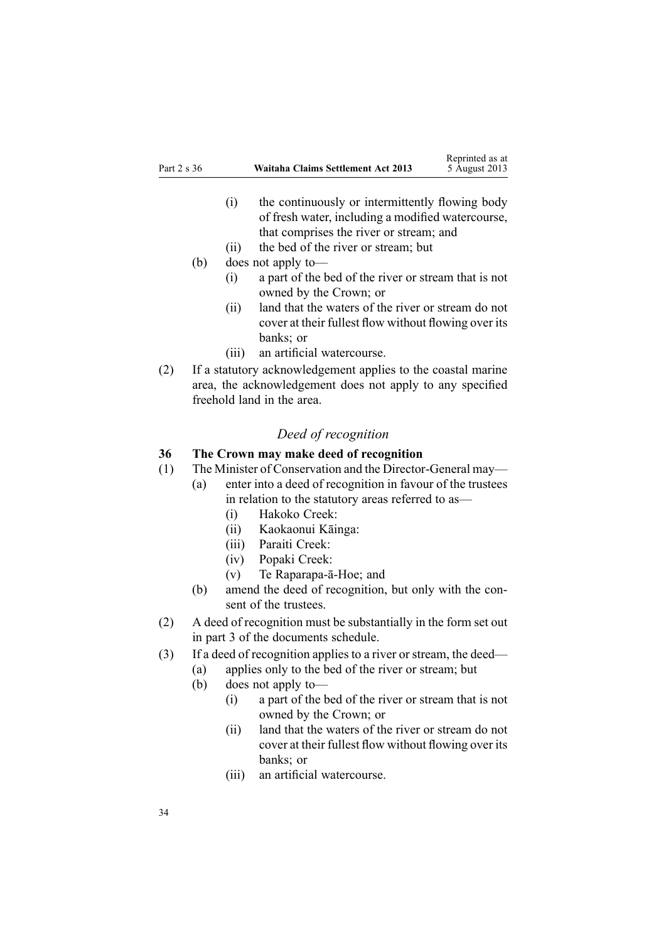- <span id="page-33-0"></span>(i) the continuously or intermittently flowing body of fresh water, including <sup>a</sup> modified watercourse, that comprises the river or stream; and
- (ii) the bed of the river or stream; but
- (b) does not apply to—
	- (i) <sup>a</sup> par<sup>t</sup> of the bed of the river or stream that is not owned by the Crown; or
	- (ii) land that the waters of the river or stream do not cover at their fullest flow without flowing over its banks; or
	- (iii) an artificial watercourse.
- (2) If <sup>a</sup> statutory acknowledgement applies to the coastal marine area, the acknowledgement does not apply to any specified freehold land in the area.

# *Deed of recognition*

#### **36 The Crown may make deed of recognition**

- (1) The Minister of Conservation and the Director-General may—
	- (a) enter into <sup>a</sup> deed of recognition in favour of the trustees in relation to the statutory areas referred to as—
		- (i) Hakoko Creek:
		- (ii) Kaokaonui Kāinga:
		- (iii) Paraiti Creek:
		- (iv) Popaki Creek:
		- (v) Te Raparapa-ā-Hoe; and
		- (b) amend the deed of recognition, but only with the consent of the trustees.
- (2) A deed of recognition must be substantially in the form set out in par<sup>t</sup> 3 of the documents schedule.
- (3) If <sup>a</sup> deed of recognition applies to <sup>a</sup> river or stream, the deed—
	- (a) applies only to the bed of the river or stream; but
	- (b) does not apply to—
		- (i) <sup>a</sup> par<sup>t</sup> of the bed of the river or stream that is not owned by the Crown; or
		- (ii) land that the waters of the river or stream do not cover at their fullest flow without flowing over its banks; or
		- (iii) an artificial watercourse.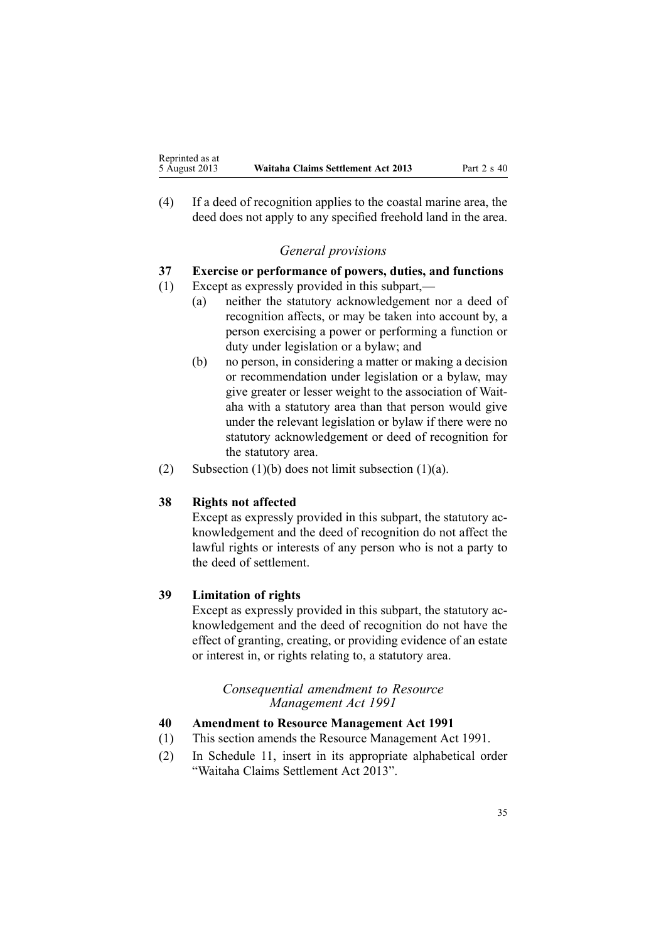<span id="page-34-0"></span>(4) If <sup>a</sup> deed of recognition applies to the coastal marine area, the deed does not apply to any specified freehold land in the area.

# *General provisions*

# **37 Exercise or performance of powers, duties, and functions**

- (1) Except as expressly provided in this subpart,—
	- (a) neither the statutory acknowledgement nor <sup>a</sup> deed of recognition affects, or may be taken into account by, <sup>a</sup> person exercising <sup>a</sup> power or performing <sup>a</sup> function or duty under legislation or <sup>a</sup> bylaw; and
	- (b) no person, in considering <sup>a</sup> matter or making <sup>a</sup> decision or recommendation under legislation or <sup>a</sup> bylaw, may give greater or lesser weight to the association of Waitaha with <sup>a</sup> statutory area than that person would give under the relevant legislation or bylaw if there were no statutory acknowledgement or deed of recognition for the statutory area.
- (2) Subsection (1)(b) does not limit subsection (1)(a).

# **38 Rights not affected**

Except as expressly provided in this subpart, the statutory acknowledgement and the deed of recognition do not affect the lawful rights or interests of any person who is not <sup>a</sup> party to the deed of settlement.

# **39 Limitation of rights**

Except as expressly provided in this subpart, the statutory acknowledgement and the deed of recognition do not have the effect of granting, creating, or providing evidence of an estate or interest in, or rights relating to, <sup>a</sup> statutory area.

#### *Consequential amendment to Resource Management Act 1991*

#### **40 Amendment to Resource Management Act 1991**

- (1) This section amends the Resource [Management](http://www.legislation.govt.nz/pdflink.aspx?id=DLM230264) Act 1991.
- (2) In [Schedule](http://www.legislation.govt.nz/pdflink.aspx?id=DLM242504) 11, insert in its appropriate alphabetical order "Waitaha Claims Settlement Act 2013".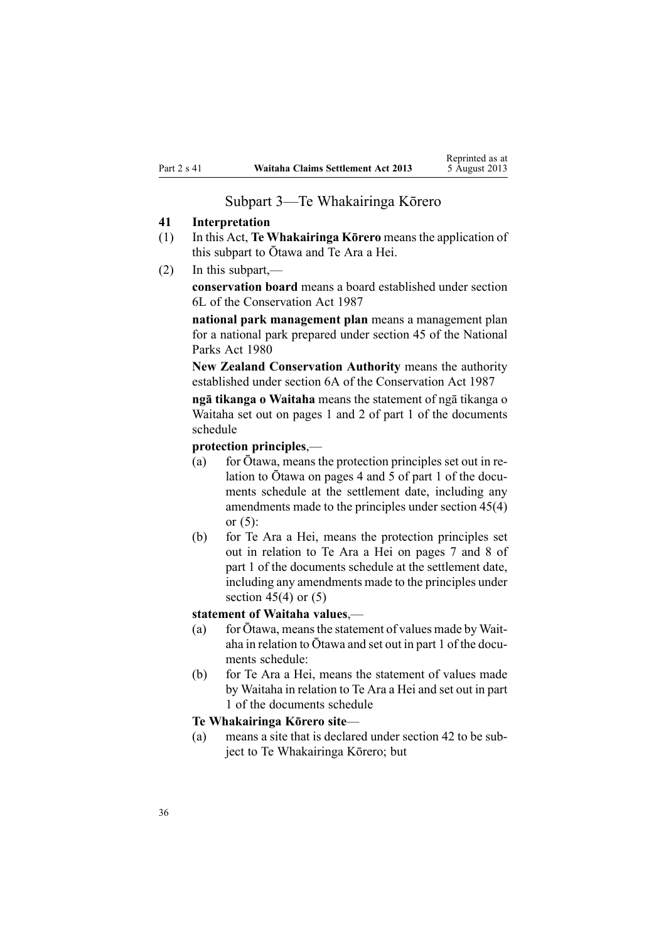#### Subpart 3—Te Whakairinga Kōrero

#### <span id="page-35-0"></span>**41 Interpretation**

- (1) In this Act, **Te Whakairinga Kōrero** means the application of this subpart to Ōtawa and Te Ara <sup>a</sup> Hei.
- (2) In this subpart,—

**conservation board** means <sup>a</sup> board established under [section](http://www.legislation.govt.nz/pdflink.aspx?id=DLM104213) [6L](http://www.legislation.govt.nz/pdflink.aspx?id=DLM104213) of the Conservation Act 1987

**national park managemen<sup>t</sup> plan** means <sup>a</sup> managemen<sup>t</sup> plan for <sup>a</sup> national park prepared under [section](http://www.legislation.govt.nz/pdflink.aspx?id=DLM38202) 45 of the National Parks Act 1980

**New Zealand Conservation Authority** means the authority established under [section](http://www.legislation.govt.nz/pdflink.aspx?id=DLM104086) 6A of the Conservation Act 1987

**ng<sup>ā</sup> tikanga <sup>o</sup> Waitaha** means the statement of ng<sup>ā</sup> tikanga <sup>o</sup> Waitaha set out on pages 1 and 2 of par<sup>t</sup> 1 of the documents schedule

**protection principles**,—

- (a) for Ōtawa, means the protection principles set out in relation to Ōtawa on pages <sup>4</sup> and <sup>5</sup> of par<sup>t</sup> <sup>1</sup> of the documents schedule at the settlement date, including any amendments made to the principles under section 45(4) or  $(5)$ :
- (b) for Te Ara <sup>a</sup> Hei, means the protection principles set out in relation to Te Ara <sup>a</sup> Hei on pages 7 and 8 of par<sup>t</sup> 1 of the documents schedule at the settlement date, including any amendments made to the principles under [section](#page-36-0)  $45(4)$  or  $(5)$

#### **statement of Waitaha values**,—

- (a) for  $\bar{O}$ tawa, means the statement of values made by Waitaha in relation to Ōtawa and set out in par<sup>t</sup> <sup>1</sup> of the documents schedule:
- (b) for Te Ara <sup>a</sup> Hei, means the statement of values made by Waitaha in relation to Te Ara <sup>a</sup> Hei and set out in par<sup>t</sup> 1 of the documents schedule

#### **Te Whakairinga Kōrero site**—

(a) means <sup>a</sup> site that is declared under [section](#page-36-0) 42 to be subject to Te Whakairinga Kōrero; but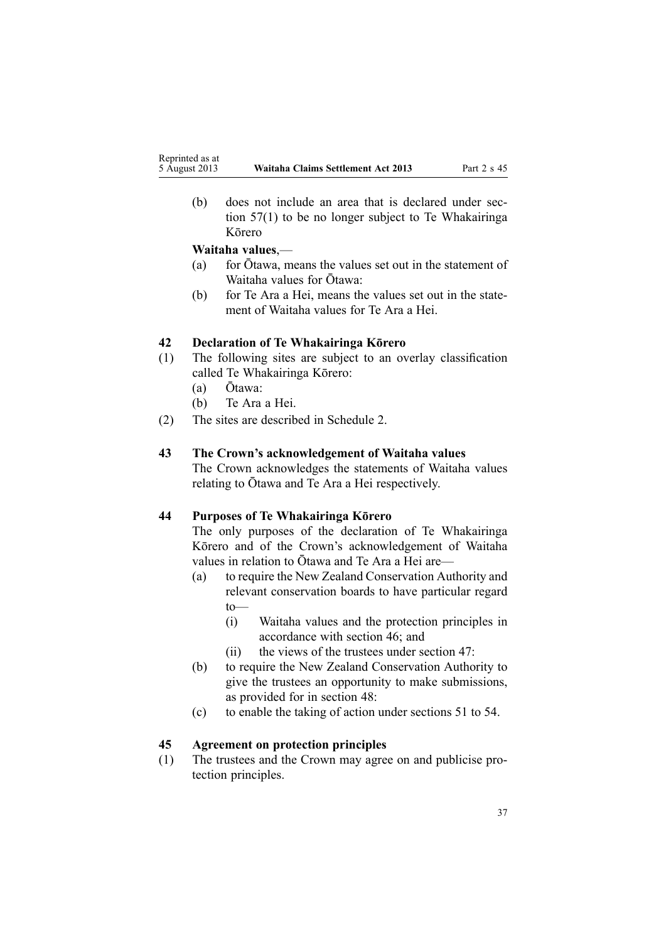<span id="page-36-0"></span>(b) does not include an area that is declared under [sec](#page-41-0)tion [57\(1\)](#page-41-0) to be no longer subject to Te Whakairinga Kōrero

#### **Waitaha values**,—

- (a) for Ōtawa, means the values set out in the statement of Waitaha values for Ōtawa:
- (b) for Te Ara <sup>a</sup> Hei, means the values set out in the statement of Waitaha values for Te Ara <sup>a</sup> Hei.

# **42 Declaration of Te Whakairinga Kōrero**

- (1) The following sites are subject to an overlay classification called Te Whakairinga Kōrero:
	- (a) Ōtawa:
	- (b) Te Ara <sup>a</sup> Hei.
- (2) The sites are described in [Schedule](#page-66-0) 2.

#### **43 The Crown's acknowledgement of Waitaha values**

The Crown acknowledges the statements of Waitaha values relating to Ōtawa and Te Ara <sup>a</sup> Hei respectively.

#### **44 Purposes of Te Whakairinga Kōrero**

The only purposes of the declaration of Te Whakairinga Kōrero and of the Crown's acknowledgement of Waitaha values in relation to Ōtawa and Te Ara <sup>a</sup> Hei are—

- (a) to require the New Zealand Conservation Authority and relevant conservation boards to have particular regard to—
	- (i) Waitaha values and the protection principles in accordance with [section](#page-37-0) 46; and
	- (ii) the views of the trustees under [section](#page-37-0) 47:
- (b) to require the New Zealand Conservation Authority to give the trustees an opportunity to make submissions, as provided for in [section](#page-38-0) 48:
- (c) to enable the taking of action under [sections](#page-39-0) 51 to 54.

# **45 Agreement on protection principles**

(1) The trustees and the Crown may agree on and publicise protection principles.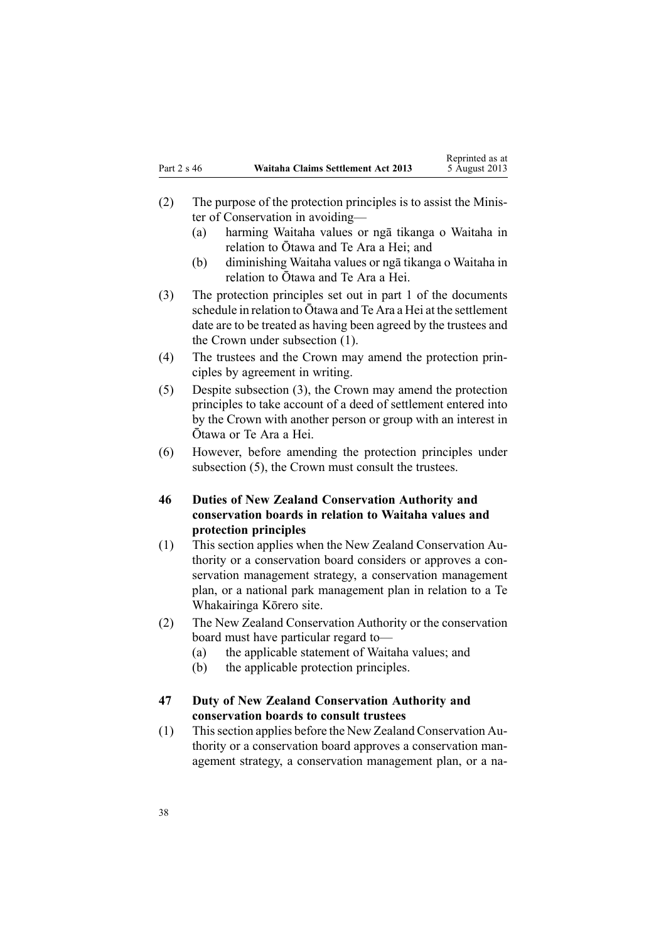- <span id="page-37-0"></span>(2) The purpose of the protection principles is to assist the Minister of Conservation in avoiding—
	- (a) harming Waitaha values or ng<sup>ā</sup> tikanga <sup>o</sup> Waitaha in relation to Ōtawa and Te Ara <sup>a</sup> Hei; and
	- (b) diminishing Waitaha values or ng<sup>ā</sup> tikanga <sup>o</sup> Waitaha in relation to Ōtawa and Te Ara <sup>a</sup> Hei.
- (3) The protection principles set out in par<sup>t</sup> 1 of the documents schedule in relation to Ōtawa and Te Ara <sup>a</sup> Hei at the settlement date are to be treated as having been agreed by the trustees and the Crown under subsection (1).
- (4) The trustees and the Crown may amend the protection principles by agreemen<sup>t</sup> in writing.
- (5) Despite subsection (3), the Crown may amend the protection principles to take account of <sup>a</sup> deed of settlement entered into by the Crown with another person or group with an interest in Ōtawa or Te Ara <sup>a</sup> Hei.
- (6) However, before amending the protection principles under subsection (5), the Crown must consult the trustees.

# **46 Duties of New Zealand Conservation Authority and conservation boards in relation to Waitaha values and protection principles**

- (1) This section applies when the New Zealand Conservation Authority or <sup>a</sup> conservation board considers or approves <sup>a</sup> conservation managemen<sup>t</sup> strategy, <sup>a</sup> conservation managemen<sup>t</sup> plan, or <sup>a</sup> national park managemen<sup>t</sup> plan in relation to <sup>a</sup> Te Whakairinga Kōrero site.
- (2) The New Zealand Conservation Authority or the conservation board must have particular regard to—
	- (a) the applicable statement of Waitaha values; and
	- (b) the applicable protection principles.

# **47 Duty of New Zealand Conservation Authority and conservation boards to consult trustees**

(1) Thissection applies before the New Zealand Conservation Authority or <sup>a</sup> conservation board approves <sup>a</sup> conservation managemen<sup>t</sup> strategy, <sup>a</sup> conservation managemen<sup>t</sup> plan, or <sup>a</sup> na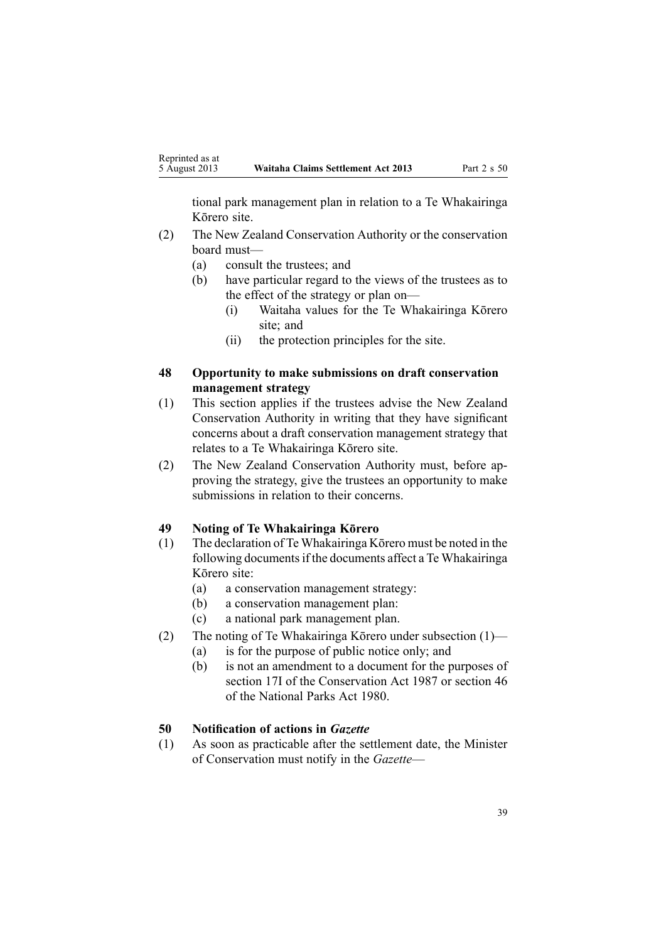<span id="page-38-0"></span>tional park managemen<sup>t</sup> plan in relation to <sup>a</sup> Te Whakairinga Kōrero site.

- (2) The New Zealand Conservation Authority or the conservation board must—
	- (a) consult the trustees; and
	- (b) have particular regard to the views of the trustees as to the effect of the strategy or plan on—
		- (i) Waitaha values for the Te Whakairinga Kōrero site; and
		- (ii) the protection principles for the site.

## **48 Opportunity to make submissions on draft conservation management strategy**

- (1) This section applies if the trustees advise the New Zealand Conservation Authority in writing that they have significant concerns about <sup>a</sup> draft conservation managemen<sup>t</sup> strategy that relates to <sup>a</sup> Te Whakairinga Kōrero site.
- (2) The New Zealand Conservation Authority must, before approving the strategy, give the trustees an opportunity to make submissions in relation to their concerns.

#### **49 Noting of Te Whakairinga Kōrero**

- (1) The declaration of Te Whakairinga Kōrero must be noted in the following documents if the documents affect a Te Whakairinga Kōrero site:
	- (a) <sup>a</sup> conservation managemen<sup>t</sup> strategy:
	- (b) <sup>a</sup> conservation managemen<sup>t</sup> plan:
	- (c) <sup>a</sup> national park managemen<sup>t</sup> plan.
- (2) The noting of Te Whakairinga Kōrero under subsection (1)—
	- (a) is for the purpose of public notice only; and
	- (b) is not an amendment to <sup>a</sup> document for the purposes of section 17I of the Conservation Act 1987 or [section](http://www.legislation.govt.nz/pdflink.aspx?id=DLM38204) 46 of the National Parks Act 1980.

#### **50 Notification of actions in** *Gazette*

(1) As soon as practicable after the settlement date, the Minister of Conservation must notify in the *Gazette*—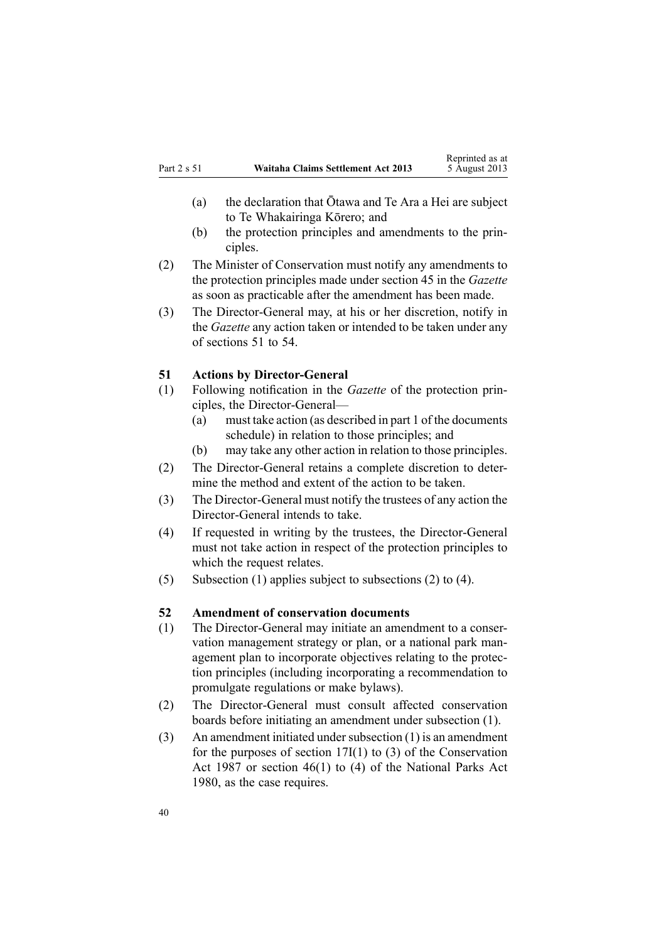- <span id="page-39-0"></span>(a) the declaration that Ōtawa and Te Ara <sup>a</sup> Hei are subject to Te Whakairinga Kōrero; and
- (b) the protection principles and amendments to the principles.
- (2) The Minister of Conservation must notify any amendments to the protection principles made under [section](#page-36-0) 45 in the *Gazette* as soon as practicable after the amendment has been made.
- (3) The Director-General may, at his or her discretion, notify in the *Gazette* any action taken or intended to be taken under any of sections 51 to 54.

#### **51 Actions by Director-General**

- (1) Following notification in the *Gazette* of the protection principles, the Director-General—
	- (a) must take action (as described in par<sup>t</sup> 1 of the documents schedule) in relation to those principles; and
	- (b) may take any other action in relation to those principles.
- (2) The Director-General retains <sup>a</sup> complete discretion to determine the method and extent of the action to be taken.
- (3) The Director-General must notify the trustees of any action the Director-General intends to take.
- (4) If requested in writing by the trustees, the Director-General must not take action in respec<sup>t</sup> of the protection principles to which the request relates.
- (5) Subsection (1) applies subject to subsections (2) to (4).

# **52 Amendment of conservation documents**

- (1) The Director-General may initiate an amendment to <sup>a</sup> conservation managemen<sup>t</sup> strategy or plan, or <sup>a</sup> national park managemen<sup>t</sup> plan to incorporate objectives relating to the protection principles (including incorporating <sup>a</sup> recommendation to promulgate regulations or make bylaws).
- (2) The Director-General must consult affected conservation boards before initiating an amendment under subsection (1).
- $(3)$  An amendment initiated under subsection  $(1)$  is an amendment for the purposes of section  $17I(1)$  to (3) of the Conservation Act 1987 or [section](http://www.legislation.govt.nz/pdflink.aspx?id=DLM38204) 46(1) to (4) of the National Parks Act 1980, as the case requires.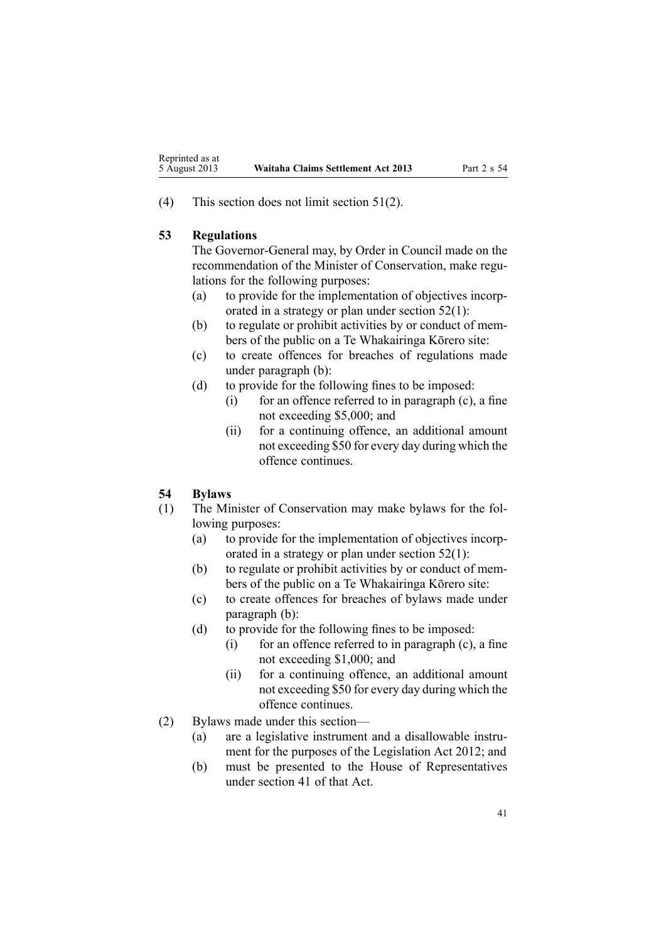<span id="page-40-0"></span>(4) This section does not limit [section](#page-39-0) 51(2).

#### **53 Regulations**

The Governor-General may, by Order in Council made on the recommendation of the Minister of Conservation, make regulations for the following purposes:

- (a) to provide for the implementation of objectives incorporated in <sup>a</sup> strategy or plan under [section](#page-39-0) 52(1):
- (b) to regulate or prohibit activities by or conduct of members of the public on <sup>a</sup> Te Whakairinga Kōrero site:
- (c) to create offences for breaches of regulations made under paragraph (b):
- (d) to provide for the following fines to be imposed:
	- (i) for an offence referred to in paragraph (c), <sup>a</sup> fine not exceeding \$5,000; and
	- (ii) for <sup>a</sup> continuing offence, an additional amount not exceeding \$50 for every day during which the offence continues.

#### **54 Bylaws**

- (1) The Minister of Conservation may make bylaws for the following purposes:
	- (a) to provide for the implementation of objectives incorporated in <sup>a</sup> strategy or plan under [section](#page-39-0) 52(1):
	- (b) to regulate or prohibit activities by or conduct of members of the public on <sup>a</sup> Te Whakairinga Kōrero site:
	- (c) to create offences for breaches of bylaws made under paragraph (b):
	- (d) to provide for the following fines to be imposed:
		- (i) for an offence referred to in paragraph  $(c)$ , a fine not exceeding \$1,000; and
		- (ii) for <sup>a</sup> continuing offence, an additional amount not exceeding \$50 for every day during which the offence continues.
- (2) Bylaws made under this section—
	- (a) are <sup>a</sup> legislative instrument and <sup>a</sup> disallowable instrument for the purposes of the [Legislation](http://www.legislation.govt.nz/pdflink.aspx?id=DLM2997643) Act 2012; and
	- (b) must be presented to the House of Representatives under [section](http://www.legislation.govt.nz/pdflink.aspx?id=DLM2998573) 41 of that Act.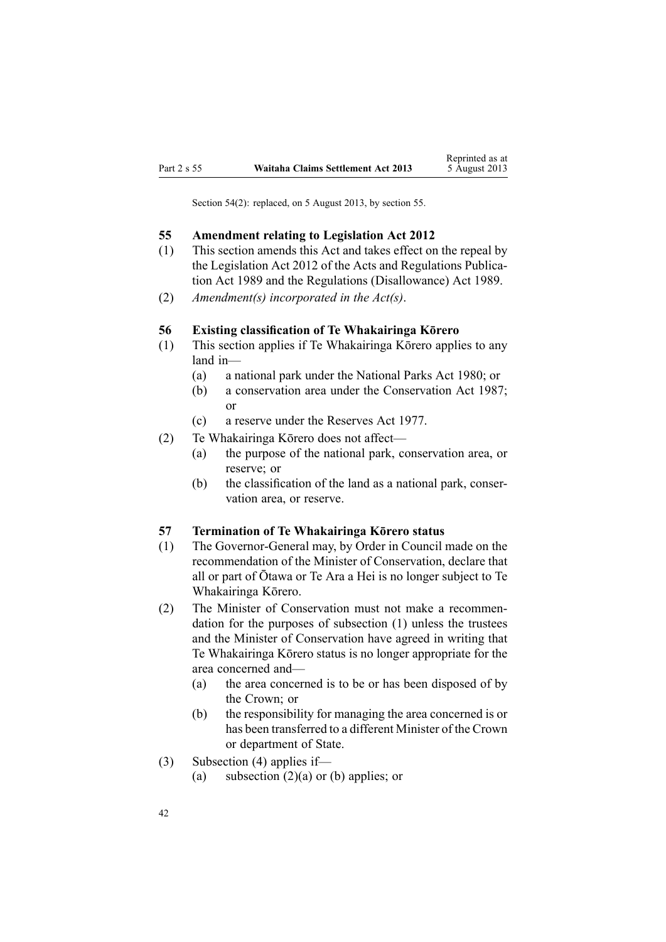<span id="page-41-0"></span>Section 54(2): replaced, on 5 August 2013, by [section](http://www.legislation.govt.nz/pdflink.aspx?id=DLM5072308) 55.

#### **55 Amendment relating to Legislation Act 2012**

- (1) This section amends this Act and takes effect on the repeal by the [Legislation](http://www.legislation.govt.nz/pdflink.aspx?id=DLM2997643) Act 2012 of the Acts and [Regulations](http://www.legislation.govt.nz/pdflink.aspx?id=DLM195097) Publication Act [1989](http://www.legislation.govt.nz/pdflink.aspx?id=DLM195097) and the Regulations [\(Disallowance\)](http://www.legislation.govt.nz/pdflink.aspx?id=DLM195534) Act 1989.
- (2) *Amendment(s) incorporated in the [Act\(s\)](#page-40-0)*.

#### **56 Existing classification of Te Whakairinga Kōrero**

- (1) This section applies if Te Whakairinga Kōrero applies to any land in—
	- (a) <sup>a</sup> national park under the [National](http://www.legislation.govt.nz/pdflink.aspx?id=DLM36962) Parks Act 1980; or
	- (b) <sup>a</sup> conservation area under the [Conservation](http://www.legislation.govt.nz/pdflink.aspx?id=DLM103609) Act 1987; or
	- (c) <sup>a</sup> reserve under the [Reserves](http://www.legislation.govt.nz/pdflink.aspx?id=DLM444304) Act 1977.
- (2) Te Whakairinga Kōrero does not affect—
	- (a) the purpose of the national park, conservation area, or reserve; or
	- (b) the classification of the land as <sup>a</sup> national park, conservation area, or reserve.

#### **57 Termination of Te Whakairinga Kōrero status**

- (1) The Governor-General may, by Order in Council made on the recommendation of the Minister of Conservation, declare that all or par<sup>t</sup> of Ōtawa or Te Ara <sup>a</sup> Hei is no longer subject to Te Whakairinga Kōrero.
- (2) The Minister of Conservation must not make <sup>a</sup> recommendation for the purposes of subsection (1) unless the trustees and the Minister of Conservation have agreed in writing that Te Whakairinga Kōrero status is no longer appropriate for the area concerned and—
	- (a) the area concerned is to be or has been disposed of by the Crown; or
	- (b) the responsibility for managing the area concerned is or has been transferred to <sup>a</sup> different Minister of the Crown or department of State.
- (3) Subsection (4) applies if—
	- (a) subsection  $(2)(a)$  or (b) applies; or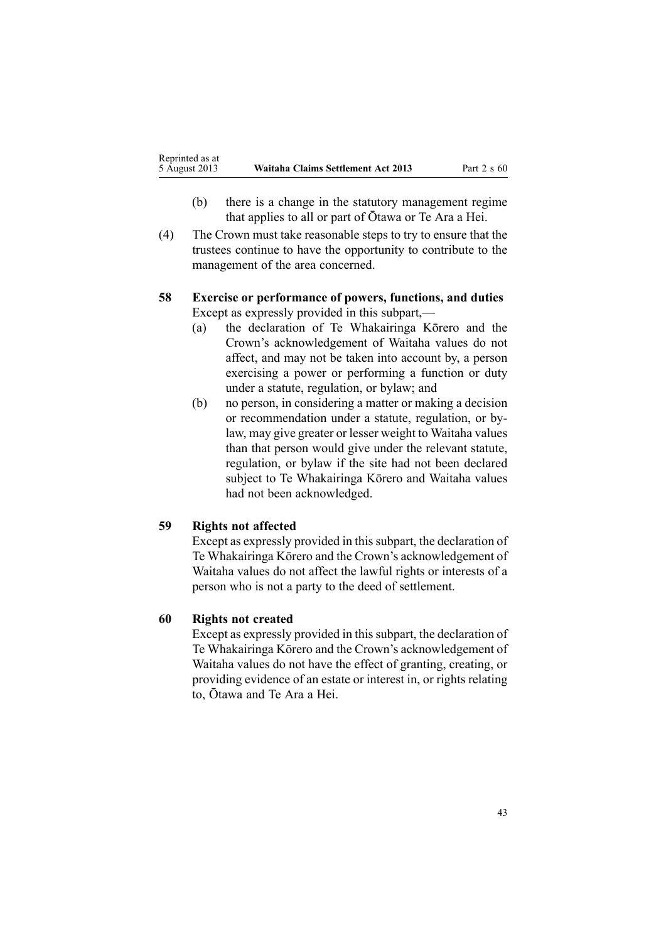- <span id="page-42-0"></span>(b) there is <sup>a</sup> change in the statutory managemen<sup>t</sup> regime that applies to all or par<sup>t</sup> of Ōtawa or Te Ara <sup>a</sup> Hei.
- (4) The Crown must take reasonable steps to try to ensure that the trustees continue to have the opportunity to contribute to the managemen<sup>t</sup> of the area concerned.

# **58 Exercise or performance of powers, functions, and duties** Except as expressly provided in this subpart,—

- (a) the declaration of Te Whakairinga Kōrero and the Crown's acknowledgement of Waitaha values do not affect, and may not be taken into account by, <sup>a</sup> person exercising <sup>a</sup> power or performing <sup>a</sup> function or duty under <sup>a</sup> statute, regulation, or bylaw; and
- (b) no person, in considering <sup>a</sup> matter or making <sup>a</sup> decision or recommendation under <sup>a</sup> statute, regulation, or bylaw, may give greater or lesser weight to Waitaha values than that person would give under the relevant statute, regulation, or bylaw if the site had not been declared subject to Te Whakairinga Kōrero and Waitaha values had not been acknowledged.

# **59 Rights not affected**

Except as expressly provided in this subpart, the declaration of Te Whakairinga Kōrero and the Crown's acknowledgement of Waitaha values do not affect the lawful rights or interests of <sup>a</sup> person who is not <sup>a</sup> party to the deed of settlement.

#### **60 Rights not created**

Except as expressly provided in this subpart, the declaration of Te Whakairinga Kōrero and the Crown's acknowledgement of Waitaha values do not have the effect of granting, creating, or providing evidence of an estate or interest in, or rights relating to, Ōtawa and Te Ara <sup>a</sup> Hei.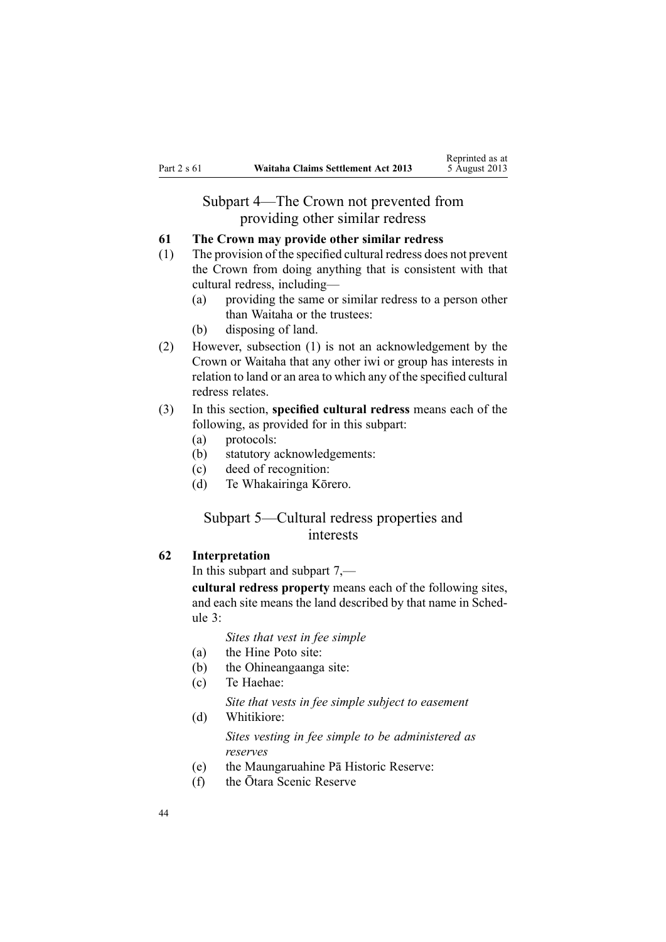# Subpart 4—The Crown not prevented from providing other similar redress

# <span id="page-43-0"></span>**61 The Crown may provide other similar redress**

- (1) The provision of the specified cultural redress does not preven<sup>t</sup> the Crown from doing anything that is consistent with that cultural redress, including—
	- (a) providing the same or similar redress to <sup>a</sup> person other than Waitaha or the trustees:
	- (b) disposing of land.
- (2) However, subsection (1) is not an acknowledgement by the Crown or Waitaha that any other iwi or group has interests in relation to land or an area to which any of the specified cultural redress relates.

# (3) In this section, **specified cultural redress** means each of the following, as provided for in this subpart:

- (a) protocols:
- (b) statutory acknowledgements:
- (c) deed of recognition:
- (d) Te Whakairinga Kōrero.

# Subpart 5—Cultural redress properties and interests

#### **62 Interpretation**

In this subpart and [subpart](#page-56-0) 7,—

**cultural redress property** means each of the following sites, and each site means the land described by that name in [Sched](#page-67-0)[ule](#page-67-0) 3:

*Sites that vest in fee simple*

- (a) the Hine Poto site:
- (b) the Ohineangaanga site:
- (c) Te Haehae:
	- *Site that vests in fee simple subject to easement*
- (d) Whitikiore: *Sites vesting in fee simple to be administered as reserves*
- (e) the Maungaruahine Pā Historic Reserve:
- (f) the Ōtara Scenic Reserve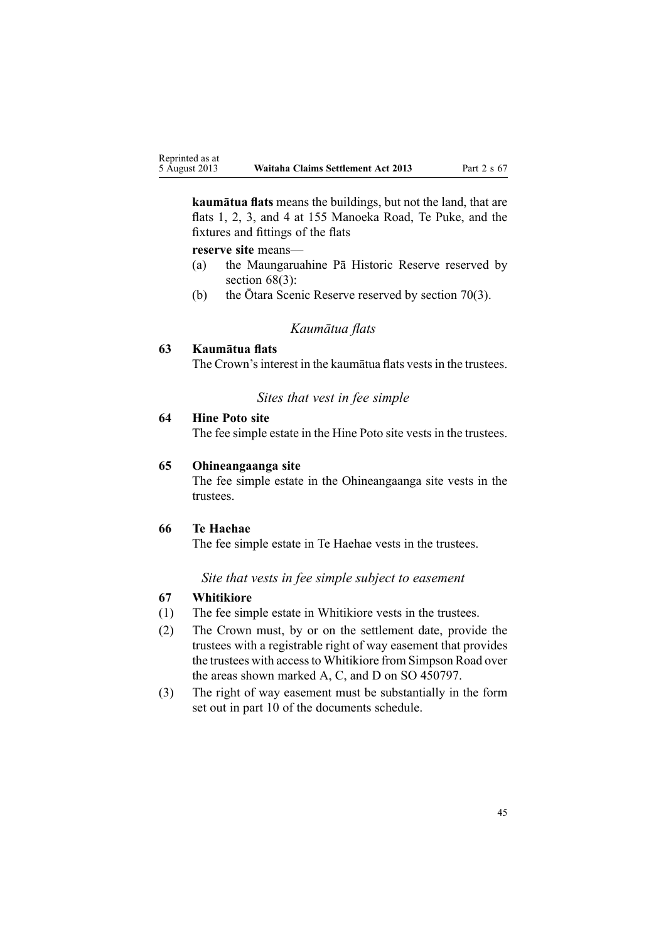<span id="page-44-0"></span>**kaumātua flats** means the buildings, but not the land, that are flats 1, 2, 3, and 4 at 155 Manoeka Road, Te Puke, and the fixtures and fittings of the flats

**reserve site** means—

- (a) the Maungaruahine Pā Historic Reserve reserved by [section](#page-45-0)  $68(3)$ :
- (b) the Ōtara Scenic Reserve reserved by [section](#page-46-0) 70(3).

#### *Kaumātua flats*

#### **63 Kaumātua flats**

The Crown's interest in the kaumātua flats vests in the trustees.

# *Sites that vest in fee simple*

# **64 Hine Poto site**

The fee simple estate in the Hine Poto site vests in the trustees.

#### **65 Ohineangaanga site**

The fee simple estate in the Ohineangaanga site vests in the trustees.

#### **66 Te Haehae**

The fee simple estate in Te Haehae vests in the trustees.

#### *Site that vests in fee simple subject to easement*

#### **67 Whitikiore**

- (1) The fee simple estate in Whitikiore vests in the trustees.
- (2) The Crown must, by or on the settlement date, provide the trustees with <sup>a</sup> registrable right of way easement that provides the trustees with accessto Whitikiore from Simpson Road over the areas shown marked A, C, and D on SO 450797.
- (3) The right of way easement must be substantially in the form set out in par<sup>t</sup> 10 of the documents schedule.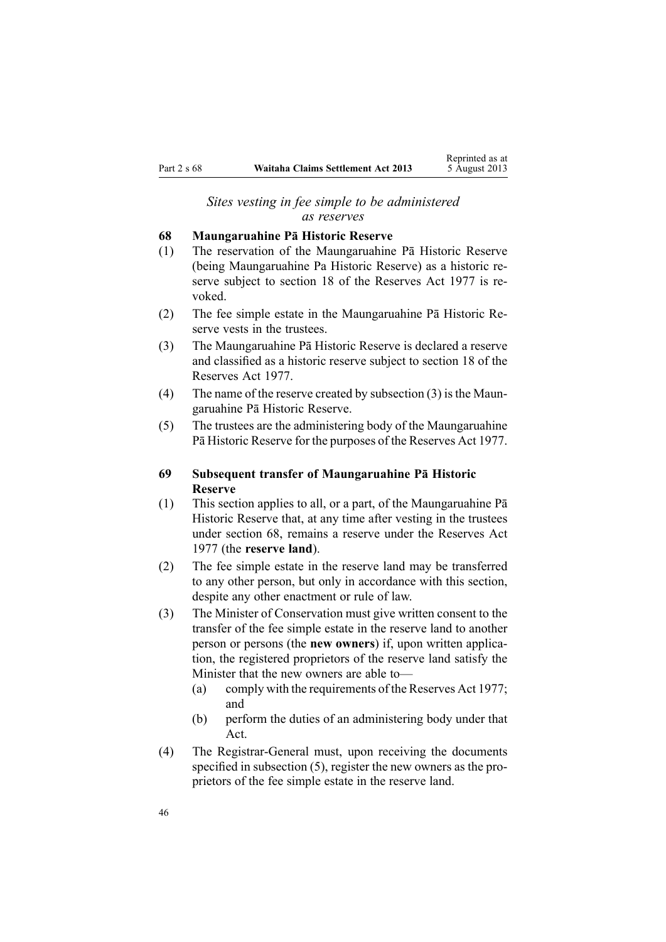#### *Sites vesting in fee simple to be administered as reserves*

#### <span id="page-45-0"></span>**68 Maungaruahine Pā Historic Reserve**

- (1) The reservation of the Maungaruahine Pā Historic Reserve (being Maungaruahine Pa Historic Reserve) as <sup>a</sup> historic reserve subject to [section](http://www.legislation.govt.nz/pdflink.aspx?id=DLM444607) 18 of the Reserves Act 1977 is revoked.
- (2) The fee simple estate in the Maungaruahine Pā Historic Reserve vests in the trustees.
- (3) The Maungaruahine Pā Historic Reserve is declared <sup>a</sup> reserve and classified as <sup>a</sup> historic reserve subject to [section](http://www.legislation.govt.nz/pdflink.aspx?id=DLM444607) 18 of the Reserves Act 1977.
- (4) The name of the reserve created by subsection  $(3)$  is the Maungaruahine Pā Historic Reserve.
- (5) The trustees are the administering body of the Maungaruahine Pā Historic Reserve for the purposes of the [Reserves](http://www.legislation.govt.nz/pdflink.aspx?id=DLM444304) Act 1977.

# **69 Subsequent transfer of Maungaruahine Pā Historic Reserve**

- (1) This section applies to all, or <sup>a</sup> part, of the Maungaruahine Pā Historic Reserve that, at any time after vesting in the trustees under section 68, remains <sup>a</sup> reserve under the [Reserves](http://www.legislation.govt.nz/pdflink.aspx?id=DLM444304) Act [1977](http://www.legislation.govt.nz/pdflink.aspx?id=DLM444304) (the **reserve land**).
- (2) The fee simple estate in the reserve land may be transferred to any other person, but only in accordance with this section, despite any other enactment or rule of law.
- (3) The Minister of Conservation must give written consent to the transfer of the fee simple estate in the reserve land to another person or persons (the **new owners**) if, upon written application, the registered proprietors of the reserve land satisfy the Minister that the new owners are able to—
	- (a) comply with the requirements of the [Reserves](http://www.legislation.govt.nz/pdflink.aspx?id=DLM444304) Act 1977; and
	- (b) perform the duties of an administering body under that Act.
- (4) The Registrar-General must, upon receiving the documents specified in subsection (5), register the new owners as the proprietors of the fee simple estate in the reserve land.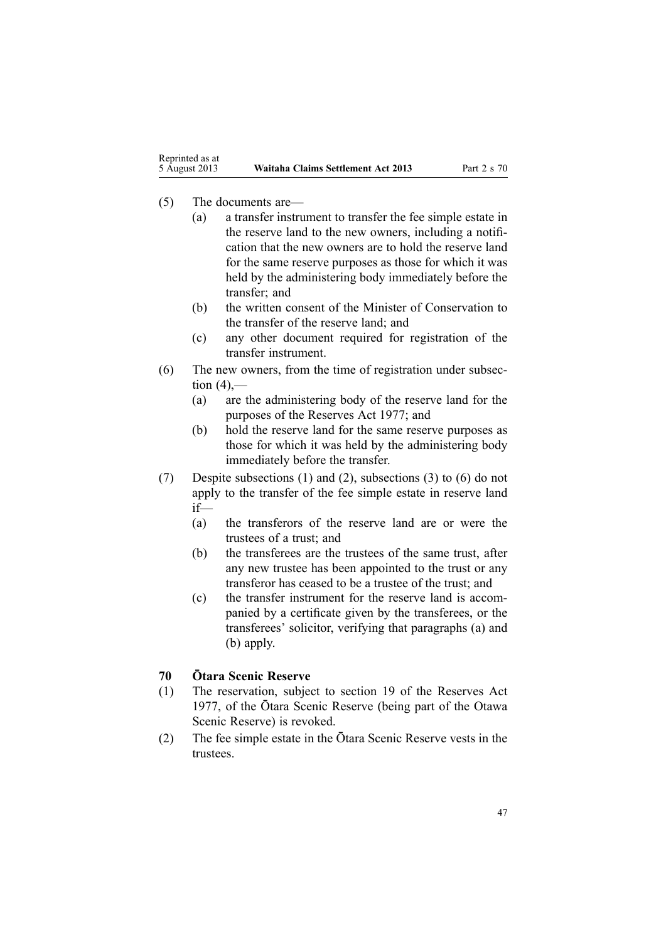- <span id="page-46-0"></span>(5) The documents are—
	- (a) <sup>a</sup> transfer instrument to transfer the fee simple estate in the reserve land to the new owners, including <sup>a</sup> notification that the new owners are to hold the reserve land for the same reserve purposes as those for which it was held by the administering body immediately before the transfer; and
	- (b) the written consent of the Minister of Conservation to the transfer of the reserve land; and
	- (c) any other document required for registration of the transfer instrument.
- (6) The new owners, from the time of registration under subsection  $(4)$ ,—
	- (a) are the administering body of the reserve land for the purposes of the [Reserves](http://www.legislation.govt.nz/pdflink.aspx?id=DLM444304) Act 1977; and
	- (b) hold the reserve land for the same reserve purposes as those for which it was held by the administering body immediately before the transfer.
- (7) Despite subsections (1) and (2), subsections (3) to (6) do not apply to the transfer of the fee simple estate in reserve land  $if$ —
	- (a) the transferors of the reserve land are or were the trustees of <sup>a</sup> trust; and
	- (b) the transferees are the trustees of the same trust, after any new trustee has been appointed to the trust or any transferor has ceased to be a trustee of the trust; and
	- (c) the transfer instrument for the reserve land is accompanied by <sup>a</sup> certificate given by the transferees, or the transferees' solicitor, verifying that paragraphs (a) and (b) apply.

# **70 Ōtara Scenic Reserve**

- (1) The reservation, subject to [section](http://www.legislation.govt.nz/pdflink.aspx?id=DLM444610) 19 of the Reserves Act 1977, of the Ōtara Scenic Reserve (being par<sup>t</sup> of the Otawa Scenic Reserve) is revoked.
- (2) The fee simple estate in the Ōtara Scenic Reserve vests in the trustees.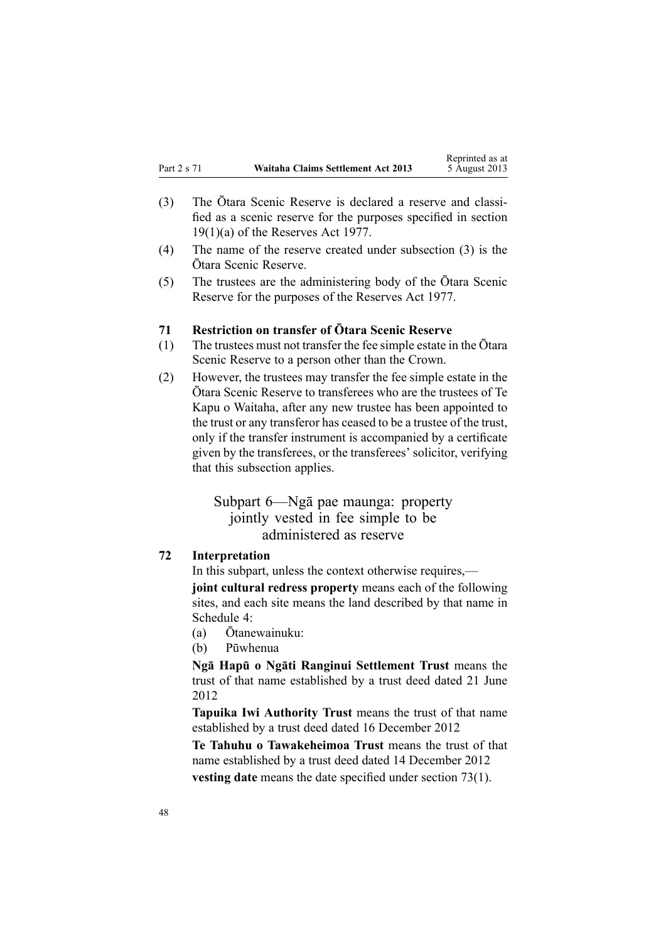- <span id="page-47-0"></span>(3) The Ōtara Scenic Reserve is declared <sup>a</sup> reserve and classified as <sup>a</sup> scenic reserve for the purposes specified in [section](http://www.legislation.govt.nz/pdflink.aspx?id=DLM444610) [19\(1\)\(a\)](http://www.legislation.govt.nz/pdflink.aspx?id=DLM444610) of the Reserves Act 1977.
- (4) The name of the reserve created under subsection (3) is the Ōtara Scenic Reserve.
- (5) The trustees are the administering body of the Ōtara Scenic Reserve for the purposes of the [Reserves](http://www.legislation.govt.nz/pdflink.aspx?id=DLM444304) Act 1977.

#### **71 Restriction on transfer of Ōtara Scenic Reserve**

- (1) The trustees must not transfer the fee simple estate in the Ōtara Scenic Reserve to <sup>a</sup> person other than the Crown.
- (2) However, the trustees may transfer the fee simple estate in the Ōtara Scenic Reserve to transferees who are the trustees of Te Kapu <sup>o</sup> Waitaha, after any new trustee has been appointed to the trust or any transferor has ceased to be a trustee of the trust, only if the transfer instrument is accompanied by <sup>a</sup> certificate given by the transferees, or the transferees' solicitor, verifying that this subsection applies.

# Subpart 6—Ngā pae maunga: property jointly vested in fee simple to be administered as reserve

#### **72 Interpretation**

In this subpart, unless the context otherwise requires,—

**joint cultural redress property** means each of the following sites, and each site means the land described by that name in [Schedule](#page-69-0) 4:

- (a) Ōtanewainuku:
- (b) Pūwhenua

**Ngā Hapū <sup>o</sup> Ngāti Ranginui Settlement Trust** means the trust of that name established by <sup>a</sup> trust deed dated 21 June 2012

**Tapuika Iwi Authority Trust** means the trust of that name established by <sup>a</sup> trust deed dated 16 December 2012

**Te Tahuhu <sup>o</sup> Tawakeheimoa Trust** means the trust of that name established by <sup>a</sup> trust deed dated 14 December 2012

**vesting date** means the date specified under [section](#page-48-0) 73(1).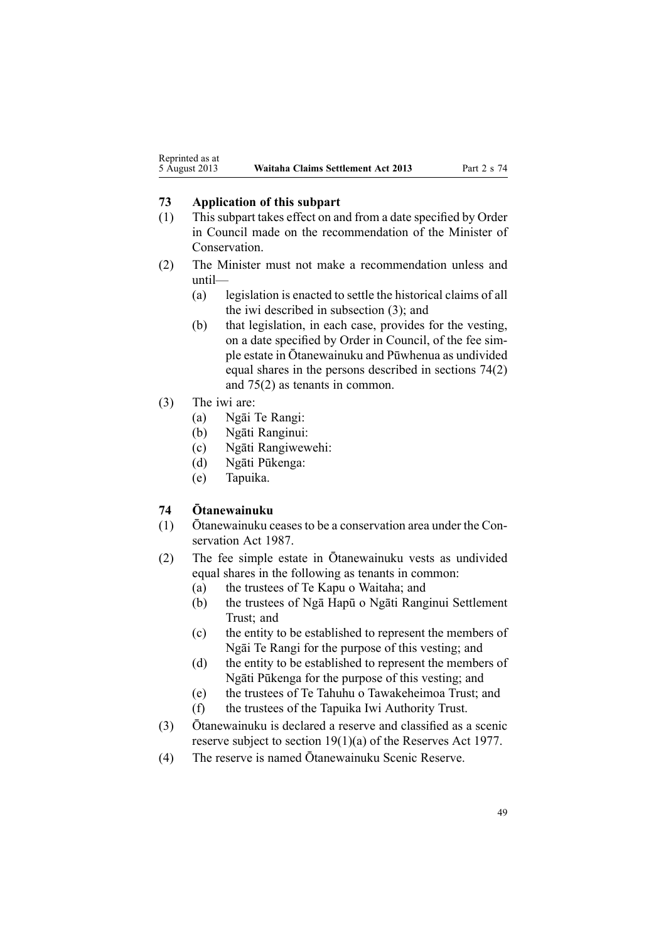#### <span id="page-48-0"></span>**73 Application of this subpart**

- (1) This subpart takes effect on and from <sup>a</sup> date specified by Order in Council made on the recommendation of the Minister of Conservation.
- (2) The Minister must not make <sup>a</sup> recommendation unless and until—
	- (a) legislation is enacted to settle the historical claims of all the iwi described in subsection (3); and
	- (b) that legislation, in each case, provides for the vesting, on <sup>a</sup> date specified by Order in Council, of the fee sim<sup>p</sup>le estate in Ōtanewainuku and Pūwhenua as undivided equal shares in the persons described in sections 74(2) and [75\(2\)](#page-49-0) as tenants in common.
- (3) The iwi are:
	- (a) Ngāi Te Rangi:
	- (b) Ngāti Ranginui:
	- (c) Ngāti Rangiwewehi:
	- (d) Ngāti Pūkenga:
	- (e) Tapuika.

# **74 Ōtanewainuku**

- (1) Ōtanewainuku ceases to be <sup>a</sup> conservation area under the [Con](http://www.legislation.govt.nz/pdflink.aspx?id=DLM103609)[servation](http://www.legislation.govt.nz/pdflink.aspx?id=DLM103609) Act 1987.
- (2) The fee simple estate in Ōtanewainuku vests as undivided equal shares in the following as tenants in common:
	- (a) the trustees of Te Kapu <sup>o</sup> Waitaha; and
	- (b) the trustees of Ngā Hapū <sup>o</sup> Ngāti Ranginui Settlement Trust; and
	- (c) the entity to be established to represen<sup>t</sup> the members of Ngāi Te Rangi for the purpose of this vesting; and
	- (d) the entity to be established to represen<sup>t</sup> the members of Ngāti Pūkenga for the purpose of this vesting; and
	- (e) the trustees of Te Tahuhu <sup>o</sup> Tawakeheimoa Trust; and
	- (f) the trustees of the Tapuika Iwi Authority Trust.
- (3) Ōtanewainuku is declared <sup>a</sup> reserve and classified as <sup>a</sup> scenic reserve subject to section [19\(1\)\(a\)](http://www.legislation.govt.nz/pdflink.aspx?id=DLM104683) of the Reserves Act 1977.
- (4) The reserve is named Ōtanewainuku Scenic Reserve.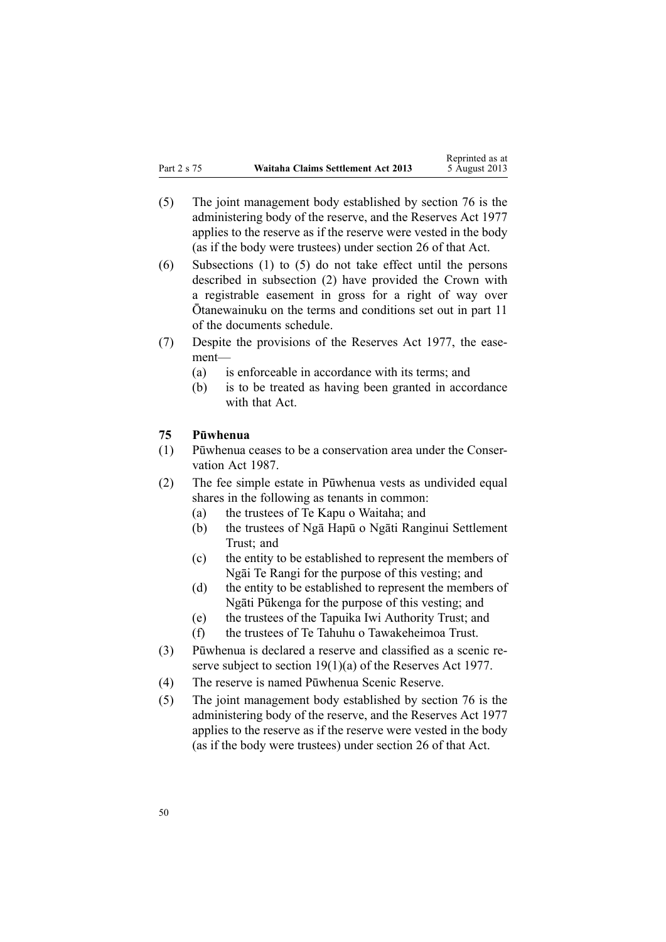- <span id="page-49-0"></span>(5) The joint managemen<sup>t</sup> body established by [section](#page-50-0) 76 is the administering body of the reserve, and the [Reserves](http://www.legislation.govt.nz/pdflink.aspx?id=DLM444304) Act 1977 applies to the reserve as if the reserve were vested in the body (as if the body were trustees) under [section](http://www.legislation.govt.nz/pdflink.aspx?id=DLM444650) 26 of that Act.
- (6) Subsections (1) to (5) do not take effect until the persons described in subsection (2) have provided the Crown with <sup>a</sup> registrable easement in gross for <sup>a</sup> right of way over Ōtanewainuku on the terms and conditions set out in par<sup>t</sup> <sup>11</sup> of the documents schedule.
- (7) Despite the provisions of the [Reserves](http://www.legislation.govt.nz/pdflink.aspx?id=DLM444304) Act 1977, the easement—
	- (a) is enforceable in accordance with its terms; and
	- (b) is to be treated as having been granted in accordance with that Act.

# **75 Pūwhenua**

- (1) Pūwhenua ceases to be <sup>a</sup> conservation area under the [Conse](http://www.legislation.govt.nz/pdflink.aspx?id=DLM103609)r[vation](http://www.legislation.govt.nz/pdflink.aspx?id=DLM103609) Act 1987.
- (2) The fee simple estate in Pūwhenua vests as undivided equal shares in the following as tenants in common:
	- (a) the trustees of Te Kapu <sup>o</sup> Waitaha; and
	- (b) the trustees of Ngā Hapū <sup>o</sup> Ngāti Ranginui Settlement Trust; and
	- (c) the entity to be established to represen<sup>t</sup> the members of Ngāi Te Rangi for the purpose of this vesting; and
	- (d) the entity to be established to represen<sup>t</sup> the members of Ngāti Pūkenga for the purpose of this vesting; and
	- (e) the trustees of the Tapuika Iwi Authority Trust; and
	- (f) the trustees of Te Tahuhu <sup>o</sup> Tawakeheimoa Trust.
- (3) Pūwhenua is declared <sup>a</sup> reserve and classified as <sup>a</sup> scenic reserve subject to section [19\(1\)\(a\)](http://www.legislation.govt.nz/pdflink.aspx?id=DLM444610) of the Reserves Act 1977.
- (4) The reserve is named Pūwhenua Scenic Reserve.
- (5) The joint managemen<sup>t</sup> body established by [section](#page-50-0) 76 is the administering body of the reserve, and the [Reserves](http://www.legislation.govt.nz/pdflink.aspx?id=DLM444304) Act 1977 applies to the reserve as if the reserve were vested in the body (as if the body were trustees) under [section](http://www.legislation.govt.nz/pdflink.aspx?id=DLM444650) 26 of that Act.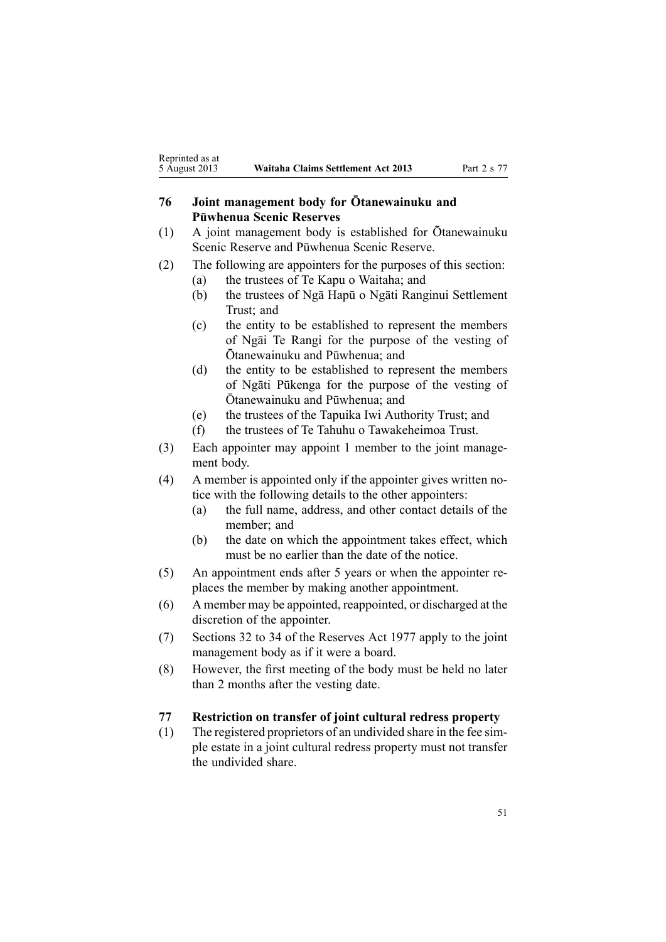# <span id="page-50-0"></span>**<sup>76</sup> Joint managemen<sup>t</sup> body for Ōtanewainuku and Pūwhenua Scenic Reserves**

- (1) <sup>A</sup> joint managemen<sup>t</sup> body is established for Ōtanewainuku Scenic Reserve and Pūwhenua Scenic Reserve.
- (2) The following are appointers for the purposes of this section:
	- (a) the trustees of Te Kapu <sup>o</sup> Waitaha; and
	- (b) the trustees of Ngā Hapū <sup>o</sup> Ngāti Ranginui Settlement Trust; and
	- (c) the entity to be established to represen<sup>t</sup> the members of Ngāi Te Rangi for the purpose of the vesting of Ōtanewainuku and Pūwhenua; and
	- (d) the entity to be established to represen<sup>t</sup> the members of Ngāti Pūkenga for the purpose of the vesting of Ōtanewainuku and Pūwhenua; and
	- (e) the trustees of the Tapuika Iwi Authority Trust; and
	- (f) the trustees of Te Tahuhu <sup>o</sup> Tawakeheimoa Trust.
- (3) Each appointer may appoint 1 member to the joint management body.
- (4) A member is appointed only if the appointer gives written notice with the following details to the other appointers:
	- (a) the full name, address, and other contact details of the member; and
	- (b) the date on which the appointment takes effect, which must be no earlier than the date of the notice.
- (5) An appointment ends after 5 years or when the appointer replaces the member by making another appointment.
- (6) A member may be appointed, reappointed, or discharged at the discretion of the appointer.
- (7) [Sections](http://www.legislation.govt.nz/pdflink.aspx?id=DLM444659) 32 to 34 of the Reserves Act 1977 apply to the joint managemen<sup>t</sup> body as if it were <sup>a</sup> board.
- (8) However, the first meeting of the body must be held no later than 2 months after the vesting date.

# **77 Restriction on transfer of joint cultural redress property**

(1) The registered proprietors of an undivided share in the fee simple estate in <sup>a</sup> joint cultural redress property must not transfer the undivided share.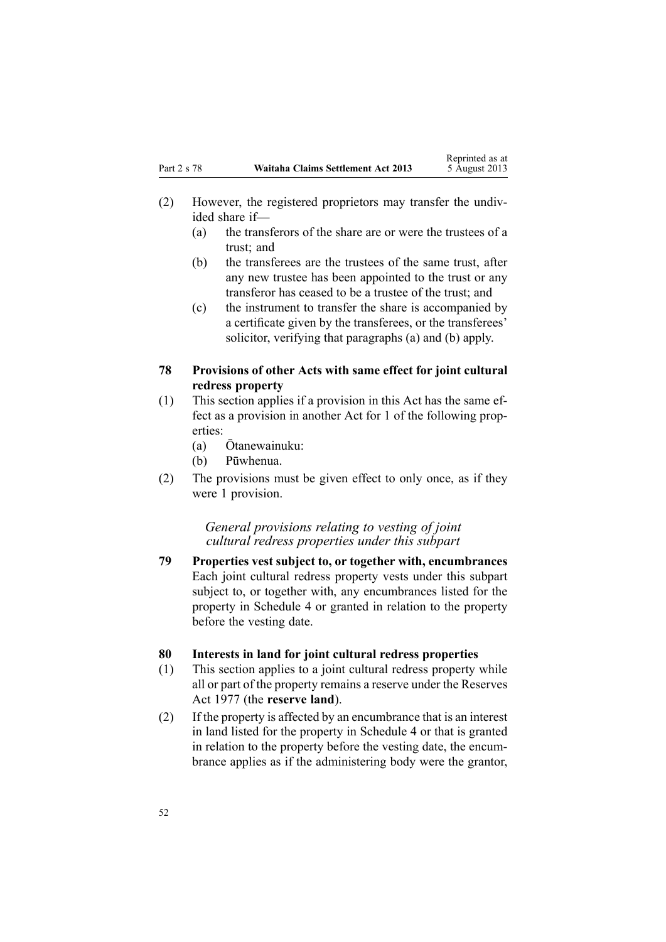- <span id="page-51-0"></span>(2) However, the registered proprietors may transfer the undivided share if—
	- (a) the transferors of the share are or were the trustees of <sup>a</sup> trust; and
	- (b) the transferees are the trustees of the same trust, after any new trustee has been appointed to the trust or any transferor has ceased to be <sup>a</sup> trustee of the trust; and
	- (c) the instrument to transfer the share is accompanied by <sup>a</sup> certificate given by the transferees, or the transferees' solicitor, verifying that paragraphs (a) and (b) apply.

## **78 Provisions of other Acts with same effect for joint cultural redress property**

- (1) This section applies if <sup>a</sup> provision in this Act has the same effect as <sup>a</sup> provision in another Act for 1 of the following properties:
	- (a) Ōtanewainuku:
	- (b) Pūwhenua.
- (2) The provisions must be given effect to only once, as if they were 1 provision.

#### *General provisions relating to vesting of joint cultural redress properties under this subpart*

**79 Properties vest subject to, or together with, encumbrances** Each joint cultural redress property vests under this subpart subject to, or together with, any encumbrances listed for the property in [Schedule](#page-69-0) 4 or granted in relation to the property before the vesting date.

# **80 Interests in land for joint cultural redress properties**

- (1) This section applies to <sup>a</sup> joint cultural redress property while all or par<sup>t</sup> of the property remains <sup>a</sup> reserve under the [Reserves](http://www.legislation.govt.nz/pdflink.aspx?id=DLM444304) Act [1977](http://www.legislation.govt.nz/pdflink.aspx?id=DLM444304) (the **reserve land**).
- (2) If the property is affected by an encumbrance that is an interest in land listed for the property in [Schedule](#page-69-0) 4 or that is granted in relation to the property before the vesting date, the encumbrance applies as if the administering body were the grantor,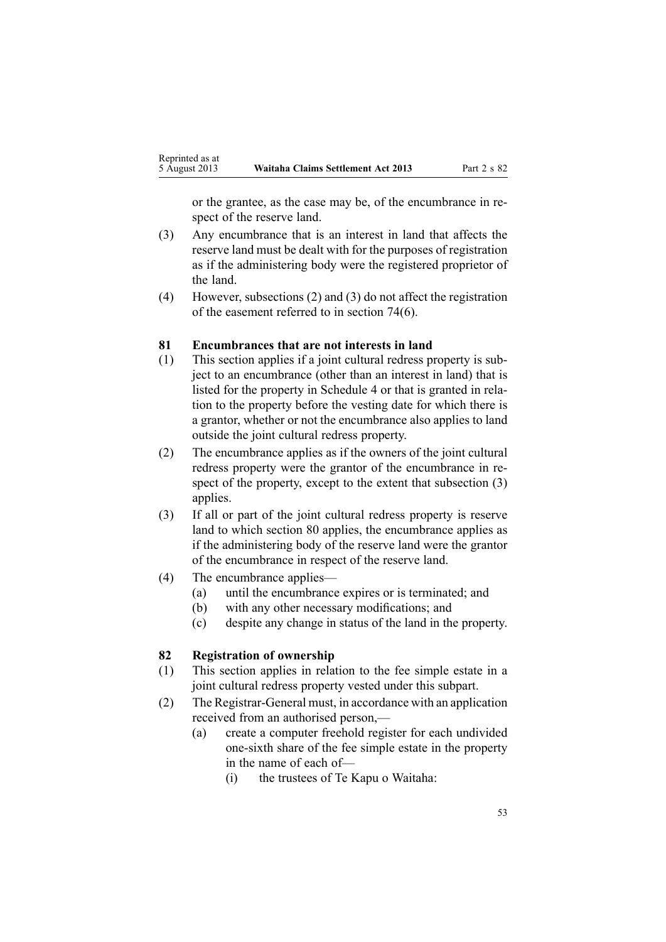<span id="page-52-0"></span>or the grantee, as the case may be, of the encumbrance in respec<sup>t</sup> of the reserve land.

- (3) Any encumbrance that is an interest in land that affects the reserve land must be dealt with for the purposes of registration as if the administering body were the registered proprietor of the land.
- (4) However, subsections (2) and (3) do not affect the registration of the easement referred to in [section](#page-48-0) 74(6).

#### **81 Encumbrances that are not interests in land**

- (1) This section applies if <sup>a</sup> joint cultural redress property is subject to an encumbrance (other than an interest in land) that is listed for the property in [Schedule](#page-69-0) 4 or that is granted in relation to the property before the vesting date for which there is <sup>a</sup> grantor, whether or not the encumbrance also applies to land outside the joint cultural redress property.
- (2) The encumbrance applies as if the owners of the joint cultural redress property were the grantor of the encumbrance in respec<sup>t</sup> of the property, excep<sup>t</sup> to the extent that subsection (3) applies.
- (3) If all or par<sup>t</sup> of the joint cultural redress property is reserve land to which [section](#page-51-0) 80 applies, the encumbrance applies as if the administering body of the reserve land were the grantor of the encumbrance in respec<sup>t</sup> of the reserve land.
- (4) The encumbrance applies—
	- (a) until the encumbrance expires or is terminated; and
	- (b) with any other necessary modifications; and
	- (c) despite any change in status of the land in the property.

# **82 Registration of ownership**

- (1) This section applies in relation to the fee simple estate in <sup>a</sup> joint cultural redress property vested under this subpart.
- (2) The Registrar-General must, in accordance with an application received from an authorised person,—
	- (a) create <sup>a</sup> computer freehold register for each undivided one-sixth share of the fee simple estate in the property in the name of each of—
		- (i) the trustees of Te Kapu <sup>o</sup> Waitaha: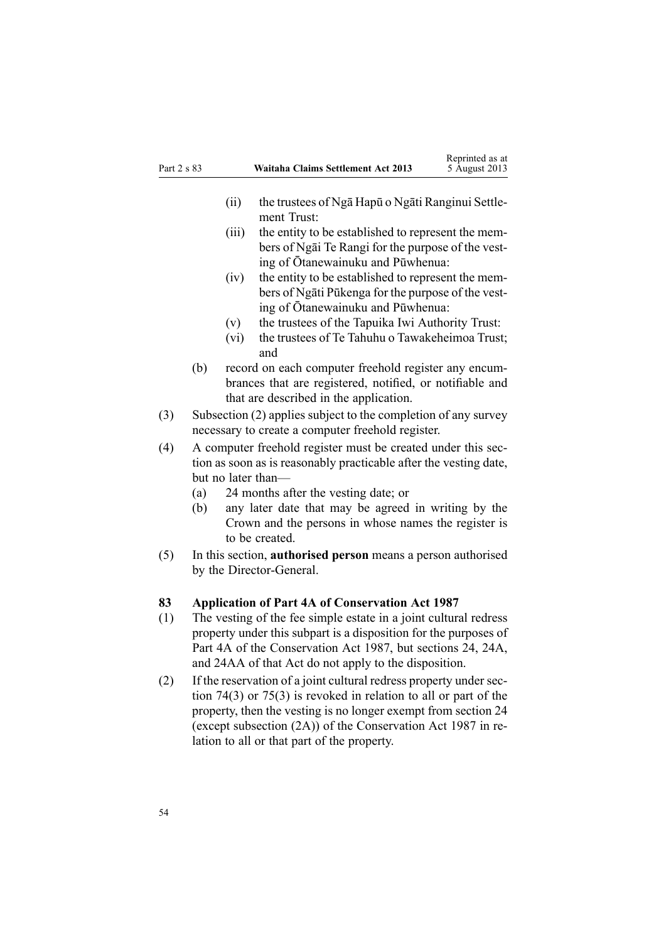<span id="page-53-0"></span>

| Part 2 s 83 |                                                                                                                                                         |             | <b>Waitaha Claims Settlement Act 2013</b>                                                                                                                             | Reprinted as at<br>5 August 2013 |
|-------------|---------------------------------------------------------------------------------------------------------------------------------------------------------|-------------|-----------------------------------------------------------------------------------------------------------------------------------------------------------------------|----------------------------------|
|             |                                                                                                                                                         | (ii)        | the trustees of Nga Hapū o Ngati Ranginui Settle-<br>ment Trust:                                                                                                      |                                  |
|             |                                                                                                                                                         | (iii)       | the entity to be established to represent the mem-<br>bers of Ngai Te Rangi for the purpose of the vest-<br>ing of Ōtanewainuku and Pūwhenua:                         |                                  |
|             |                                                                                                                                                         | (iv)        | the entity to be established to represent the mem-<br>bers of Ngati Pūkenga for the purpose of the vest-<br>ing of Ōtanewainuku and Pūwhenua:                         |                                  |
|             |                                                                                                                                                         | (v)<br>(vi) | the trustees of the Tapuika Iwi Authority Trust:<br>the trustees of Te Tahuhu o Tawakeheimoa Trust;                                                                   |                                  |
|             | (b)                                                                                                                                                     |             | and<br>record on each computer freehold register any encum-<br>brances that are registered, notified, or notifiable and<br>that are described in the application.     |                                  |
| (3)         |                                                                                                                                                         |             | Subsection (2) applies subject to the completion of any survey<br>necessary to create a computer freehold register.                                                   |                                  |
| (4)         | A computer freehold register must be created under this sec-<br>tion as soon as is reasonably practicable after the vesting date,<br>but no later than— |             |                                                                                                                                                                       |                                  |
|             | (a)<br>(b)                                                                                                                                              |             | 24 months after the vesting date; or<br>any later date that may be agreed in writing by the<br>Crown and the persons in whose names the register is<br>to be created. |                                  |
| (5)         |                                                                                                                                                         |             | In this section, <b>authorised person</b> means a person authorised<br>by the Director-General.                                                                       |                                  |
| 83          |                                                                                                                                                         |             | <b>Application of Part 4A of Conservation Act 1987</b>                                                                                                                |                                  |
| (1)         |                                                                                                                                                         |             | The vesting of the fee simple estate in a joint cultural redress                                                                                                      |                                  |

Reprinted as at

- property under this subpart is <sup>a</sup> disposition for the purposes of [Part](http://www.legislation.govt.nz/pdflink.aspx?id=DLM104697) 4A of the Conservation Act 1987, but [sections](http://www.legislation.govt.nz/pdflink.aspx?id=DLM104699) 24, [24A](http://www.legislation.govt.nz/pdflink.aspx?id=DLM104910), and [24AA](http://www.legislation.govt.nz/pdflink.aspx?id=DLM104914) of that Act do not apply to the disposition.
- (2) If the reservation of <sup>a</sup> joint cultural redress property under [sec](#page-48-0)tion [74\(3\)](#page-48-0) or [75\(3\)](#page-49-0) is revoked in relation to all or par<sup>t</sup> of the property, then the vesting is no longer exemp<sup>t</sup> from [section](http://www.legislation.govt.nz/pdflink.aspx?id=DLM104699) 24 (except subsection (2A)) of the Conservation Act 1987 in relation to all or that par<sup>t</sup> of the property.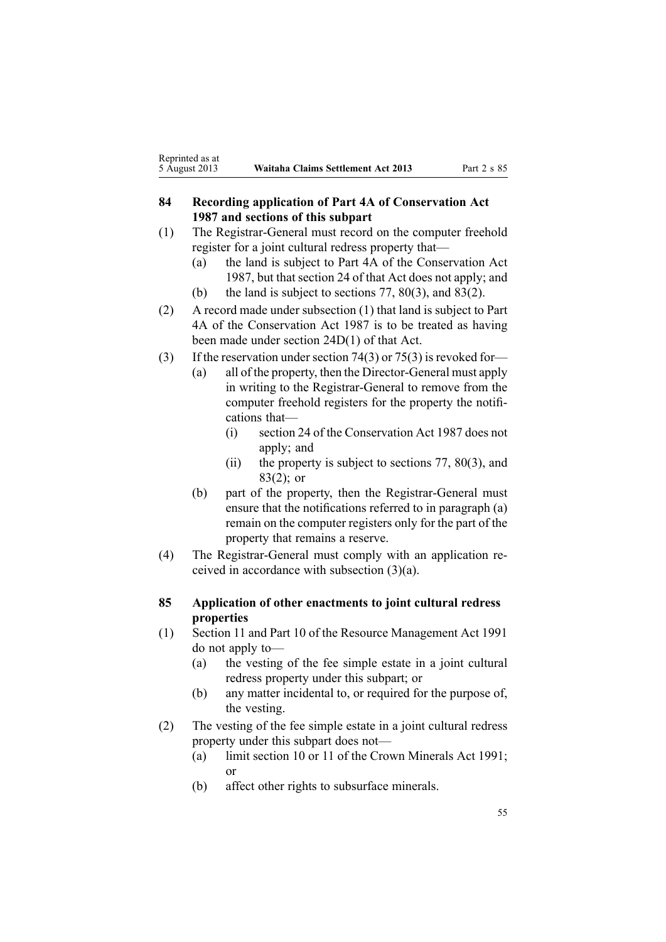# <span id="page-54-0"></span>**84 Recording application of Part 4A of Conservation Act 1987 and sections of this subpart**

- (1) The Registrar-General must record on the computer freehold register for <sup>a</sup> joint cultural redress property that—
	- (a) the land is subject to [Part](http://www.legislation.govt.nz/pdflink.aspx?id=DLM104697) 4A of the Conservation Act 1987, but that [section](http://www.legislation.govt.nz/pdflink.aspx?id=DLM104699) 24 of that Act does not apply; and (b) the land is subject to [sections](#page-50-0) 77, [80\(3\)](#page-51-0), and [83\(2\)](#page-53-0).
	-
- (2) A record made under subsection (1) that land is subject to [Part](http://www.legislation.govt.nz/pdflink.aspx?id=DLM104697) [4A](http://www.legislation.govt.nz/pdflink.aspx?id=DLM104697) of the Conservation Act 1987 is to be treated as having been made under section [24D\(1\)](http://www.legislation.govt.nz/pdflink.aspx?id=DLM104928) of that Act.
- (3) If the reservation under section 74(3) or [75\(3\)](#page-49-0) is revoked for-
	- (a) all of the property, then the Director-General must apply in writing to the Registrar-General to remove from the computer freehold registers for the property the notifications that—
		- (i) [section](http://www.legislation.govt.nz/pdflink.aspx?id=DLM104699) 24 of the Conservation Act 1987 does not apply; and
		- (ii) the property is subject to [sections](#page-50-0) 77, [80\(3\)](#page-51-0), and [83\(2\)](#page-53-0); or
	- (b) par<sup>t</sup> of the property, then the Registrar-General must ensure that the notifications referred to in paragraph (a) remain on the computer registers only for the par<sup>t</sup> of the property that remains <sup>a</sup> reserve.
- (4) The Registrar-General must comply with an application received in accordance with subsection (3)(a).

#### **85 Application of other enactments to joint cultural redress properties**

- (1) [Section](http://www.legislation.govt.nz/pdflink.aspx?id=DLM231942) 11 and [Part](http://www.legislation.govt.nz/pdflink.aspx?id=DLM236786) 10 of the Resource Management Act 1991 do not apply to—
	- (a) the vesting of the fee simple estate in <sup>a</sup> joint cultural redress property under this subpart; or
	- (b) any matter incidental to, or required for the purpose of, the vesting.
- (2) The vesting of the fee simple estate in <sup>a</sup> joint cultural redress property under this subpart does not—
	- (a) limit [section](http://www.legislation.govt.nz/pdflink.aspx?id=DLM246310) 10 or [11](http://www.legislation.govt.nz/pdflink.aspx?id=DLM246311) of the Crown Minerals Act 1991; or
	- (b) affect other rights to subsurface minerals.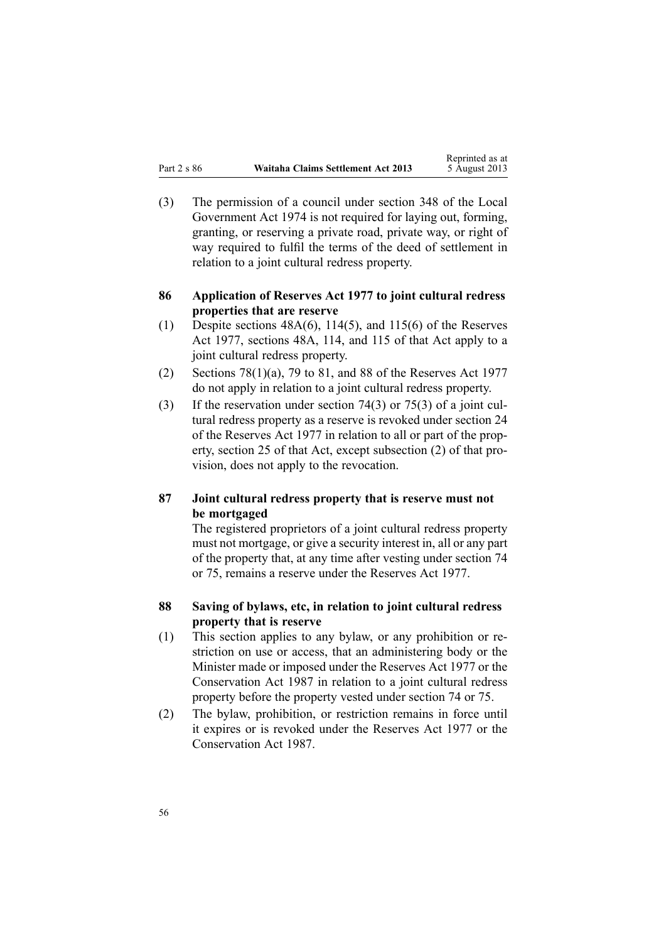<span id="page-55-0"></span>(3) The permission of <sup>a</sup> council under [section](http://www.legislation.govt.nz/pdflink.aspx?id=DLM420676) 348 of the Local Government Act 1974 is not required for laying out, forming, granting, or reserving <sup>a</sup> private road, private way, or right of way required to fulfil the terms of the deed of settlement in relation to <sup>a</sup> joint cultural redress property.

#### **86 Application of Reserves Act 1977 to joint cultural redress properties that are reserve**

- (1) Despite sections  $48A(6)$ ,  $114(5)$ , and  $115(6)$  of the Reserves Act 1977, sections 48A, 114, and 115 of that Act apply to <sup>a</sup> joint cultural redress property.
- (2) Sections [78\(1\)\(a\)](http://www.legislation.govt.nz/pdflink.aspx?id=DLM444920), 79 to [81](http://www.legislation.govt.nz/pdflink.aspx?id=DLM444929), and [88](http://www.legislation.govt.nz/pdflink.aspx?id=DLM444949) of the Reserves Act 1977 do not apply in relation to <sup>a</sup> joint cultural redress property.
- (3) If the reservation under [section](#page-48-0) 74(3) or [75\(3\)](#page-49-0) of <sup>a</sup> joint cultural redress property as <sup>a</sup> reserve is revoked under [section](http://www.legislation.govt.nz/pdflink.aspx?id=DLM444632) 24 of the Reserves Act 1977 in relation to all or par<sup>t</sup> of the property, [section](http://www.legislation.govt.nz/pdflink.aspx?id=DLM444648) 25 of that Act, excep<sup>t</sup> subsection (2) of that provision, does not apply to the revocation.

# **87 Joint cultural redress property that is reserve must not be mortgaged**

The registered proprietors of <sup>a</sup> joint cultural redress property must not mortgage, or give <sup>a</sup> security interest in, all or any par<sup>t</sup> of the property that, at any time after vesting under [section](#page-48-0) 74 or [75](#page-49-0), remains <sup>a</sup> reserve under the [Reserves](http://www.legislation.govt.nz/pdflink.aspx?id=DLM444304) Act 1977.

# **88 Saving of bylaws, etc, in relation to joint cultural redress property that is reserve**

- (1) This section applies to any bylaw, or any prohibition or restriction on use or access, that an administering body or the Minister made or imposed under the [Reserves](http://www.legislation.govt.nz/pdflink.aspx?id=DLM444304) Act 1977 or the [Conservation](http://www.legislation.govt.nz/pdflink.aspx?id=DLM103609) Act 1987 in relation to <sup>a</sup> joint cultural redress property before the property vested under [section](#page-48-0) 74 or [75](#page-49-0).
- (2) The bylaw, prohibition, or restriction remains in force until it expires or is revoked under the [Reserves](http://www.legislation.govt.nz/pdflink.aspx?id=DLM444304) Act 1977 or the [Conservation](http://www.legislation.govt.nz/pdflink.aspx?id=DLM103609) Act 1987.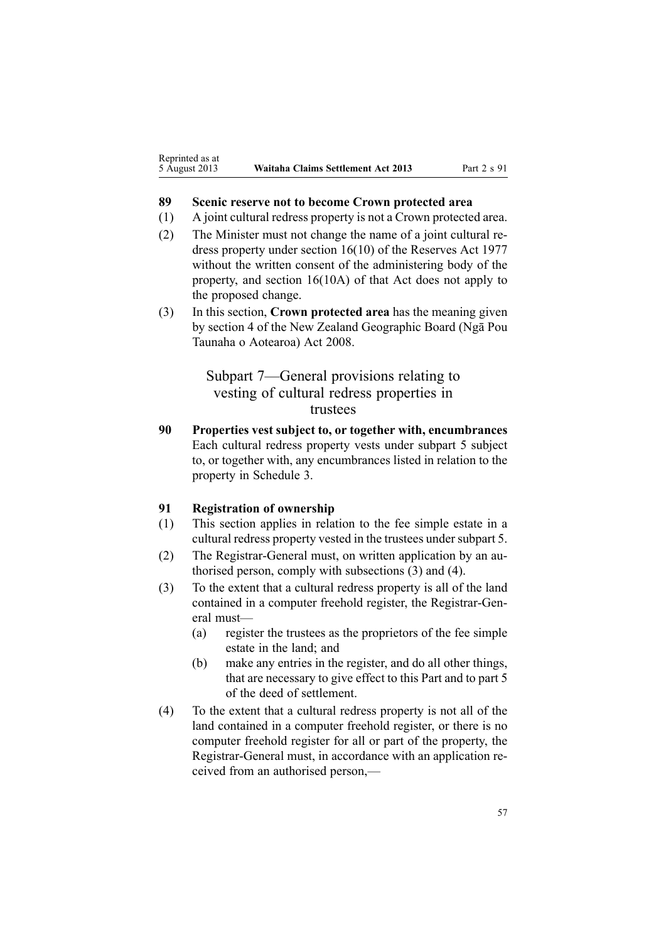#### <span id="page-56-0"></span>**89 Scenic reserve not to become Crown protected area**

- (1) A joint cultural redress property is not <sup>a</sup> Crown protected area.
- (2) The Minister must not change the name of <sup>a</sup> joint cultural redress property under section [16\(10\)](http://www.legislation.govt.nz/pdflink.aspx?id=DLM444492) of the Reserves Act 1977 without the written consent of the administering body of the property, and section 16(10A) of that Act does not apply to the proposed change.
- (3) In this section, **Crown protected area** has the meaning given by [section](http://www.legislation.govt.nz/pdflink.aspx?id=DLM1065420) 4 of the New Zealand Geographic Board (Ngā Pou Taunaha <sup>o</sup> Aotearoa) Act 2008.

Subpart 7—General provisions relating to vesting of cultural redress properties in trustees

**90 Properties vest subject to, or together with, encumbrances** Each cultural redress property vests under [subpart](#page-43-0) 5 subject to, or together with, any encumbrances listed in relation to the property in [Schedule](#page-67-0) 3.

# **91 Registration of ownership**

- (1) This section applies in relation to the fee simple estate in <sup>a</sup> cultural redress property vested in the trustees under subpart 5.
- (2) The Registrar-General must, on written application by an authorised person, comply with subsections (3) and (4).
- (3) To the extent that <sup>a</sup> cultural redress property is all of the land contained in <sup>a</sup> computer freehold register, the Registrar-General must—
	- (a) register the trustees as the proprietors of the fee simple estate in the land; and
	- (b) make any entries in the register, and do all other things, that are necessary to give effect to this Part and to par<sup>t</sup> 5 of the deed of settlement.
- (4) To the extent that <sup>a</sup> cultural redress property is not all of the land contained in <sup>a</sup> computer freehold register, or there is no computer freehold register for all or par<sup>t</sup> of the property, the Registrar-General must, in accordance with an application received from an authorised person,—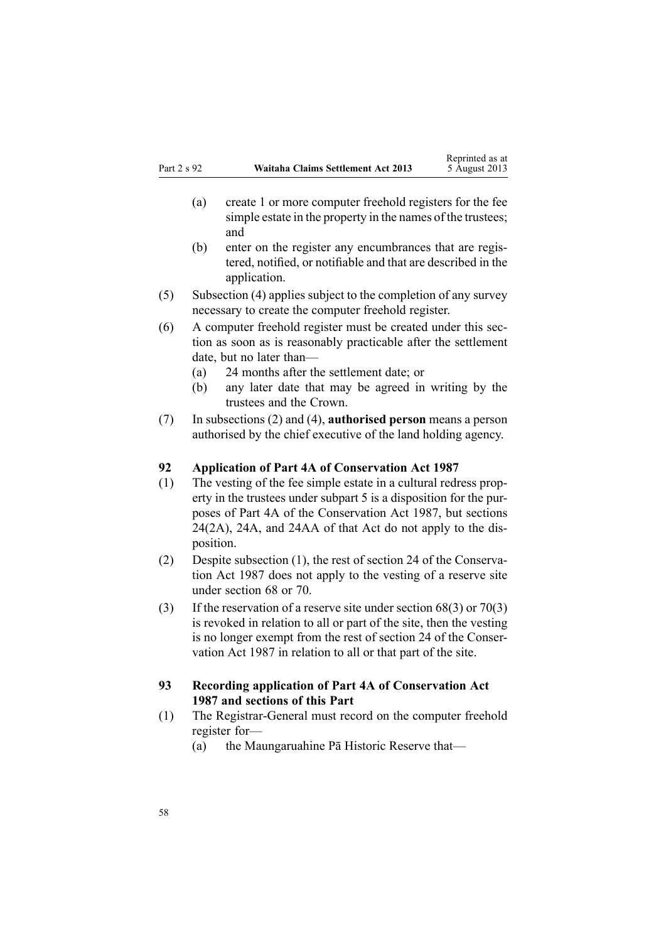- <span id="page-57-0"></span>(a) create 1 or more computer freehold registers for the fee simple estate in the property in the names of the trustees; and
- (b) enter on the register any encumbrances that are registered, notified, or notifiable and that are described in the application.
- (5) Subsection (4) applies subject to the completion of any survey necessary to create the computer freehold register.
- (6) A computer freehold register must be created under this section as soon as is reasonably practicable after the settlement date, but no later than—
	- (a) 24 months after the settlement date; or
	- (b) any later date that may be agreed in writing by the trustees and the Crown.
- (7) In subsections (2) and (4), **authorised person** means <sup>a</sup> person authorised by the chief executive of the land holding agency.

#### **92 Application of Part 4A of Conservation Act 1987**

- (1) The vesting of the fee simple estate in <sup>a</sup> cultural redress property in the trustees under [subpart](#page-43-0) 5 is <sup>a</sup> disposition for the purposes of [Part](http://www.legislation.govt.nz/pdflink.aspx?id=DLM104697) 4A of the Conservation Act 1987, but [sections](http://www.legislation.govt.nz/pdflink.aspx?id=DLM104699) [24\(2A\)](http://www.legislation.govt.nz/pdflink.aspx?id=DLM104699), [24A](http://www.legislation.govt.nz/pdflink.aspx?id=DLM104910), and [24AA](http://www.legislation.govt.nz/pdflink.aspx?id=DLM104914) of that Act do not apply to the disposition.
- (2) Despite subsection (1), the rest of [section](http://www.legislation.govt.nz/pdflink.aspx?id=DLM104699) 24 of the Conservation Act 1987 does not apply to the vesting of <sup>a</sup> reserve site under [section](#page-45-0) 68 or [70](#page-46-0).
- (3) If the reservation of <sup>a</sup> reserve site under [section](#page-45-0) 68(3) or [70\(3\)](#page-46-0) is revoked in relation to all or par<sup>t</sup> of the site, then the vesting is no longer exemp<sup>t</sup> from the rest of [section](http://www.legislation.govt.nz/pdflink.aspx?id=DLM104699) 24 of the Conservation Act 1987 in relation to all or that par<sup>t</sup> of the site.

## **93 Recording application of Part 4A of Conservation Act 1987 and sections of this Part**

- (1) The Registrar-General must record on the computer freehold register for—
	- (a) the Maungaruahine Pā Historic Reserve that—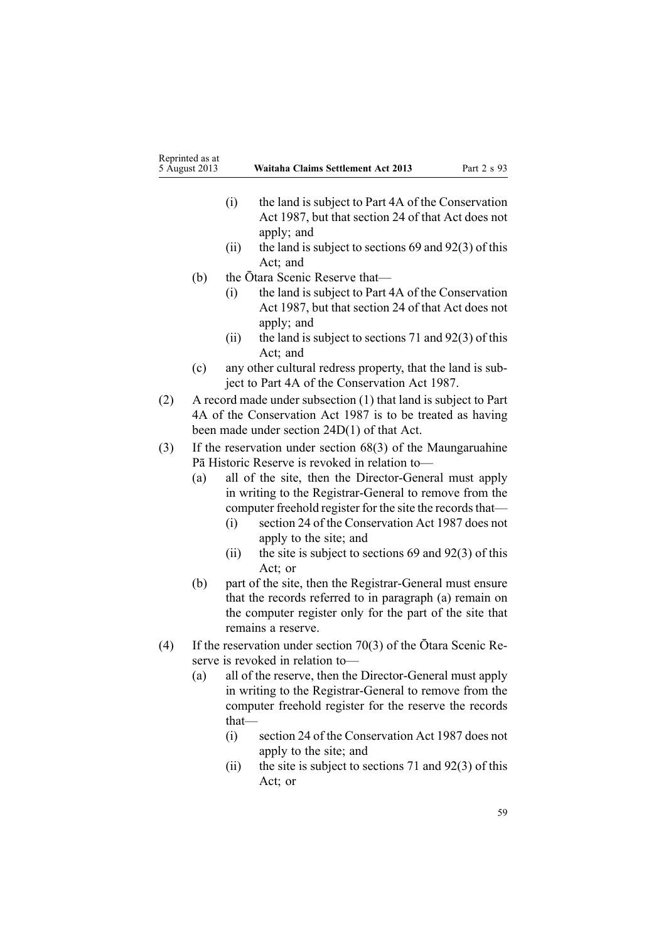- (i) the land is subject to [Part](http://www.legislation.govt.nz/pdflink.aspx?id=DLM104697) 4A of the Conservation Act 1987, but that [section](http://www.legislation.govt.nz/pdflink.aspx?id=DLM104699) 24 of that Act does not apply; and
- (ii) the land is subject to [sections](#page-45-0) 69 and  $92(3)$  of this Act; and
- (b) the Ōtara Scenic Reserve that—
	- (i) the land is subject to [Part](http://www.legislation.govt.nz/pdflink.aspx?id=DLM104697) 4A of the Conservation Act 1987, but that [section](http://www.legislation.govt.nz/pdflink.aspx?id=DLM104699) 24 of that Act does not apply; and
	- (ii) the land is subject to [sections](#page-47-0) 71 and  $92(3)$  of this Act; and
- (c) any other cultural redress property, that the land is subject to [Part](http://www.legislation.govt.nz/pdflink.aspx?id=DLM104697) 4A of the Conservation Act 1987.
- (2) A record made under subsection (1) that land is subject to [Part](http://www.legislation.govt.nz/pdflink.aspx?id=DLM104697) [4A](http://www.legislation.govt.nz/pdflink.aspx?id=DLM104697) of the Conservation Act 1987 is to be treated as having been made under section [24D\(1\)](http://www.legislation.govt.nz/pdflink.aspx?id=DLM104928) of that Act.
- (3) If the reservation under [section](#page-45-0) 68(3) of the Maungaruahine Pā Historic Reserve is revoked in relation to—
	- (a) all of the site, then the Director-General must apply in writing to the Registrar-General to remove from the computer freehold register for the site the records that—
		- (i) [section](http://www.legislation.govt.nz/pdflink.aspx?id=DLM104699) 24 of the Conservation Act 1987 does not apply to the site; and
		- (ii) the site is subject to [sections](#page-45-0)  $69$  and  $92(3)$  of this Act; or
	- (b) par<sup>t</sup> of the site, then the Registrar-General must ensure that the records referred to in paragraph (a) remain on the computer register only for the par<sup>t</sup> of the site that remains <sup>a</sup> reserve.
- (4) If the reservation under [section](#page-46-0) 70(3) of the Ōtara Scenic Reserve is revoked in relation to—
	- (a) all of the reserve, then the Director-General must apply in writing to the Registrar-General to remove from the computer freehold register for the reserve the records that—
		- (i) [section](http://www.legislation.govt.nz/pdflink.aspx?id=DLM104699) 24 of the Conservation Act 1987 does not apply to the site; and
		- (ii) the site is subject to [sections](#page-47-0) 71 and  $92(3)$  of this Act; or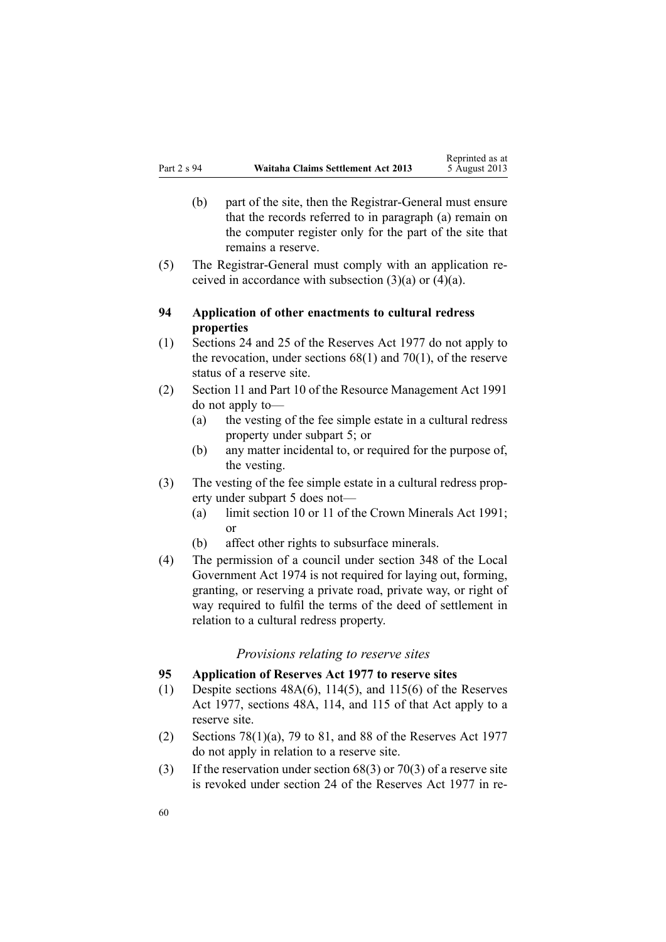- <span id="page-59-0"></span>(b) par<sup>t</sup> of the site, then the Registrar-General must ensure that the records referred to in paragraph (a) remain on the computer register only for the par<sup>t</sup> of the site that remains <sup>a</sup> reserve.
- (5) The Registrar-General must comply with an application received in accordance with subsection  $(3)(a)$  or  $(4)(a)$ .

# **94 Application of other enactments to cultural redress properties**

- (1) [Sections](http://www.legislation.govt.nz/pdflink.aspx?id=DLM444632) 24 and [25](http://www.legislation.govt.nz/pdflink.aspx?id=DLM444648) of the Reserves Act 1977 do not apply to the revocation, under [sections](#page-45-0)  $68(1)$  and  $70(1)$ , of the reserve status of <sup>a</sup> reserve site.
- (2) [Section](http://www.legislation.govt.nz/pdflink.aspx?id=DLM231942) 11 and [Part](http://www.legislation.govt.nz/pdflink.aspx?id=DLM236786) 10 of the Resource Management Act 1991 do not apply to—
	- (a) the vesting of the fee simple estate in <sup>a</sup> cultural redress property under [subpart](#page-43-0) 5; or
	- (b) any matter incidental to, or required for the purpose of, the vesting.
- (3) The vesting of the fee simple estate in <sup>a</sup> cultural redress property under [subpart](#page-43-0) 5 does not—
	- (a) limit [section](http://www.legislation.govt.nz/pdflink.aspx?id=DLM246310) 10 or [11](http://www.legislation.govt.nz/pdflink.aspx?id=DLM246311) of the Crown Minerals Act 1991; or
	- (b) affect other rights to subsurface minerals.
- (4) The permission of <sup>a</sup> council under [section](http://www.legislation.govt.nz/pdflink.aspx?id=DLM420676) 348 of the Local Government Act 1974 is not required for laying out, forming, granting, or reserving <sup>a</sup> private road, private way, or right of way required to fulfil the terms of the deed of settlement in relation to <sup>a</sup> cultural redress property.

#### *Provisions relating to reserve sites*

#### **95 Application of Reserves Act 1977 to reserve sites**

- (1) Despite sections  $48A(6)$ ,  $114(5)$ , and  $115(6)$  of the Reserves Act 1977, sections 48A, 114, and 115 of that Act apply to <sup>a</sup> reserve site.
- (2) Sections [78\(1\)\(a\)](http://www.legislation.govt.nz/pdflink.aspx?id=DLM444920), 79 to [81](http://www.legislation.govt.nz/pdflink.aspx?id=DLM444929), and [88](http://www.legislation.govt.nz/pdflink.aspx?id=DLM444949) of the Reserves Act 1977 do not apply in relation to <sup>a</sup> reserve site.
- (3) If the reservation under [section](#page-45-0) 68(3) or [70\(3\)](#page-46-0) of <sup>a</sup> reserve site is revoked under [section](http://www.legislation.govt.nz/pdflink.aspx?id=DLM444632) 24 of the Reserves Act 1977 in re-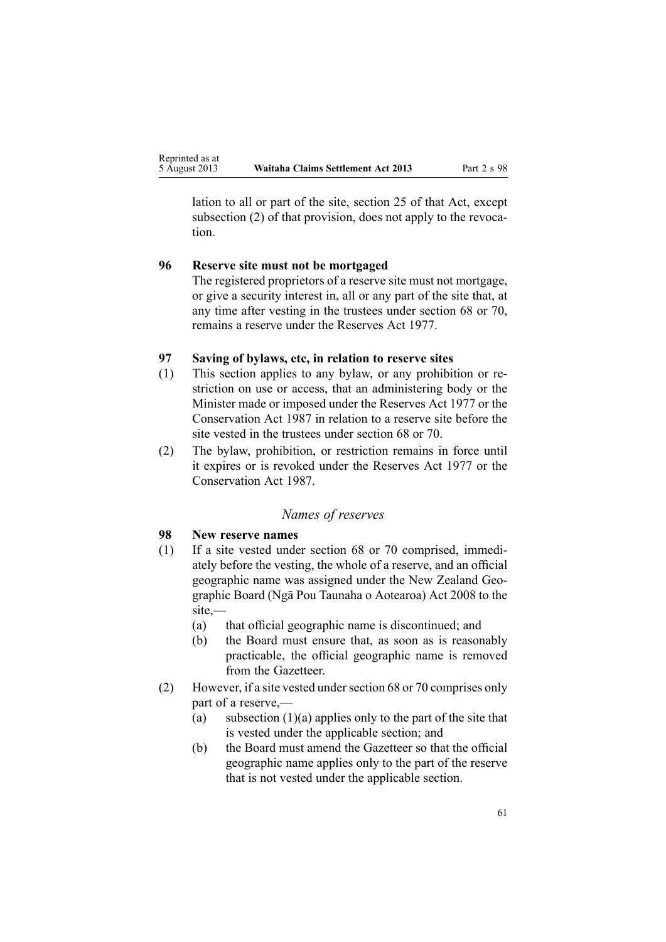<span id="page-60-0"></span>lation to all or par<sup>t</sup> of the site, [section](http://www.legislation.govt.nz/pdflink.aspx?id=DLM444648) 25 of that Act, excep<sup>t</sup> subsection (2) of that provision, does not apply to the revocation.

# **96 Reserve site must not be mortgaged**

The registered proprietors of <sup>a</sup> reserve site must not mortgage, or give <sup>a</sup> security interest in, all or any par<sup>t</sup> of the site that, at any time after vesting in the trustees under [section](#page-45-0) 68 or [70](#page-46-0), remains <sup>a</sup> reserve under the [Reserves](http://www.legislation.govt.nz/pdflink.aspx?id=DLM444304) Act 1977.

#### **97 Saving of bylaws, etc, in relation to reserve sites**

- (1) This section applies to any bylaw, or any prohibition or restriction on use or access, that an administering body or the Minister made or imposed under the [Reserves](http://www.legislation.govt.nz/pdflink.aspx?id=DLM444304) Act 1977 or the [Conservation](http://www.legislation.govt.nz/pdflink.aspx?id=DLM103609) Act 1987 in relation to <sup>a</sup> reserve site before the site vested in the trustees under [section](#page-45-0) 68 or [70](#page-46-0).
- (2) The bylaw, prohibition, or restriction remains in force until it expires or is revoked under the [Reserves](http://www.legislation.govt.nz/pdflink.aspx?id=DLM444304) Act 1977 or the [Conservation](http://www.legislation.govt.nz/pdflink.aspx?id=DLM103609) Act 1987.

#### *Names of reserves*

# **98 New reserve names**

- (1) If <sup>a</sup> site vested under [section](#page-45-0) 68 or [70](#page-46-0) comprised, immediately before the vesting, the whole of <sup>a</sup> reserve, and an official geographic name was assigned under the New [Zealand](http://www.legislation.govt.nz/pdflink.aspx?id=DLM1065400) Geographic Board (Ngā Pou Taunaha <sup>o</sup> [Aotearoa\)](http://www.legislation.govt.nz/pdflink.aspx?id=DLM1065400) Act 2008 to the site,—
	- (a) that official geographic name is discontinued; and
	- (b) the Board must ensure that, as soon as is reasonably practicable, the official geographic name is removed from the Gazetteer.
- (2) However, if a site vested under [section](#page-45-0) 68 or [70](#page-46-0) comprises only par<sup>t</sup> of <sup>a</sup> reserve,—
	- (a) subsection  $(1)(a)$  applies only to the part of the site that is vested under the applicable section; and
	- (b) the Board must amend the Gazetteer so that the official geographic name applies only to the par<sup>t</sup> of the reserve that is not vested under the applicable section.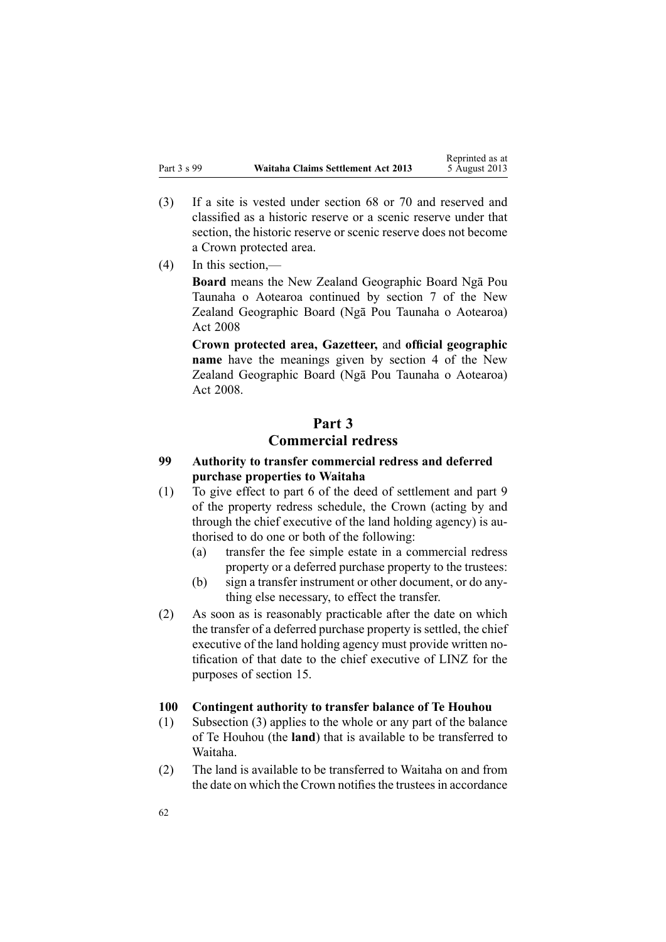- <span id="page-61-0"></span>(3) If <sup>a</sup> site is vested under [section](#page-45-0) 68 or [70](#page-46-0) and reserved and classified as <sup>a</sup> historic reserve or <sup>a</sup> scenic reserve under that section, the historic reserve or scenic reserve does not become <sup>a</sup> Crown protected area.
- (4) In this section,—

**Board** means the New Zealand Geographic Board Ngā Pou Taunaha <sup>o</sup> Aotearoa continued by [section](http://www.legislation.govt.nz/pdflink.aspx?id=DLM1065473) 7 of the New Zealand Geographic Board (Ngā Pou Taunaha <sup>o</sup> Aotearoa) Act 2008

**Crown protected area, Gazetteer,** and **official geographic name** have the meanings given by [section](http://www.legislation.govt.nz/pdflink.aspx?id=DLM1065420) 4 of the New Zealand Geographic Board (Ngā Pou Taunaha <sup>o</sup> Aotearoa) Act 2008.

# **Part 3 Commercial redress**

# **99 Authority to transfer commercial redress and deferred purchase properties to Waitaha**

- (1) To give effect to par<sup>t</sup> 6 of the deed of settlement and par<sup>t</sup> 9 of the property redress schedule, the Crown (acting by and through the chief executive of the land holding agency) is authorised to do one or both of the following:
	- (a) transfer the fee simple estate in <sup>a</sup> commercial redress property or <sup>a</sup> deferred purchase property to the trustees:
	- (b) sign <sup>a</sup> transfer instrument or other document, or do anything else necessary, to effect the transfer.
- (2) As soon as is reasonably practicable after the date on which the transfer of <sup>a</sup> deferred purchase property is settled, the chief executive of the land holding agency must provide written notification of that date to the chief executive of LINZ for the purposes of [section](#page-23-0) 15.

#### **100 Contingent authority to transfer balance of Te Houhou**

- (1) Subsection (3) applies to the whole or any par<sup>t</sup> of the balance of Te Houhou (the **land**) that is available to be transferred to Waitaha.
- (2) The land is available to be transferred to Waitaha on and from the date on which the Crown notifies the trustees in accordance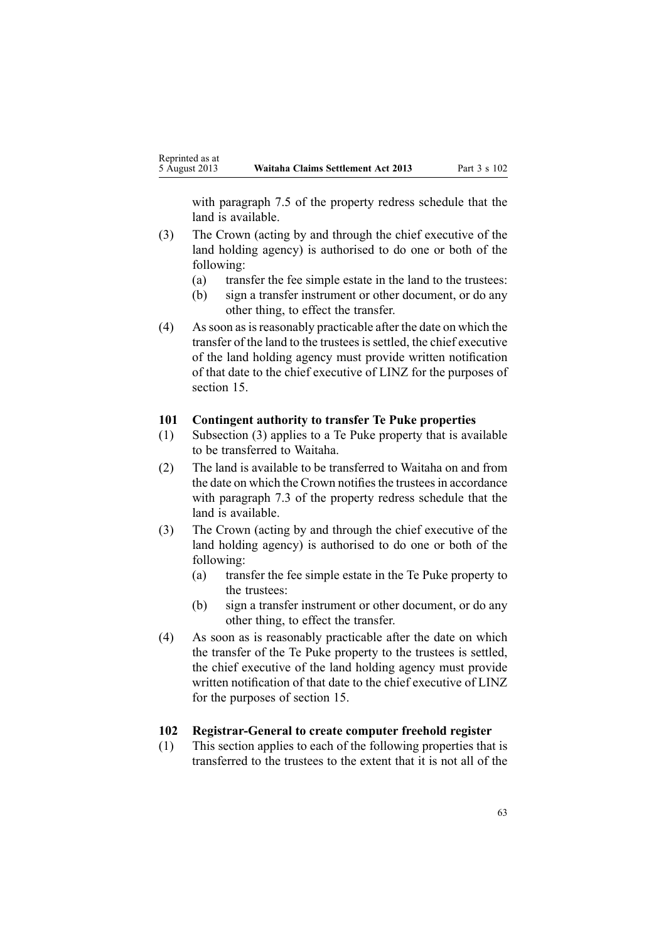<span id="page-62-0"></span>with paragraph 7.5 of the property redress schedule that the land is available.

- (3) The Crown (acting by and through the chief executive of the land holding agency) is authorised to do one or both of the following:
	- (a) transfer the fee simple estate in the land to the trustees:
	- (b) sign <sup>a</sup> transfer instrument or other document, or do any other thing, to effect the transfer.
- (4) Assoon asisreasonably practicable after the date on which the transfer of the land to the trusteesissettled, the chief executive of the land holding agency must provide written notification of that date to the chief executive of LINZ for the purposes of [section](#page-23-0) 15.

#### **101 Contingent authority to transfer Te Puke properties**

- (1) Subsection (3) applies to <sup>a</sup> Te Puke property that is available to be transferred to Waitaha.
- (2) The land is available to be transferred to Waitaha on and from the date on which the Crown notifies the trustees in accordance with paragraph 7.3 of the property redress schedule that the land is available.
- (3) The Crown (acting by and through the chief executive of the land holding agency) is authorised to do one or both of the following:
	- (a) transfer the fee simple estate in the Te Puke property to the trustees:
	- (b) sign <sup>a</sup> transfer instrument or other document, or do any other thing, to effect the transfer.
- (4) As soon as is reasonably practicable after the date on which the transfer of the Te Puke property to the trustees is settled, the chief executive of the land holding agency must provide written notification of that date to the chief executive of LINZ for the purposes of [section](#page-23-0) 15.

# **102 Registrar-General to create computer freehold register**

(1) This section applies to each of the following properties that is transferred to the trustees to the extent that it is not all of the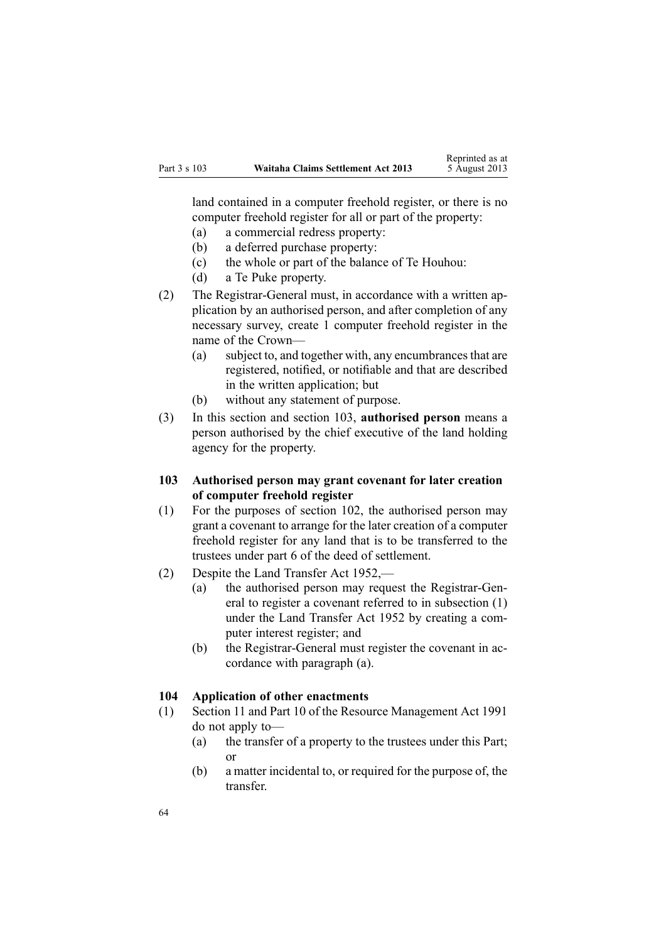<span id="page-63-0"></span>land contained in <sup>a</sup> computer freehold register, or there is no computer freehold register for all or par<sup>t</sup> of the property:

- (a) <sup>a</sup> commercial redress property:
- (b) <sup>a</sup> deferred purchase property:
- (c) the whole or par<sup>t</sup> of the balance of Te Houhou:
- (d) <sup>a</sup> Te Puke property.
- (2) The Registrar-General must, in accordance with <sup>a</sup> written application by an authorised person, and after completion of any necessary survey, create 1 computer freehold register in the name of the Crown—
	- (a) subject to, and together with, any encumbrances that are registered, notified, or notifiable and that are described in the written application; but
	- (b) without any statement of purpose.
- (3) In this section and section 103, **authorised person** means <sup>a</sup> person authorised by the chief executive of the land holding agency for the property.
- **103 Authorised person may grant covenant for later creation of computer freehold register**
- (1) For the purposes of [section](#page-62-0) 102, the authorised person may gran<sup>t</sup> <sup>a</sup> covenant to arrange for the later creation of <sup>a</sup> computer freehold register for any land that is to be transferred to the trustees under par<sup>t</sup> 6 of the deed of settlement.
- (2) Despite the Land [Transfer](http://www.legislation.govt.nz/pdflink.aspx?id=DLM269031) Act 1952,—
	- (a) the authorised person may reques<sup>t</sup> the Registrar-General to register <sup>a</sup> covenant referred to in subsection (1) under the Land [Transfer](http://www.legislation.govt.nz/pdflink.aspx?id=DLM269031) Act 1952 by creating <sup>a</sup> computer interest register; and
	- (b) the Registrar-General must register the covenant in accordance with paragraph (a).

#### **104 Application of other enactments**

- (1) [Section](http://www.legislation.govt.nz/pdflink.aspx?id=DLM231942) 11 and [Part](http://www.legislation.govt.nz/pdflink.aspx?id=DLM236786) 10 of the Resource Management Act 1991 do not apply to—
	- (a) the transfer of <sup>a</sup> property to the trustees under this Part; or
	- (b) <sup>a</sup> matter incidental to, or required for the purpose of, the transfer.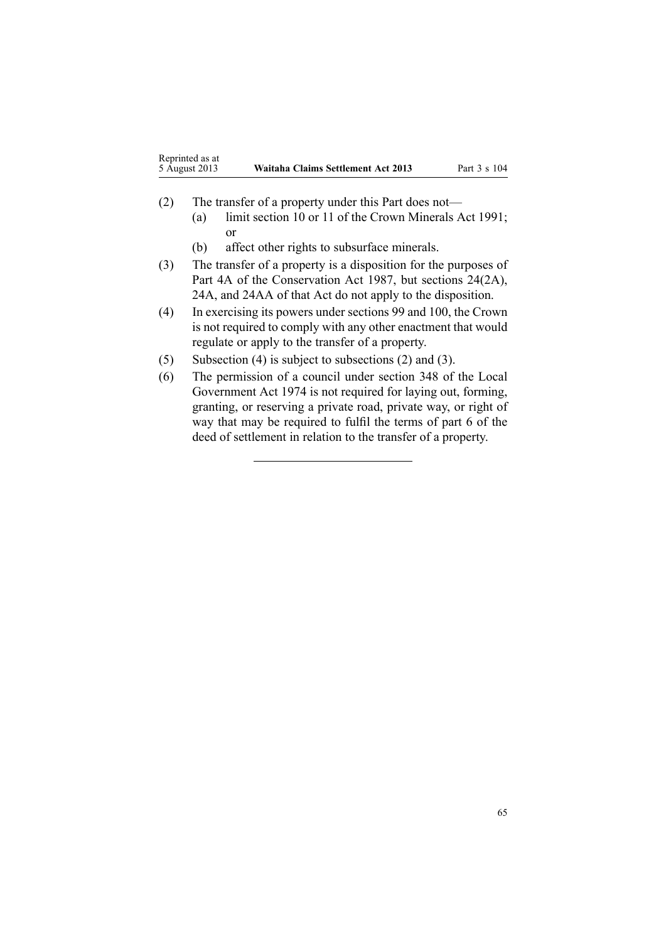| Reprinted as at |                                    |
|-----------------|------------------------------------|
| 5 August 2013   | Waitaha Claims Settlement Act 2013 |

- (2) The transfer of <sup>a</sup> property under this Part does not—
	- (a) limit [section](http://www.legislation.govt.nz/pdflink.aspx?id=DLM246310) 10 or [11](http://www.legislation.govt.nz/pdflink.aspx?id=DLM246311) of the Crown Minerals Act 1991; or
	- (b) affect other rights to subsurface minerals.
- (3) The transfer of <sup>a</sup> property is <sup>a</sup> disposition for the purposes of [Part](http://www.legislation.govt.nz/pdflink.aspx?id=DLM104697) 4A of the Conservation Act 1987, but sections [24\(2A\)](http://www.legislation.govt.nz/pdflink.aspx?id=DLM104699), [24A](http://www.legislation.govt.nz/pdflink.aspx?id=DLM104910), and [24AA](http://www.legislation.govt.nz/pdflink.aspx?id=DLM104914) of that Act do not apply to the disposition.
- (4) In exercising its powers under [sections](#page-61-0) 99 and [100](#page-61-0), the Crown is not required to comply with any other enactment that would regulate or apply to the transfer of <sup>a</sup> property.
- (5) Subsection (4) is subject to subsections (2) and (3).
- (6) The permission of <sup>a</sup> council under [section](http://www.legislation.govt.nz/pdflink.aspx?id=DLM420676) 348 of the Local Government Act 1974 is not required for laying out, forming, granting, or reserving <sup>a</sup> private road, private way, or right of way that may be required to fulfil the terms of par<sup>t</sup> 6 of the deed of settlement in relation to the transfer of <sup>a</sup> property.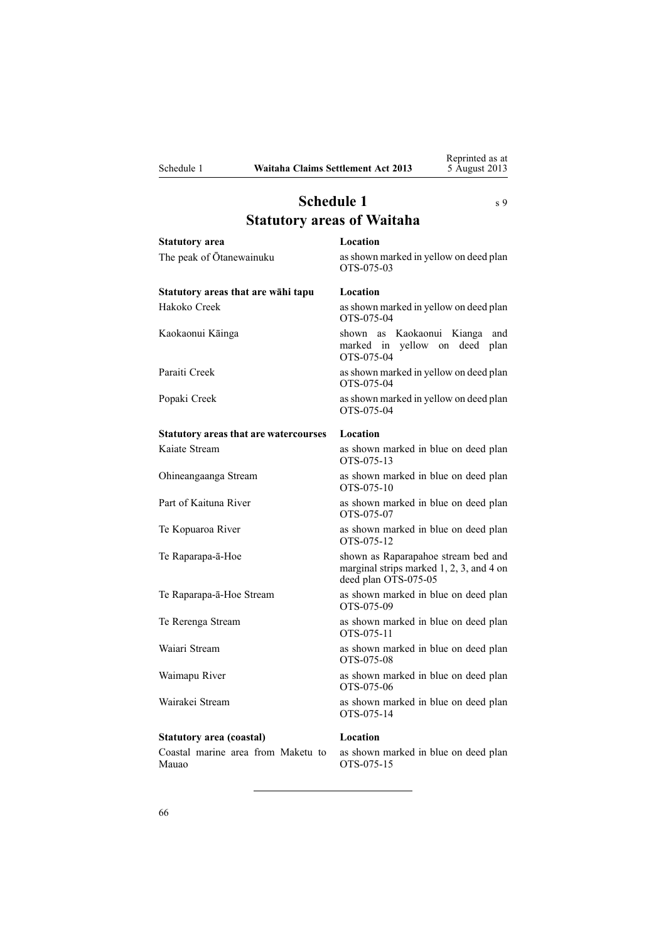<span id="page-65-0"></span>

# **Schedule** 1 s [9](#page-14-0) **Statutory areas of Waitaha**

**Statutory area Location** The peak of Ōtanewainuku as shown marked in yellow on deed plan OTS-075-03 **Statutory areas that are wāhi tapu Location** Hakoko Creek asshown marked in yellow on deed plan OTS-075-04 Kaokaonui Kāinga shown as Kaokaonui Kianga and marked in yellow on deed plan OTS-075-04 Paraiti Creek as shown marked in yellow on deed plan OTS-075-04 Popaki Creek as shown marked in yellow on deed plan OTS-075-04 **Statutory areas that are watercourses Location** Kaiate Stream as shown marked in blue on deed plan OTS-075-13 Ohineangaanga Stream as shown marked in blue on deed plan OTS-075-10 Part of Kaituna River as shown marked in blue on deed plan OTS-075-07 Te Kopuaroa River **as shown marked in blue on deed plan** OTS-075-12 Te Raparapa-ā-Hoe shown as Raparapahoe stream bed and marginal strips marked 1, 2, 3, and 4 on deed plan OTS-075-05 Te Raparapa-ā-Hoe Stream as shown marked in blue on deed plan OTS-075-09 Te Rerenga Stream as shown marked in blue on deed plan OTS-075-11 Waiari Stream as shown marked in blue on deed plan OTS-075-08 Waimapu River as shown marked in blue on deed plan OTS-075-06 Wairakei Stream as shown marked in blue on deed plan OTS-075-14 **Statutory area (coastal) Location** Coastal marine area from Maketu to Mauao as shown marked in blue on deed plan OTS-075-15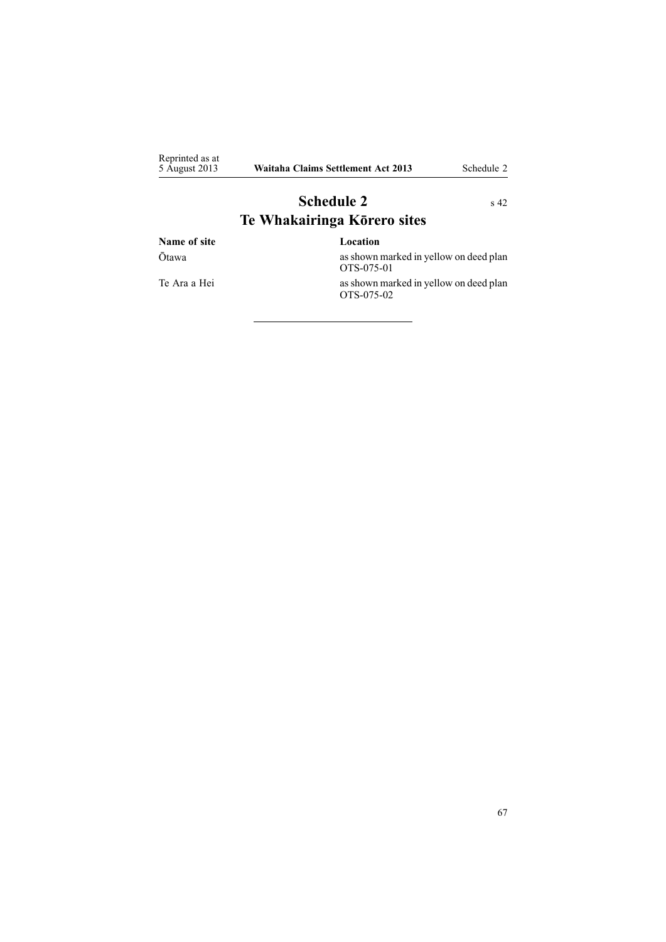<span id="page-66-0"></span>

| Reprinted as at<br>5 August 2013 | Waitaha Claims Settlement Act 2013 | Schedule 2 |
|----------------------------------|------------------------------------|------------|
|                                  | <b>Schedule 2</b>                  | $\rm s$ 42 |

# **Te Whakairinga Kōrero sites Name of site Location** Ōtawa asshown marked in yellow on deed plan OTS-075-01 Te Ara <sup>a</sup> Hei asshown marked in yellow on deed plan

OTS-075-02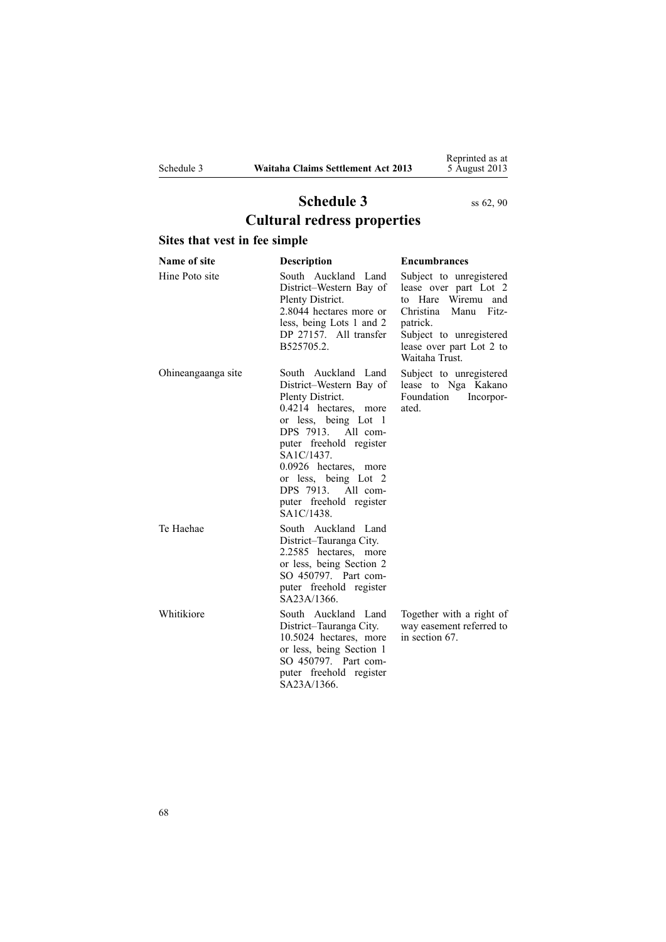Reprinted as at 5 August 2013

# **Schedule 3** ss [62](#page-43-0), [90](#page-56-0) **Cultural redress properties**

# <span id="page-67-0"></span>**Sites that vest in fee simple**

| Name of site       | Description                                                                                                                                                                                                                                                                                        | <b>Encumbrances</b>                                                                                                                                                                          |
|--------------------|----------------------------------------------------------------------------------------------------------------------------------------------------------------------------------------------------------------------------------------------------------------------------------------------------|----------------------------------------------------------------------------------------------------------------------------------------------------------------------------------------------|
| Hine Poto site     | South Auckland Land<br>District-Western Bay of<br>Plenty District.<br>2.8044 hectares more or<br>less, being Lots 1 and 2<br>DP 27157. All transfer<br>B525705.2.                                                                                                                                  | Subject to unregistered<br>lease over part Lot 2<br>to Hare Wiremu<br>and<br>Christina<br>Manu<br>Fitz-<br>patrick.<br>Subject to unregistered<br>lease over part Lot 2 to<br>Waitaha Trust. |
| Ohineangaanga site | South Auckland Land<br>District-Western Bay of<br>Plenty District.<br>0.4214 hectares, more<br>or less, being Lot 1<br>DPS 7913. All com-<br>puter freehold register<br>SA1C/1437.<br>0.0926 hectares, more<br>or less, being Lot 2<br>DPS 7913. All com-<br>puter freehold register<br>SA1C/1438. | Subject to unregistered<br>lease to Nga Kakano<br>Foundation Incorpor-<br>ated.                                                                                                              |
| Te Haehae          | South Auckland Land<br>District-Tauranga City.<br>2.2585 hectares, more<br>or less, being Section 2<br>SO 450797. Part com-<br>puter freehold register<br>SA23A/1366                                                                                                                               |                                                                                                                                                                                              |
| Whitikiore         | South Auckland Land<br>District-Tauranga City.<br>10.5024 hectares, more<br>or less, being Section 1<br>SO 450797. Part com-<br>puter freehold register<br>SA23A/1366.                                                                                                                             | Together with a right of<br>way easement referred to<br>in section 67.                                                                                                                       |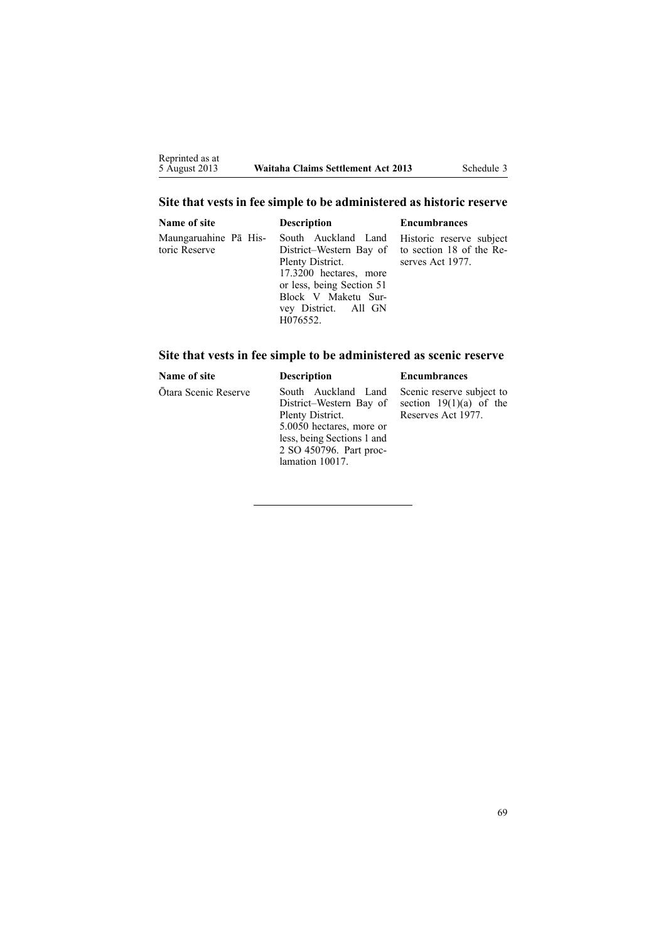# **Site that vests in fee simple to be administered as historic reserve**

| Name of site                           | <b>Description</b>                                                                                                                                                                                                                     | <b>Encumbrances</b> |
|----------------------------------------|----------------------------------------------------------------------------------------------------------------------------------------------------------------------------------------------------------------------------------------|---------------------|
| Maungaruahine Pā His-<br>toric Reserve | South Auckland Land Historic reserve subject<br>District-Western Bay of to section 18 of the Re-<br>Plenty District.<br>17.3200 hectares, more<br>or less, being Section 51<br>Block V Maketu Sur-<br>vey District. All GN<br>H076552. | serves Act 1977.    |

# **Site that vests in fee simple to be administered as scenic reserve**

| Name of site         | <b>Description</b>                                                                                                                                                         | <b>Encumbrances</b>                                                          |
|----------------------|----------------------------------------------------------------------------------------------------------------------------------------------------------------------------|------------------------------------------------------------------------------|
| Otara Scenic Reserve | South Auckland Land<br>District-Western Bay of<br>Plenty District.<br>5.0050 hectares, more or<br>less, being Sections 1 and<br>2 SO 450796. Part proc-<br>lamation 10017. | Scenic reserve subject to<br>section $19(1)(a)$ of the<br>Reserves Act 1977. |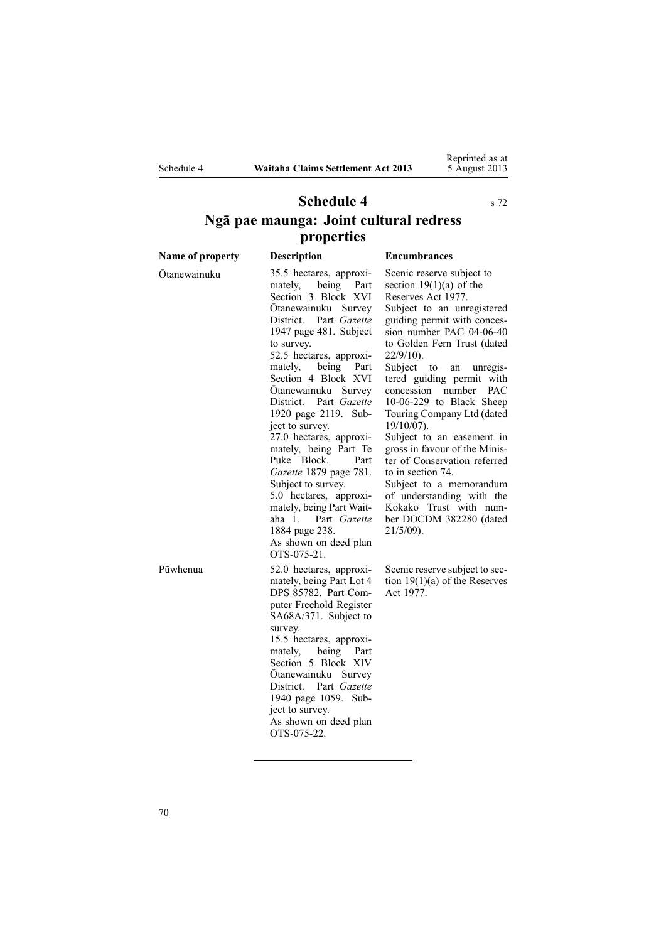<span id="page-69-0"></span>

Reprinted as at 5 August 2013

# **Schedule 4** s [72](#page-47-0) **Ngā pae maunga: Joint cultural redress properties**

| Name of property | <b>Description</b>                                                                                                                                                                                                                                                                                                                                                                                                                                                                                                                                                                                        | <b>Encumbrances</b>                                                                                                                                                                                                                                                                                                                                                                                                                                                                                                                                                                                                                      |
|------------------|-----------------------------------------------------------------------------------------------------------------------------------------------------------------------------------------------------------------------------------------------------------------------------------------------------------------------------------------------------------------------------------------------------------------------------------------------------------------------------------------------------------------------------------------------------------------------------------------------------------|------------------------------------------------------------------------------------------------------------------------------------------------------------------------------------------------------------------------------------------------------------------------------------------------------------------------------------------------------------------------------------------------------------------------------------------------------------------------------------------------------------------------------------------------------------------------------------------------------------------------------------------|
| Ōtanewainuku     | 35.5 hectares, approxi-<br>mately, being<br>Part<br>Section 3 Block XVI<br>Otanewainuku Survey<br>District. Part Gazette<br>1947 page 481. Subject<br>to survey.<br>52.5 hectares, approxi-<br>mately, being<br>Part<br>Section 4 Block XVI<br>Otanewainuku Survey<br>District. Part Gazette<br>1920 page 2119. Sub-<br>ject to survey.<br>27.0 hectares, approxi-<br>mately, being Part Te<br>Puke Block.<br>Part<br>Gazette 1879 page 781.<br>Subject to survey.<br>5.0 hectares, approxi-<br>mately, being Part Wait-<br>aha 1. Part Gazette<br>1884 page 238.<br>As shown on deed plan<br>OTS-075-21. | Scenic reserve subject to<br>section $19(1)(a)$ of the<br>Reserves Act 1977.<br>Subject to an unregistered<br>guiding permit with conces-<br>sion number PAC 04-06-40<br>to Golden Fern Trust (dated<br>$22/9/10$ ).<br>Subject to<br>an<br>unregis-<br>tered guiding permit with<br>concession number<br>PAC<br>10-06-229 to Black Sheep<br>Touring Company Ltd (dated<br>$19/10/07$ ).<br>Subject to an easement in<br>gross in favour of the Minis-<br>ter of Conservation referred<br>to in section 74.<br>Subject to a memorandum<br>of understanding with the<br>Kokako Trust with num-<br>ber DOCDM 382280 (dated<br>$21/5/09$ ). |
| Pūwhenua         | 52.0 hectares, approxi-<br>mately, being Part Lot 4<br>DPS 85782. Part Com-<br>puter Freehold Register<br>SA68A/371. Subject to<br>survey.<br>15.5 hectares, approxi-<br>mately,<br>being Part<br>Section 5 Block XIV<br>Otanewainuku Survey<br>District. Part Gazette<br>1940 page 1059. Sub-<br>ject to survey.<br>As shown on deed plan<br>OTS-075-22.                                                                                                                                                                                                                                                 | Scenic reserve subject to sec-<br>tion $19(1)(a)$ of the Reserves<br>Act 1977.                                                                                                                                                                                                                                                                                                                                                                                                                                                                                                                                                           |

70